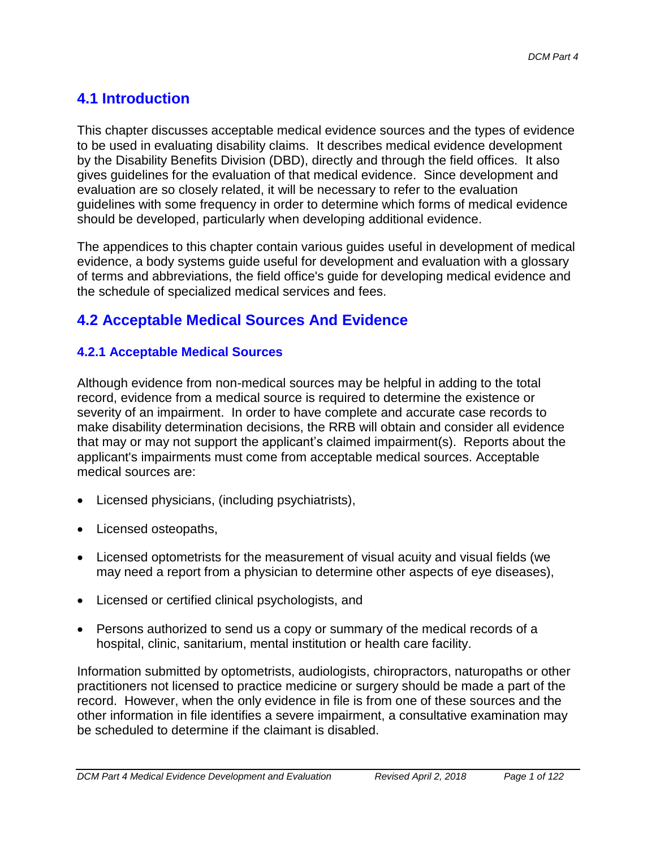# **4.1 Introduction**

This chapter discusses acceptable medical evidence sources and the types of evidence to be used in evaluating disability claims. It describes medical evidence development by the Disability Benefits Division (DBD), directly and through the field offices. It also gives guidelines for the evaluation of that medical evidence. Since development and evaluation are so closely related, it will be necessary to refer to the evaluation guidelines with some frequency in order to determine which forms of medical evidence should be developed, particularly when developing additional evidence.

The appendices to this chapter contain various guides useful in development of medical evidence, a body systems guide useful for development and evaluation with a glossary of terms and abbreviations, the field office's guide for developing medical evidence and the schedule of specialized medical services and fees.

# **4.2 Acceptable Medical Sources And Evidence**

# **4.2.1 Acceptable Medical Sources**

Although evidence from non-medical sources may be helpful in adding to the total record, evidence from a medical source is required to determine the existence or severity of an impairment. In order to have complete and accurate case records to make disability determination decisions, the RRB will obtain and consider all evidence that may or may not support the applicant's claimed impairment(s). Reports about the applicant's impairments must come from acceptable medical sources. Acceptable medical sources are:

- Licensed physicians, (including psychiatrists),
- Licensed osteopaths,
- Licensed optometrists for the measurement of visual acuity and visual fields (we may need a report from a physician to determine other aspects of eye diseases),
- Licensed or certified clinical psychologists, and
- Persons authorized to send us a copy or summary of the medical records of a hospital, clinic, sanitarium, mental institution or health care facility.

Information submitted by optometrists, audiologists, chiropractors, naturopaths or other practitioners not licensed to practice medicine or surgery should be made a part of the record. However, when the only evidence in file is from one of these sources and the other information in file identifies a severe impairment, a consultative examination may be scheduled to determine if the claimant is disabled.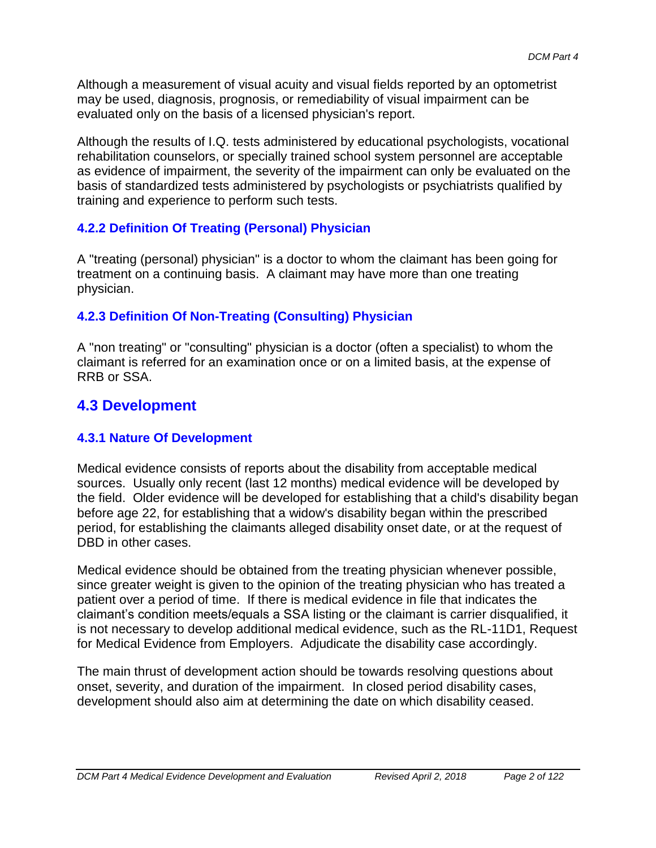Although a measurement of visual acuity and visual fields reported by an optometrist may be used, diagnosis, prognosis, or remediability of visual impairment can be evaluated only on the basis of a licensed physician's report.

Although the results of I.Q. tests administered by educational psychologists, vocational rehabilitation counselors, or specially trained school system personnel are acceptable as evidence of impairment, the severity of the impairment can only be evaluated on the basis of standardized tests administered by psychologists or psychiatrists qualified by training and experience to perform such tests.

### **4.2.2 Definition Of Treating (Personal) Physician**

A "treating (personal) physician" is a doctor to whom the claimant has been going for treatment on a continuing basis. A claimant may have more than one treating physician.

### **4.2.3 Definition Of Non-Treating (Consulting) Physician**

A "non treating" or "consulting" physician is a doctor (often a specialist) to whom the claimant is referred for an examination once or on a limited basis, at the expense of RRB or SSA.

# **4.3 Development**

#### **4.3.1 Nature Of Development**

Medical evidence consists of reports about the disability from acceptable medical sources. Usually only recent (last 12 months) medical evidence will be developed by the field. Older evidence will be developed for establishing that a child's disability began before age 22, for establishing that a widow's disability began within the prescribed period, for establishing the claimants alleged disability onset date, or at the request of DBD in other cases.

Medical evidence should be obtained from the treating physician whenever possible, since greater weight is given to the opinion of the treating physician who has treated a patient over a period of time. If there is medical evidence in file that indicates the claimant's condition meets/equals a SSA listing or the claimant is carrier disqualified, it is not necessary to develop additional medical evidence, such as the RL-11D1, Request for Medical Evidence from Employers. Adjudicate the disability case accordingly.

The main thrust of development action should be towards resolving questions about onset, severity, and duration of the impairment. In closed period disability cases, development should also aim at determining the date on which disability ceased.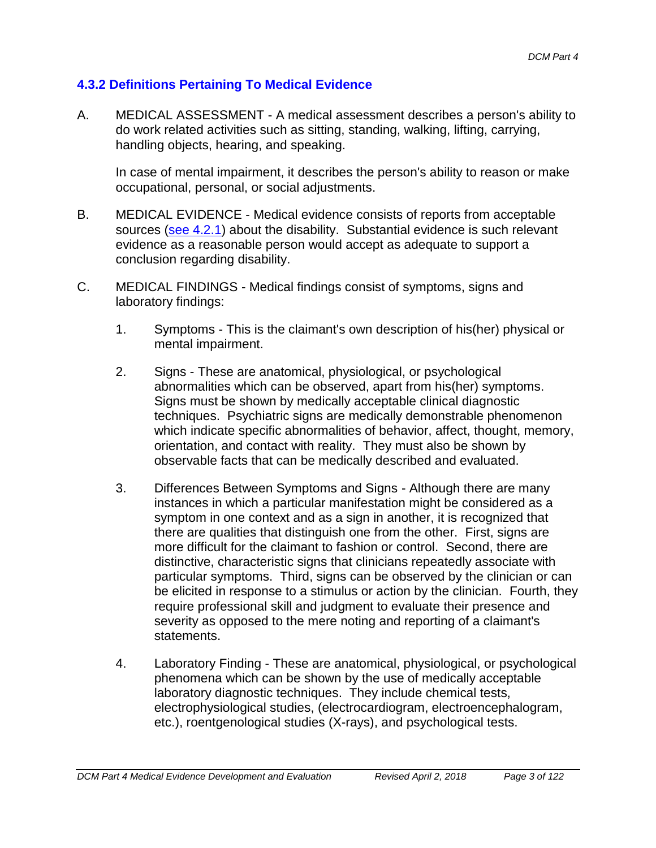### **4.3.2 Definitions Pertaining To Medical Evidence**

A. MEDICAL ASSESSMENT - A medical assessment describes a person's ability to do work related activities such as sitting, standing, walking, lifting, carrying, handling objects, hearing, and speaking.

In case of mental impairment, it describes the person's ability to reason or make occupational, personal, or social adjustments.

- B. MEDICAL EVIDENCE Medical evidence consists of reports from acceptable sources (see 4.2.1) about the disability. Substantial evidence is such relevant evidence as a reasonable person would accept as adequate to support a conclusion regarding disability.
- C. MEDICAL FINDINGS Medical findings consist of symptoms, signs and laboratory findings:
	- 1. Symptoms This is the claimant's own description of his(her) physical or mental impairment.
	- 2. Signs These are anatomical, physiological, or psychological abnormalities which can be observed, apart from his(her) symptoms. Signs must be shown by medically acceptable clinical diagnostic techniques. Psychiatric signs are medically demonstrable phenomenon which indicate specific abnormalities of behavior, affect, thought, memory, orientation, and contact with reality. They must also be shown by observable facts that can be medically described and evaluated.
	- 3. Differences Between Symptoms and Signs Although there are many instances in which a particular manifestation might be considered as a symptom in one context and as a sign in another, it is recognized that there are qualities that distinguish one from the other. First, signs are more difficult for the claimant to fashion or control. Second, there are distinctive, characteristic signs that clinicians repeatedly associate with particular symptoms. Third, signs can be observed by the clinician or can be elicited in response to a stimulus or action by the clinician. Fourth, they require professional skill and judgment to evaluate their presence and severity as opposed to the mere noting and reporting of a claimant's statements.
	- 4. Laboratory Finding These are anatomical, physiological, or psychological phenomena which can be shown by the use of medically acceptable laboratory diagnostic techniques. They include chemical tests, electrophysiological studies, (electrocardiogram, electroencephalogram, etc.), roentgenological studies (X-rays), and psychological tests.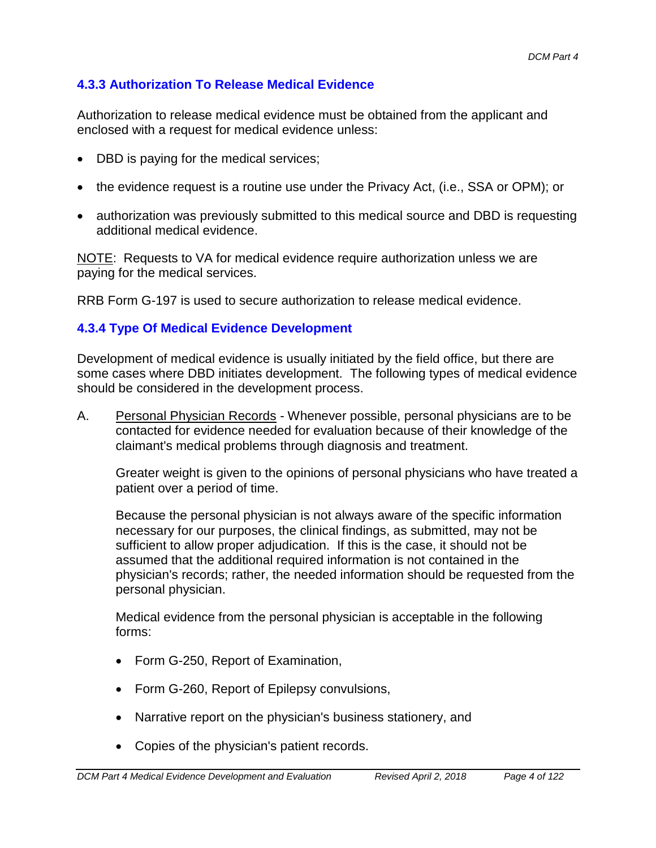# **4.3.3 Authorization To Release Medical Evidence**

Authorization to release medical evidence must be obtained from the applicant and enclosed with a request for medical evidence unless:

- DBD is paying for the medical services;
- the evidence request is a routine use under the Privacy Act, (i.e., SSA or OPM); or
- authorization was previously submitted to this medical source and DBD is requesting additional medical evidence.

NOTE: Requests to VA for medical evidence require authorization unless we are paying for the medical services.

RRB Form G-197 is used to secure authorization to release medical evidence.

# **4.3.4 Type Of Medical Evidence Development**

Development of medical evidence is usually initiated by the field office, but there are some cases where DBD initiates development. The following types of medical evidence should be considered in the development process.

A. Personal Physician Records - Whenever possible, personal physicians are to be contacted for evidence needed for evaluation because of their knowledge of the claimant's medical problems through diagnosis and treatment.

Greater weight is given to the opinions of personal physicians who have treated a patient over a period of time.

Because the personal physician is not always aware of the specific information necessary for our purposes, the clinical findings, as submitted, may not be sufficient to allow proper adjudication. If this is the case, it should not be assumed that the additional required information is not contained in the physician's records; rather, the needed information should be requested from the personal physician.

Medical evidence from the personal physician is acceptable in the following forms:

- Form G-250, Report of Examination,
- Form G-260, Report of Epilepsy convulsions,
- Narrative report on the physician's business stationery, and
- Copies of the physician's patient records.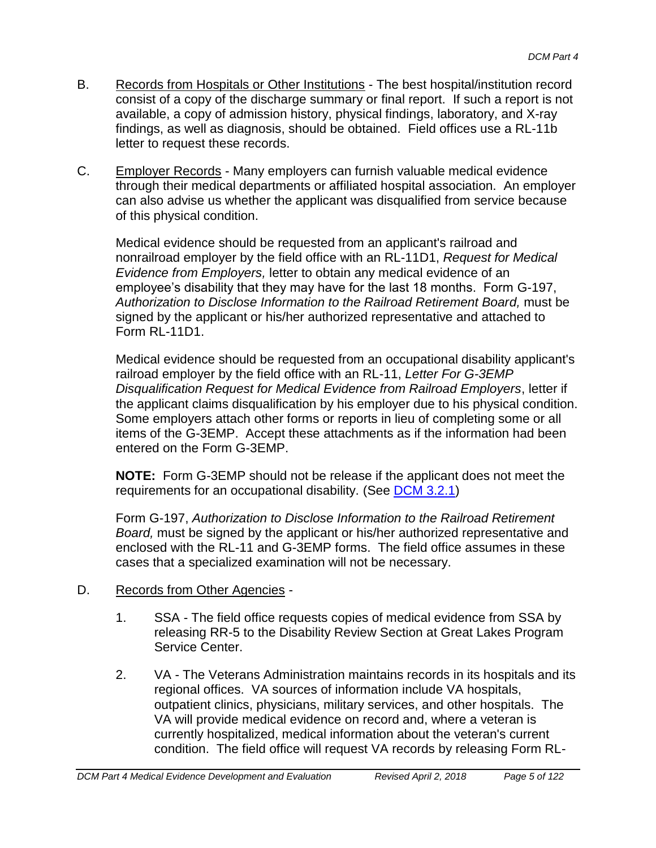- B. Records from Hospitals or Other Institutions The best hospital/institution record consist of a copy of the discharge summary or final report. If such a report is not available, a copy of admission history, physical findings, laboratory, and X-ray findings, as well as diagnosis, should be obtained. Field offices use a RL-11b letter to request these records.
- C. Employer Records Many employers can furnish valuable medical evidence through their medical departments or affiliated hospital association. An employer can also advise us whether the applicant was disqualified from service because of this physical condition.

Medical evidence should be requested from an applicant's railroad and nonrailroad employer by the field office with an RL-11D1, *Request for Medical Evidence from Employers,* letter to obtain any medical evidence of an employee's disability that they may have for the last 18 months. Form G-197, *Authorization to Disclose Information to the Railroad Retirement Board,* must be signed by the applicant or his/her authorized representative and attached to Form RL-11D1.

Medical evidence should be requested from an occupational disability applicant's railroad employer by the field office with an RL-11, *Letter For G-3EMP Disqualification Request for Medical Evidence from Railroad Employers*, letter if the applicant claims disqualification by his employer due to his physical condition. Some employers attach other forms or reports in lieu of completing some or all items of the G-3EMP. Accept these attachments as if the information had been entered on the Form G-3EMP.

**NOTE:** Form G-3EMP should not be release if the applicant does not meet the requirements for an occupational disability. (See [DCM 3.2.1\)](http://rrbsharepoint/sites/Pub/DisMan/DCM/Documents/DCM_Part_3.pdf#search=3.2.1)

Form G-197, *Authorization to Disclose Information to the Railroad Retirement Board,* must be signed by the applicant or his/her authorized representative and enclosed with the RL-11 and G-3EMP forms. The field office assumes in these cases that a specialized examination will not be necessary.

- D. Records from Other Agencies
	- 1. SSA The field office requests copies of medical evidence from SSA by releasing RR-5 to the Disability Review Section at Great Lakes Program Service Center.
	- 2. VA The Veterans Administration maintains records in its hospitals and its regional offices. VA sources of information include VA hospitals, outpatient clinics, physicians, military services, and other hospitals. The VA will provide medical evidence on record and, where a veteran is currently hospitalized, medical information about the veteran's current condition. The field office will request VA records by releasing Form RL-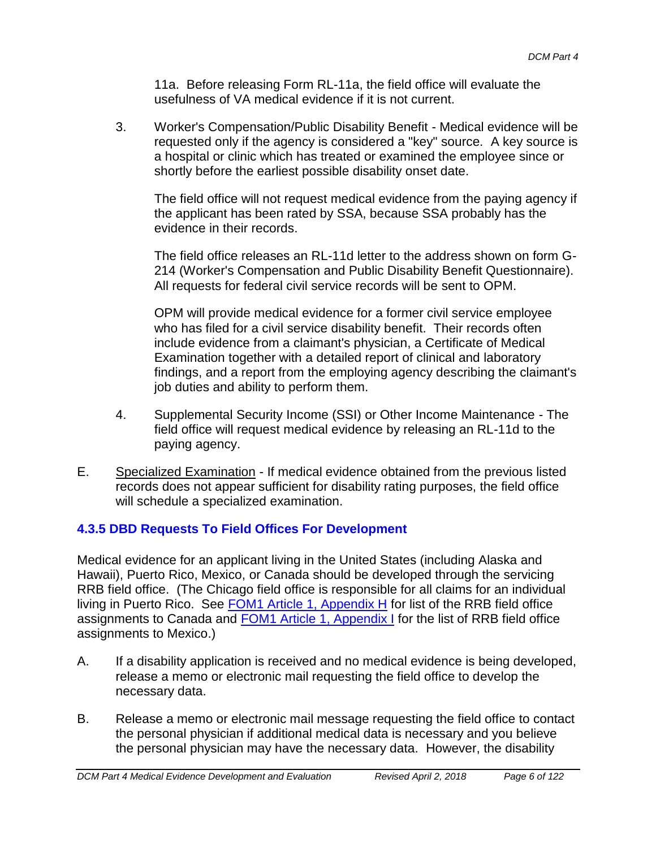11a. Before releasing Form RL-11a, the field office will evaluate the usefulness of VA medical evidence if it is not current.

3. Worker's Compensation/Public Disability Benefit - Medical evidence will be requested only if the agency is considered a "key" source. A key source is a hospital or clinic which has treated or examined the employee since or shortly before the earliest possible disability onset date.

The field office will not request medical evidence from the paying agency if the applicant has been rated by SSA, because SSA probably has the evidence in their records.

The field office releases an RL-11d letter to the address shown on form G-214 (Worker's Compensation and Public Disability Benefit Questionnaire). All requests for federal civil service records will be sent to OPM.

OPM will provide medical evidence for a former civil service employee who has filed for a civil service disability benefit. Their records often include evidence from a claimant's physician, a Certificate of Medical Examination together with a detailed report of clinical and laboratory findings, and a report from the employing agency describing the claimant's job duties and ability to perform them.

- 4. Supplemental Security Income (SSI) or Other Income Maintenance The field office will request medical evidence by releasing an RL-11d to the paying agency.
- E. Specialized Examination If medical evidence obtained from the previous listed records does not appear sufficient for disability rating purposes, the field office will schedule a specialized examination.

# **4.3.5 DBD Requests To Field Offices For Development**

Medical evidence for an applicant living in the United States (including Alaska and Hawaii), Puerto Rico, Mexico, or Canada should be developed through the servicing RRB field office. (The Chicago field office is responsible for all claims for an individual living in Puerto Rico. See **FOM1** Article 1, Appendix H for list of the RRB field office assignments to Canada and FOM1 Article 1, Appendix I for the list of RRB field office assignments to Mexico.)

- A. If a disability application is received and no medical evidence is being developed, release a memo or electronic mail requesting the field office to develop the necessary data.
- B. Release a memo or electronic mail message requesting the field office to contact the personal physician if additional medical data is necessary and you believe the personal physician may have the necessary data. However, the disability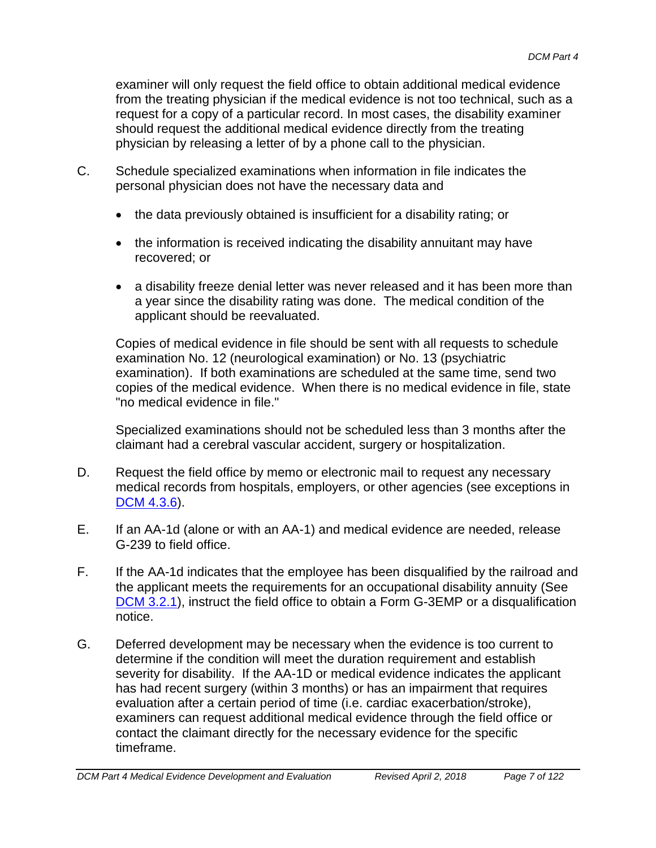examiner will only request the field office to obtain additional medical evidence from the treating physician if the medical evidence is not too technical, such as a request for a copy of a particular record. In most cases, the disability examiner should request the additional medical evidence directly from the treating physician by releasing a letter of by a phone call to the physician.

- C. Schedule specialized examinations when information in file indicates the personal physician does not have the necessary data and
	- the data previously obtained is insufficient for a disability rating; or
	- the information is received indicating the disability annuitant may have recovered; or
	- a disability freeze denial letter was never released and it has been more than a year since the disability rating was done. The medical condition of the applicant should be reevaluated.

Copies of medical evidence in file should be sent with all requests to schedule examination No. 12 (neurological examination) or No. 13 (psychiatric examination). If both examinations are scheduled at the same time, send two copies of the medical evidence. When there is no medical evidence in file, state "no medical evidence in file."

Specialized examinations should not be scheduled less than 3 months after the claimant had a cerebral vascular accident, surgery or hospitalization.

- D. Request the field office by memo or electronic mail to request any necessary medical records from hospitals, employers, or other agencies (see exceptions in DCM 4.3.6).
- E. If an AA-1d (alone or with an AA-1) and medical evidence are needed, release G-239 to field office.
- F. If the AA-1d indicates that the employee has been disqualified by the railroad and the applicant meets the requirements for an occupational disability annuity (See [DCM 3.2.1\)](http://rrbsharepoint/sites/Pub/DisMan/DCM/Documents/DCM_Part_3.pdf#search=3.2.1), instruct the field office to obtain a Form G-3EMP or a disqualification notice.
- G. Deferred development may be necessary when the evidence is too current to determine if the condition will meet the duration requirement and establish severity for disability. If the AA-1D or medical evidence indicates the applicant has had recent surgery (within 3 months) or has an impairment that requires evaluation after a certain period of time (i.e. cardiac exacerbation/stroke), examiners can request additional medical evidence through the field office or contact the claimant directly for the necessary evidence for the specific timeframe.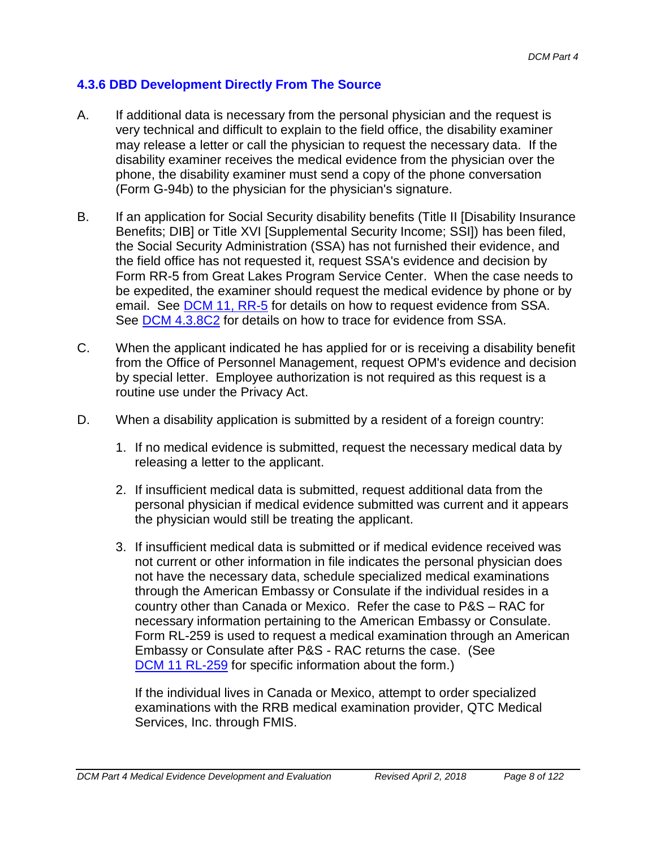### **4.3.6 DBD Development Directly From The Source**

- A. If additional data is necessary from the personal physician and the request is very technical and difficult to explain to the field office, the disability examiner may release a letter or call the physician to request the necessary data. If the disability examiner receives the medical evidence from the physician over the phone, the disability examiner must send a copy of the phone conversation (Form G-94b) to the physician for the physician's signature.
- B. If an application for Social Security disability benefits (Title II [Disability Insurance Benefits; DIB] or Title XVI [Supplemental Security Income; SSI]) has been filed, the Social Security Administration (SSA) has not furnished their evidence, and the field office has not requested it, request SSA's evidence and decision by Form RR-5 from Great Lakes Program Service Center. When the case needs to be expedited, the examiner should request the medical evidence by phone or by email. See **DCM 11, RR-5** for details on how to request evidence from SSA. See **DCM 4.3.8C2** for details on how to trace for evidence from SSA.
- C. When the applicant indicated he has applied for or is receiving a disability benefit from the Office of Personnel Management, request OPM's evidence and decision by special letter. Employee authorization is not required as this request is a routine use under the Privacy Act.
- D. When a disability application is submitted by a resident of a foreign country:
	- 1. If no medical evidence is submitted, request the necessary medical data by releasing a letter to the applicant.
	- 2. If insufficient medical data is submitted, request additional data from the personal physician if medical evidence submitted was current and it appears the physician would still be treating the applicant.
	- 3. If insufficient medical data is submitted or if medical evidence received was not current or other information in file indicates the personal physician does not have the necessary data, schedule specialized medical examinations through the American Embassy or Consulate if the individual resides in a country other than Canada or Mexico. Refer the case to P&S – RAC for necessary information pertaining to the American Embassy or Consulate. Form RL-259 is used to request a medical examination through an American Embassy or Consulate after P&S - RAC returns the case. (See DCM 11 RL-259 for specific information about the form.)

If the individual lives in Canada or Mexico, attempt to order specialized examinations with the RRB medical examination provider, QTC Medical Services, Inc. through FMIS.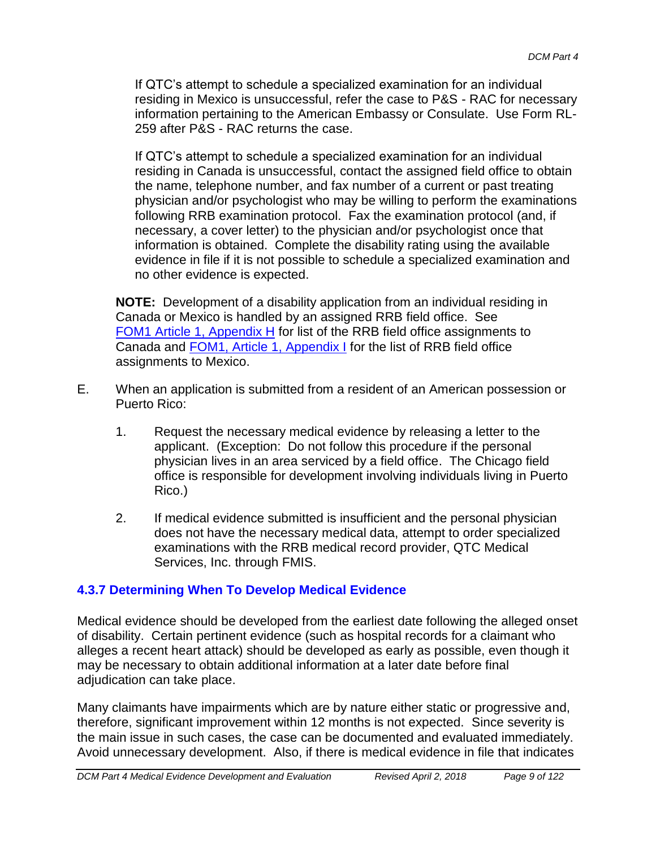If QTC's attempt to schedule a specialized examination for an individual residing in Mexico is unsuccessful, refer the case to P&S - RAC for necessary information pertaining to the American Embassy or Consulate. Use Form RL-259 after P&S - RAC returns the case.

If QTC's attempt to schedule a specialized examination for an individual residing in Canada is unsuccessful, contact the assigned field office to obtain the name, telephone number, and fax number of a current or past treating physician and/or psychologist who may be willing to perform the examinations following RRB examination protocol. Fax the examination protocol (and, if necessary, a cover letter) to the physician and/or psychologist once that information is obtained. Complete the disability rating using the available evidence in file if it is not possible to schedule a specialized examination and no other evidence is expected.

**NOTE:** Development of a disability application from an individual residing in Canada or Mexico is handled by an assigned RRB field office. See FOM1 Article 1, Appendix H for list of the RRB field office assignments to Canada and FOM1, Article 1, Appendix I for the list of RRB field office assignments to Mexico.

- E. When an application is submitted from a resident of an American possession or Puerto Rico:
	- 1. Request the necessary medical evidence by releasing a letter to the applicant. (Exception: Do not follow this procedure if the personal physician lives in an area serviced by a field office. The Chicago field office is responsible for development involving individuals living in Puerto Rico.)
	- 2. If medical evidence submitted is insufficient and the personal physician does not have the necessary medical data, attempt to order specialized examinations with the RRB medical record provider, QTC Medical Services, Inc. through FMIS.

# **4.3.7 Determining When To Develop Medical Evidence**

Medical evidence should be developed from the earliest date following the alleged onset of disability. Certain pertinent evidence (such as hospital records for a claimant who alleges a recent heart attack) should be developed as early as possible, even though it may be necessary to obtain additional information at a later date before final adjudication can take place.

Many claimants have impairments which are by nature either static or progressive and, therefore, significant improvement within 12 months is not expected. Since severity is the main issue in such cases, the case can be documented and evaluated immediately. Avoid unnecessary development. Also, if there is medical evidence in file that indicates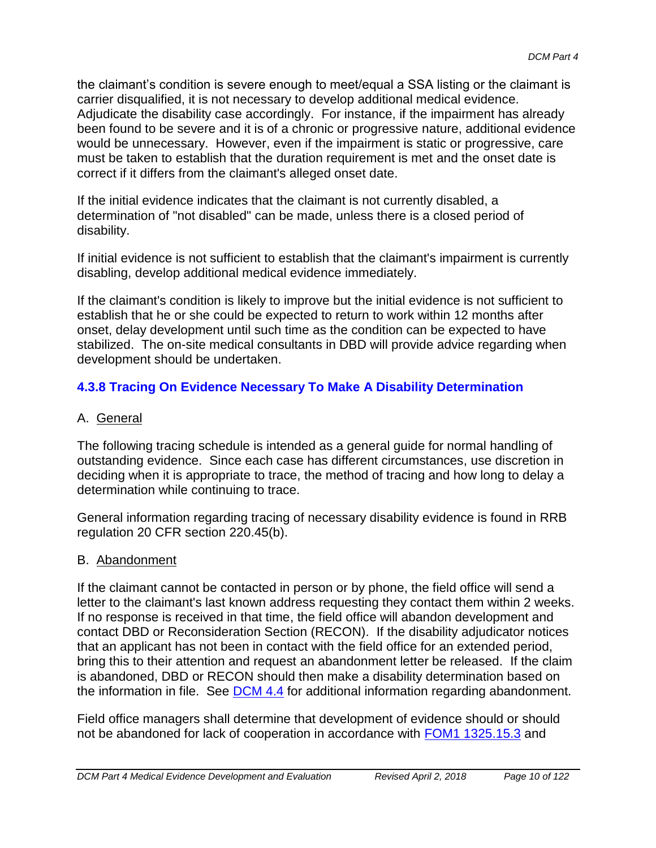the claimant's condition is severe enough to meet/equal a SSA listing or the claimant is carrier disqualified, it is not necessary to develop additional medical evidence. Adjudicate the disability case accordingly. For instance, if the impairment has already been found to be severe and it is of a chronic or progressive nature, additional evidence would be unnecessary. However, even if the impairment is static or progressive, care must be taken to establish that the duration requirement is met and the onset date is correct if it differs from the claimant's alleged onset date.

If the initial evidence indicates that the claimant is not currently disabled, a determination of "not disabled" can be made, unless there is a closed period of disability.

If initial evidence is not sufficient to establish that the claimant's impairment is currently disabling, develop additional medical evidence immediately.

If the claimant's condition is likely to improve but the initial evidence is not sufficient to establish that he or she could be expected to return to work within 12 months after onset, delay development until such time as the condition can be expected to have stabilized. The on-site medical consultants in DBD will provide advice regarding when development should be undertaken.

# **4.3.8 Tracing On Evidence Necessary To Make A Disability Determination**

## A. General

The following tracing schedule is intended as a general guide for normal handling of outstanding evidence. Since each case has different circumstances, use discretion in deciding when it is appropriate to trace, the method of tracing and how long to delay a determination while continuing to trace.

General information regarding tracing of necessary disability evidence is found in RRB regulation 20 CFR section 220.45(b).

### B. Abandonment

If the claimant cannot be contacted in person or by phone, the field office will send a letter to the claimant's last known address requesting they contact them within 2 weeks. If no response is received in that time, the field office will abandon development and contact DBD or Reconsideration Section (RECON). If the disability adjudicator notices that an applicant has not been in contact with the field office for an extended period, bring this to their attention and request an abandonment letter be released. If the claim is abandoned, DBD or RECON should then make a disability determination based on the information in file. See **DCM 4.4** for additional information regarding abandonment.

Field office managers shall determine that development of evidence should or should not be abandoned for lack of cooperation in accordance with FOM1 1325.15.3 and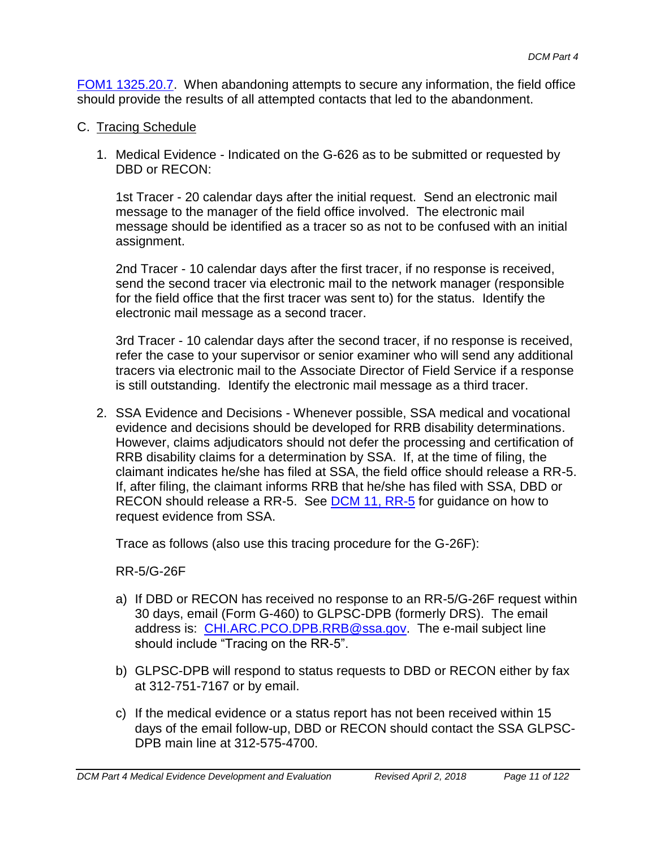FOM1 1325.20.7. When abandoning attempts to secure any information, the field office should provide the results of all attempted contacts that led to the abandonment.

- C. Tracing Schedule
	- 1. Medical Evidence Indicated on the G-626 as to be submitted or requested by DBD or RECON:

1st Tracer - 20 calendar days after the initial request. Send an electronic mail message to the manager of the field office involved. The electronic mail message should be identified as a tracer so as not to be confused with an initial assignment.

2nd Tracer - 10 calendar days after the first tracer, if no response is received, send the second tracer via electronic mail to the network manager (responsible for the field office that the first tracer was sent to) for the status. Identify the electronic mail message as a second tracer.

3rd Tracer - 10 calendar days after the second tracer, if no response is received, refer the case to your supervisor or senior examiner who will send any additional tracers via electronic mail to the Associate Director of Field Service if a response is still outstanding. Identify the electronic mail message as a third tracer.

2. SSA Evidence and Decisions - Whenever possible, SSA medical and vocational evidence and decisions should be developed for RRB disability determinations. However, claims adjudicators should not defer the processing and certification of RRB disability claims for a determination by SSA. If, at the time of filing, the claimant indicates he/she has filed at SSA, the field office should release a RR-5. If, after filing, the claimant informs RRB that he/she has filed with SSA, DBD or RECON should release a RR-5. See **DCM 11, RR-5** for guidance on how to request evidence from SSA.

Trace as follows (also use this tracing procedure for the G-26F):

RR-5/G-26F

- a) If DBD or RECON has received no response to an RR-5/G-26F request within 30 days, email (Form G-460) to GLPSC-DPB (formerly DRS). The email address is: [CHI.ARC.PCO.DPB.RRB@ssa.gov.](mailto:CHI.ARC.PCO.DPB.RRB@ssa.gov) The e-mail subject line should include "Tracing on the RR-5".
- b) GLPSC-DPB will respond to status requests to DBD or RECON either by fax at 312-751-7167 or by email.
- c) If the medical evidence or a status report has not been received within 15 days of the email follow-up, DBD or RECON should contact the SSA GLPSC-DPB main line at 312-575-4700.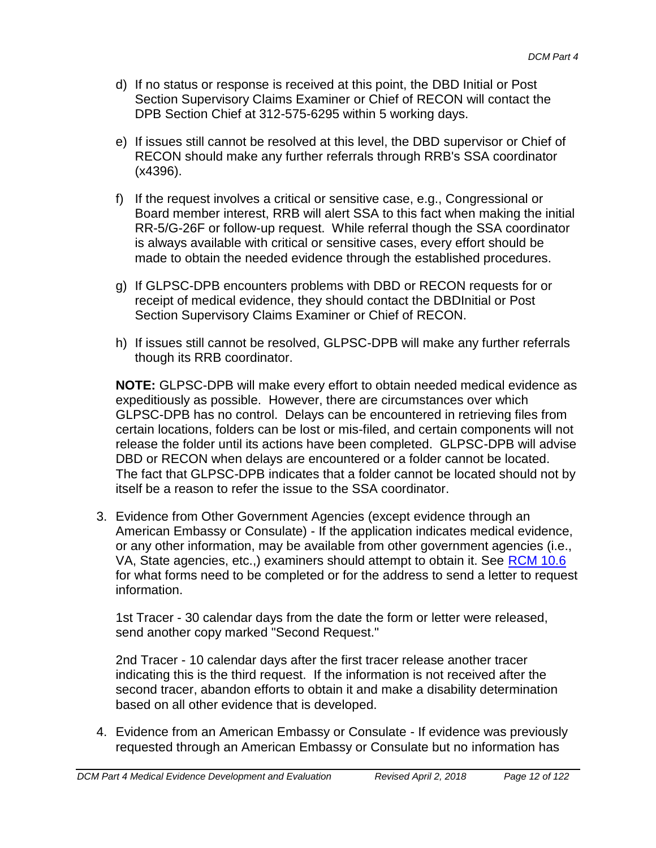- d) If no status or response is received at this point, the DBD Initial or Post Section Supervisory Claims Examiner or Chief of RECON will contact the DPB Section Chief at 312-575-6295 within 5 working days.
- e) If issues still cannot be resolved at this level, the DBD supervisor or Chief of RECON should make any further referrals through RRB's SSA coordinator (x4396).
- f) If the request involves a critical or sensitive case, e.g., Congressional or Board member interest, RRB will alert SSA to this fact when making the initial RR-5/G-26F or follow-up request. While referral though the SSA coordinator is always available with critical or sensitive cases, every effort should be made to obtain the needed evidence through the established procedures.
- g) If GLPSC-DPB encounters problems with DBD or RECON requests for or receipt of medical evidence, they should contact the DBDInitial or Post Section Supervisory Claims Examiner or Chief of RECON.
- h) If issues still cannot be resolved, GLPSC-DPB will make any further referrals though its RRB coordinator.

**NOTE:** GLPSC-DPB will make every effort to obtain needed medical evidence as expeditiously as possible. However, there are circumstances over which GLPSC-DPB has no control. Delays can be encountered in retrieving files from certain locations, folders can be lost or mis-filed, and certain components will not release the folder until its actions have been completed. GLPSC-DPB will advise DBD or RECON when delays are encountered or a folder cannot be located. The fact that GLPSC-DPB indicates that a folder cannot be located should not by itself be a reason to refer the issue to the SSA coordinator.

3. Evidence from Other Government Agencies (except evidence through an American Embassy or Consulate) - If the application indicates medical evidence, or any other information, may be available from other government agencies (i.e., VA, State agencies, etc.,) examiners should attempt to obtain it. See RCM 10.6 for what forms need to be completed or for the address to send a letter to request information.

1st Tracer - 30 calendar days from the date the form or letter were released, send another copy marked "Second Request."

2nd Tracer - 10 calendar days after the first tracer release another tracer indicating this is the third request. If the information is not received after the second tracer, abandon efforts to obtain it and make a disability determination based on all other evidence that is developed.

4. Evidence from an American Embassy or Consulate - If evidence was previously requested through an American Embassy or Consulate but no information has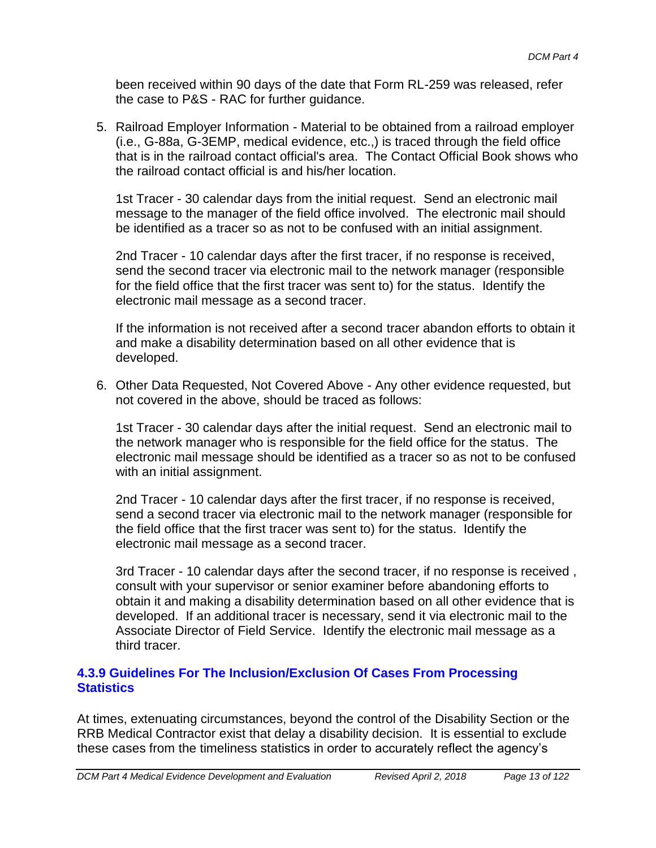been received within 90 days of the date that Form RL-259 was released, refer the case to P&S - RAC for further guidance.

5. Railroad Employer Information - Material to be obtained from a railroad employer (i.e., G-88a, G-3EMP, medical evidence, etc.,) is traced through the field office that is in the railroad contact official's area. The Contact Official Book shows who the railroad contact official is and his/her location.

1st Tracer - 30 calendar days from the initial request. Send an electronic mail message to the manager of the field office involved. The electronic mail should be identified as a tracer so as not to be confused with an initial assignment.

2nd Tracer - 10 calendar days after the first tracer, if no response is received, send the second tracer via electronic mail to the network manager (responsible for the field office that the first tracer was sent to) for the status. Identify the electronic mail message as a second tracer.

If the information is not received after a second tracer abandon efforts to obtain it and make a disability determination based on all other evidence that is developed.

6. Other Data Requested, Not Covered Above - Any other evidence requested, but not covered in the above, should be traced as follows:

1st Tracer - 30 calendar days after the initial request. Send an electronic mail to the network manager who is responsible for the field office for the status. The electronic mail message should be identified as a tracer so as not to be confused with an initial assignment.

2nd Tracer - 10 calendar days after the first tracer, if no response is received, send a second tracer via electronic mail to the network manager (responsible for the field office that the first tracer was sent to) for the status. Identify the electronic mail message as a second tracer.

3rd Tracer - 10 calendar days after the second tracer, if no response is received , consult with your supervisor or senior examiner before abandoning efforts to obtain it and making a disability determination based on all other evidence that is developed. If an additional tracer is necessary, send it via electronic mail to the Associate Director of Field Service. Identify the electronic mail message as a third tracer.

#### **4.3.9 Guidelines For The Inclusion/Exclusion Of Cases From Processing Statistics**

At times, extenuating circumstances, beyond the control of the Disability Section or the RRB Medical Contractor exist that delay a disability decision. It is essential to exclude these cases from the timeliness statistics in order to accurately reflect the agency's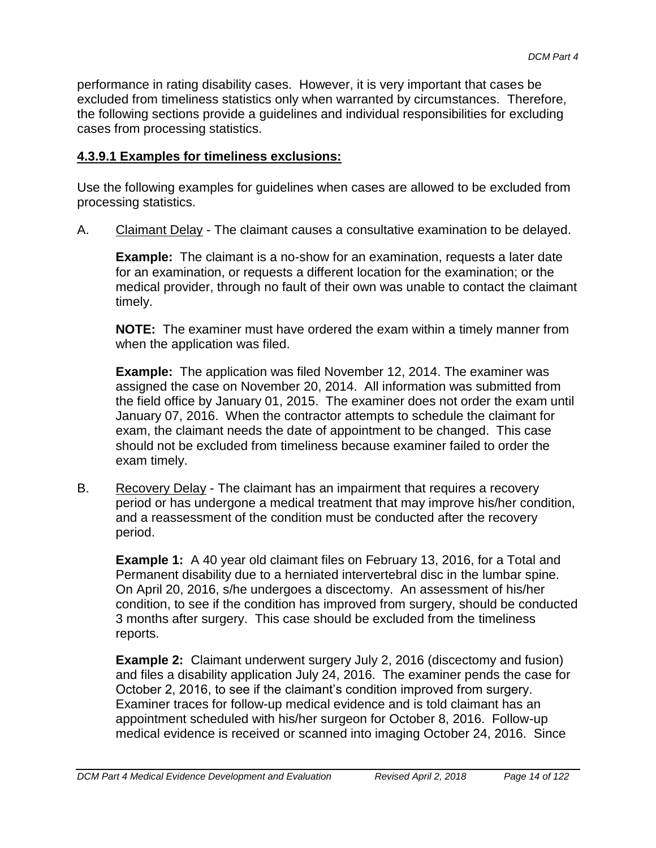performance in rating disability cases. However, it is very important that cases be excluded from timeliness statistics only when warranted by circumstances. Therefore, the following sections provide a guidelines and individual responsibilities for excluding cases from processing statistics.

#### **4.3.9.1 Examples for timeliness exclusions:**

Use the following examples for guidelines when cases are allowed to be excluded from processing statistics.

A. Claimant Delay - The claimant causes a consultative examination to be delayed.

**Example:** The claimant is a no-show for an examination, requests a later date for an examination, or requests a different location for the examination; or the medical provider, through no fault of their own was unable to contact the claimant timely.

**NOTE:** The examiner must have ordered the exam within a timely manner from when the application was filed.

**Example:** The application was filed November 12, 2014. The examiner was assigned the case on November 20, 2014. All information was submitted from the field office by January 01, 2015. The examiner does not order the exam until January 07, 2016. When the contractor attempts to schedule the claimant for exam, the claimant needs the date of appointment to be changed. This case should not be excluded from timeliness because examiner failed to order the exam timely.

B. Recovery Delay - The claimant has an impairment that requires a recovery period or has undergone a medical treatment that may improve his/her condition, and a reassessment of the condition must be conducted after the recovery period.

**Example 1:** A 40 year old claimant files on February 13, 2016, for a Total and Permanent disability due to a herniated intervertebral disc in the lumbar spine. On April 20, 2016, s/he undergoes a discectomy. An assessment of his/her condition, to see if the condition has improved from surgery, should be conducted 3 months after surgery. This case should be excluded from the timeliness reports.

**Example 2:** Claimant underwent surgery July 2, 2016 (discectomy and fusion) and files a disability application July 24, 2016. The examiner pends the case for October 2, 2016, to see if the claimant's condition improved from surgery. Examiner traces for follow-up medical evidence and is told claimant has an appointment scheduled with his/her surgeon for October 8, 2016. Follow-up medical evidence is received or scanned into imaging October 24, 2016. Since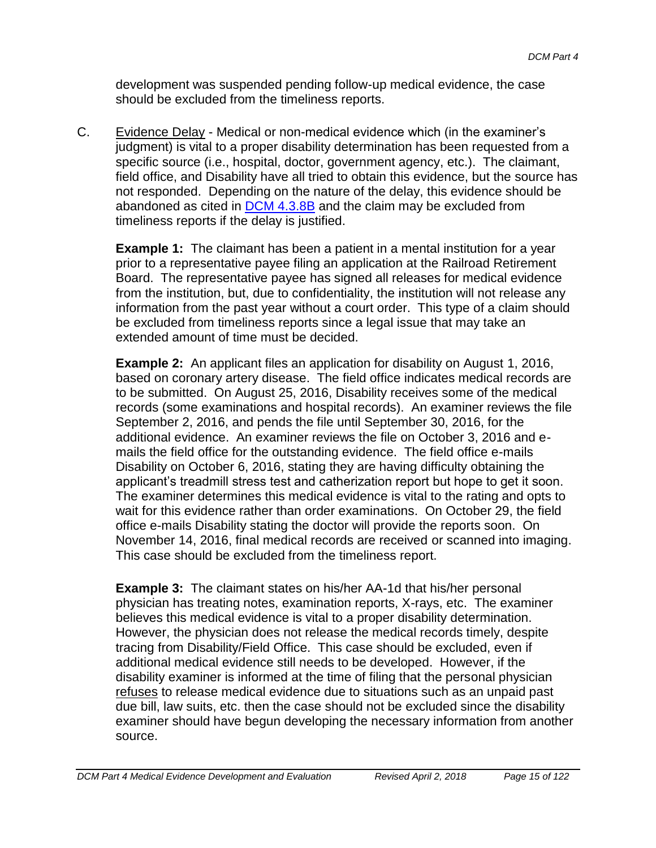development was suspended pending follow-up medical evidence, the case should be excluded from the timeliness reports.

C. Evidence Delay - Medical or non-medical evidence which (in the examiner's judgment) is vital to a proper disability determination has been requested from a specific source (i.e., hospital, doctor, government agency, etc.). The claimant, field office, and Disability have all tried to obtain this evidence, but the source has not responded. Depending on the nature of the delay, this evidence should be abandoned as cited in DCM 4.3.8B and the claim may be excluded from timeliness reports if the delay is justified.

**Example 1:** The claimant has been a patient in a mental institution for a year prior to a representative payee filing an application at the Railroad Retirement Board. The representative payee has signed all releases for medical evidence from the institution, but, due to confidentiality, the institution will not release any information from the past year without a court order. This type of a claim should be excluded from timeliness reports since a legal issue that may take an extended amount of time must be decided.

**Example 2:** An applicant files an application for disability on August 1, 2016, based on coronary artery disease. The field office indicates medical records are to be submitted. On August 25, 2016, Disability receives some of the medical records (some examinations and hospital records). An examiner reviews the file September 2, 2016, and pends the file until September 30, 2016, for the additional evidence. An examiner reviews the file on October 3, 2016 and emails the field office for the outstanding evidence. The field office e-mails Disability on October 6, 2016, stating they are having difficulty obtaining the applicant's treadmill stress test and catherization report but hope to get it soon. The examiner determines this medical evidence is vital to the rating and opts to wait for this evidence rather than order examinations. On October 29, the field office e-mails Disability stating the doctor will provide the reports soon. On November 14, 2016, final medical records are received or scanned into imaging. This case should be excluded from the timeliness report.

**Example 3:** The claimant states on his/her AA-1d that his/her personal physician has treating notes, examination reports, X-rays, etc. The examiner believes this medical evidence is vital to a proper disability determination. However, the physician does not release the medical records timely, despite tracing from Disability/Field Office. This case should be excluded, even if additional medical evidence still needs to be developed. However, if the disability examiner is informed at the time of filing that the personal physician refuses to release medical evidence due to situations such as an unpaid past due bill, law suits, etc. then the case should not be excluded since the disability examiner should have begun developing the necessary information from another source.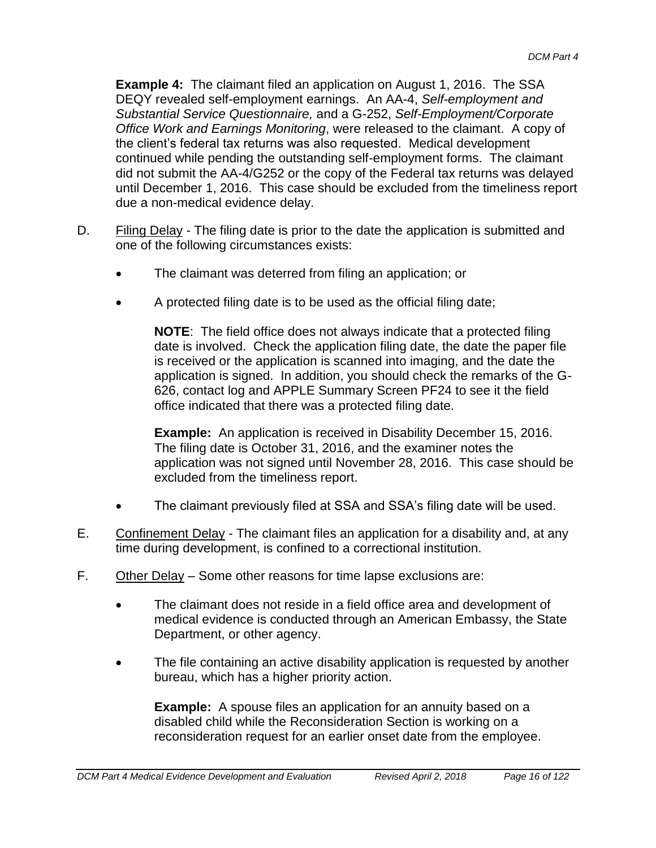**Example 4:** The claimant filed an application on August 1, 2016. The SSA DEQY revealed self-employment earnings. An AA-4, *Self-employment and Substantial Service Questionnaire,* and a G-252, *Self-Employment/Corporate Office Work and Earnings Monitoring*, were released to the claimant. A copy of the client's federal tax returns was also requested. Medical development continued while pending the outstanding self-employment forms. The claimant did not submit the AA-4/G252 or the copy of the Federal tax returns was delayed until December 1, 2016. This case should be excluded from the timeliness report due a non-medical evidence delay.

- D. Filing Delay The filing date is prior to the date the application is submitted and one of the following circumstances exists:
	- The claimant was deterred from filing an application; or
	- A protected filing date is to be used as the official filing date;

**NOTE**: The field office does not always indicate that a protected filing date is involved. Check the application filing date, the date the paper file is received or the application is scanned into imaging, and the date the application is signed. In addition, you should check the remarks of the G-626, contact log and APPLE Summary Screen PF24 to see it the field office indicated that there was a protected filing date.

**Example:** An application is received in Disability December 15, 2016. The filing date is October 31, 2016, and the examiner notes the application was not signed until November 28, 2016. This case should be excluded from the timeliness report.

- The claimant previously filed at SSA and SSA's filing date will be used.
- E. Confinement Delay The claimant files an application for a disability and, at any time during development, is confined to a correctional institution.
- F. Other Delay Some other reasons for time lapse exclusions are:
	- The claimant does not reside in a field office area and development of medical evidence is conducted through an American Embassy, the State Department, or other agency.
	- The file containing an active disability application is requested by another bureau, which has a higher priority action.

**Example:** A spouse files an application for an annuity based on a disabled child while the Reconsideration Section is working on a reconsideration request for an earlier onset date from the employee.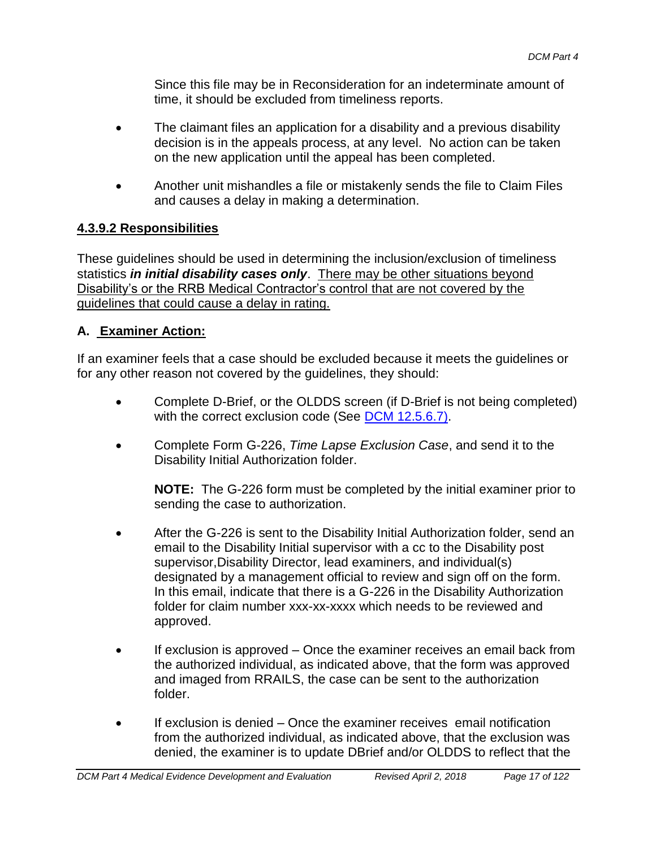Since this file may be in Reconsideration for an indeterminate amount of time, it should be excluded from timeliness reports.

- The claimant files an application for a disability and a previous disability decision is in the appeals process, at any level. No action can be taken on the new application until the appeal has been completed.
- Another unit mishandles a file or mistakenly sends the file to Claim Files and causes a delay in making a determination.

### **4.3.9.2 Responsibilities**

These guidelines should be used in determining the inclusion/exclusion of timeliness statistics *in initial disability cases only*. There may be other situations beyond Disability's or the RRB Medical Contractor's control that are not covered by the guidelines that could cause a delay in rating.

### **A. Examiner Action:**

If an examiner feels that a case should be excluded because it meets the guidelines or for any other reason not covered by the guidelines, they should:

- Complete D-Brief, or the OLDDS screen (if D-Brief is not being completed) with the correct exclusion code (See DCM 12.5.6.7).
- Complete Form G-226, *Time Lapse Exclusion Case*, and send it to the Disability Initial Authorization folder.

**NOTE:** The G-226 form must be completed by the initial examiner prior to sending the case to authorization.

- After the G-226 is sent to the Disability Initial Authorization folder, send an email to the Disability Initial supervisor with a cc to the Disability post supervisor,Disability Director, lead examiners, and individual(s) designated by a management official to review and sign off on the form. In this email, indicate that there is a G-226 in the Disability Authorization folder for claim number xxx-xx-xxxx which needs to be reviewed and approved.
- If exclusion is approved Once the examiner receives an email back from the authorized individual, as indicated above, that the form was approved and imaged from RRAILS, the case can be sent to the authorization folder.
- If exclusion is denied Once the examiner receives email notification from the authorized individual, as indicated above, that the exclusion was denied, the examiner is to update DBrief and/or OLDDS to reflect that the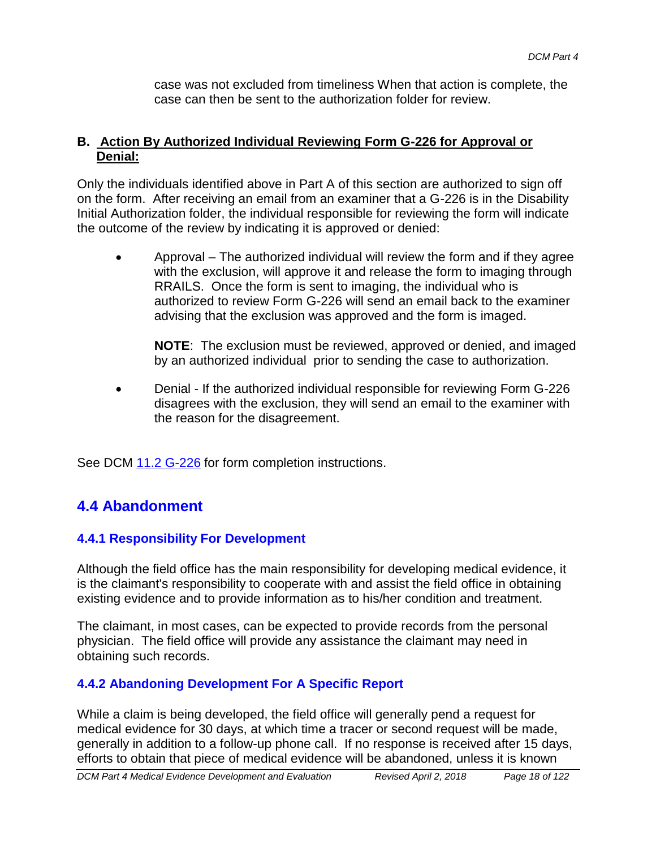case was not excluded from timeliness When that action is complete, the case can then be sent to the authorization folder for review.

#### **B. Action By Authorized Individual Reviewing Form G-226 for Approval or Denial:**

Only the individuals identified above in Part A of this section are authorized to sign off on the form. After receiving an email from an examiner that a G-226 is in the Disability Initial Authorization folder, the individual responsible for reviewing the form will indicate the outcome of the review by indicating it is approved or denied:

• Approval – The authorized individual will review the form and if they agree with the exclusion, will approve it and release the form to imaging through RRAILS. Once the form is sent to imaging, the individual who is authorized to review Form G-226 will send an email back to the examiner advising that the exclusion was approved and the form is imaged.

**NOTE**: The exclusion must be reviewed, approved or denied, and imaged by an authorized individual prior to sending the case to authorization.

 Denial - If the authorized individual responsible for reviewing Form G-226 disagrees with the exclusion, they will send an email to the examiner with the reason for the disagreement.

See DCM 11.2 G-226 for form completion instructions.

# **4.4 Abandonment**

# **4.4.1 Responsibility For Development**

Although the field office has the main responsibility for developing medical evidence, it is the claimant's responsibility to cooperate with and assist the field office in obtaining existing evidence and to provide information as to his/her condition and treatment.

The claimant, in most cases, can be expected to provide records from the personal physician. The field office will provide any assistance the claimant may need in obtaining such records.

### **4.4.2 Abandoning Development For A Specific Report**

While a claim is being developed, the field office will generally pend a request for medical evidence for 30 days, at which time a tracer or second request will be made, generally in addition to a follow-up phone call. If no response is received after 15 days, efforts to obtain that piece of medical evidence will be abandoned, unless it is known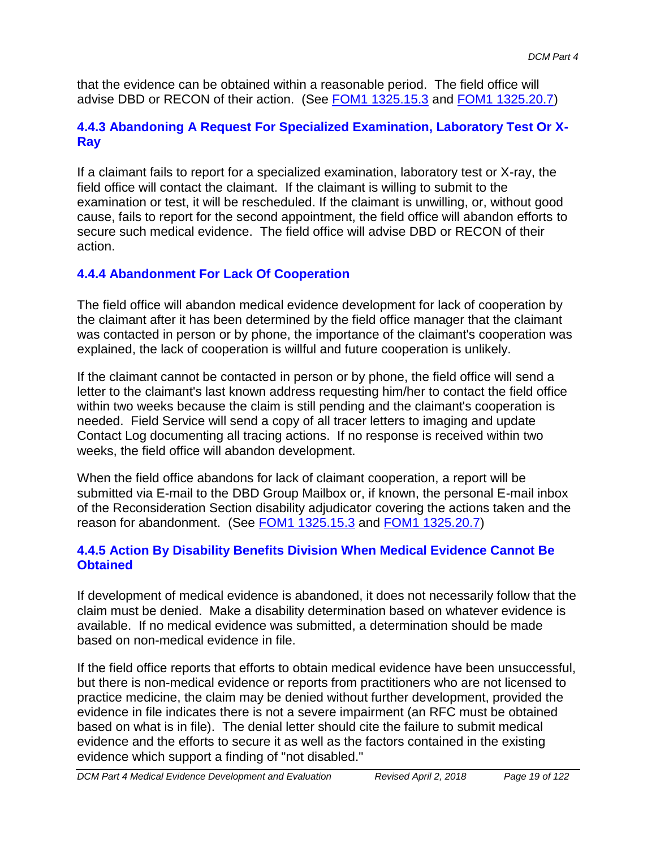that the evidence can be obtained within a reasonable period. The field office will advise DBD or RECON of their action. (See **FOM1 1325.15.3** and **FOM1 1325.20.7**)

### **4.4.3 Abandoning A Request For Specialized Examination, Laboratory Test Or X-Ray**

If a claimant fails to report for a specialized examination, laboratory test or X-ray, the field office will contact the claimant. If the claimant is willing to submit to the examination or test, it will be rescheduled. If the claimant is unwilling, or, without good cause, fails to report for the second appointment, the field office will abandon efforts to secure such medical evidence. The field office will advise DBD or RECON of their action.

# **4.4.4 Abandonment For Lack Of Cooperation**

The field office will abandon medical evidence development for lack of cooperation by the claimant after it has been determined by the field office manager that the claimant was contacted in person or by phone, the importance of the claimant's cooperation was explained, the lack of cooperation is willful and future cooperation is unlikely.

If the claimant cannot be contacted in person or by phone, the field office will send a letter to the claimant's last known address requesting him/her to contact the field office within two weeks because the claim is still pending and the claimant's cooperation is needed. Field Service will send a copy of all tracer letters to imaging and update Contact Log documenting all tracing actions. If no response is received within two weeks, the field office will abandon development.

When the field office abandons for lack of claimant cooperation, a report will be submitted via E-mail to the DBD Group Mailbox or, if known, the personal E-mail inbox of the Reconsideration Section disability adjudicator covering the actions taken and the reason for abandonment. (See FOM1 1325.15.3 and FOM1 1325.20.7)

### **4.4.5 Action By Disability Benefits Division When Medical Evidence Cannot Be Obtained**

If development of medical evidence is abandoned, it does not necessarily follow that the claim must be denied. Make a disability determination based on whatever evidence is available. If no medical evidence was submitted, a determination should be made based on non-medical evidence in file.

If the field office reports that efforts to obtain medical evidence have been unsuccessful, but there is non-medical evidence or reports from practitioners who are not licensed to practice medicine, the claim may be denied without further development, provided the evidence in file indicates there is not a severe impairment (an RFC must be obtained based on what is in file). The denial letter should cite the failure to submit medical evidence and the efforts to secure it as well as the factors contained in the existing evidence which support a finding of "not disabled."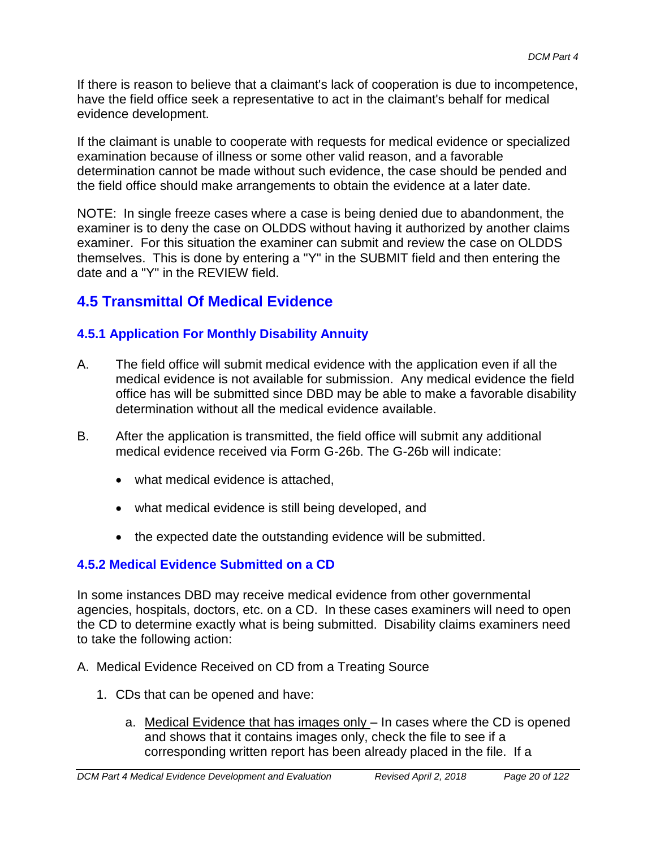If there is reason to believe that a claimant's lack of cooperation is due to incompetence, have the field office seek a representative to act in the claimant's behalf for medical evidence development.

If the claimant is unable to cooperate with requests for medical evidence or specialized examination because of illness or some other valid reason, and a favorable determination cannot be made without such evidence, the case should be pended and the field office should make arrangements to obtain the evidence at a later date.

NOTE: In single freeze cases where a case is being denied due to abandonment, the examiner is to deny the case on OLDDS without having it authorized by another claims examiner. For this situation the examiner can submit and review the case on OLDDS themselves. This is done by entering a "Y" in the SUBMIT field and then entering the date and a "Y" in the REVIEW field.

# **4.5 Transmittal Of Medical Evidence**

# **4.5.1 Application For Monthly Disability Annuity**

- A. The field office will submit medical evidence with the application even if all the medical evidence is not available for submission. Any medical evidence the field office has will be submitted since DBD may be able to make a favorable disability determination without all the medical evidence available.
- B. After the application is transmitted, the field office will submit any additional medical evidence received via Form G-26b. The G-26b will indicate:
	- what medical evidence is attached.
	- what medical evidence is still being developed, and
	- the expected date the outstanding evidence will be submitted.

# **4.5.2 Medical Evidence Submitted on a CD**

In some instances DBD may receive medical evidence from other governmental agencies, hospitals, doctors, etc. on a CD. In these cases examiners will need to open the CD to determine exactly what is being submitted. Disability claims examiners need to take the following action:

- A. Medical Evidence Received on CD from a Treating Source
	- 1. CDs that can be opened and have:
		- a. Medical Evidence that has images only In cases where the CD is opened and shows that it contains images only, check the file to see if a corresponding written report has been already placed in the file. If a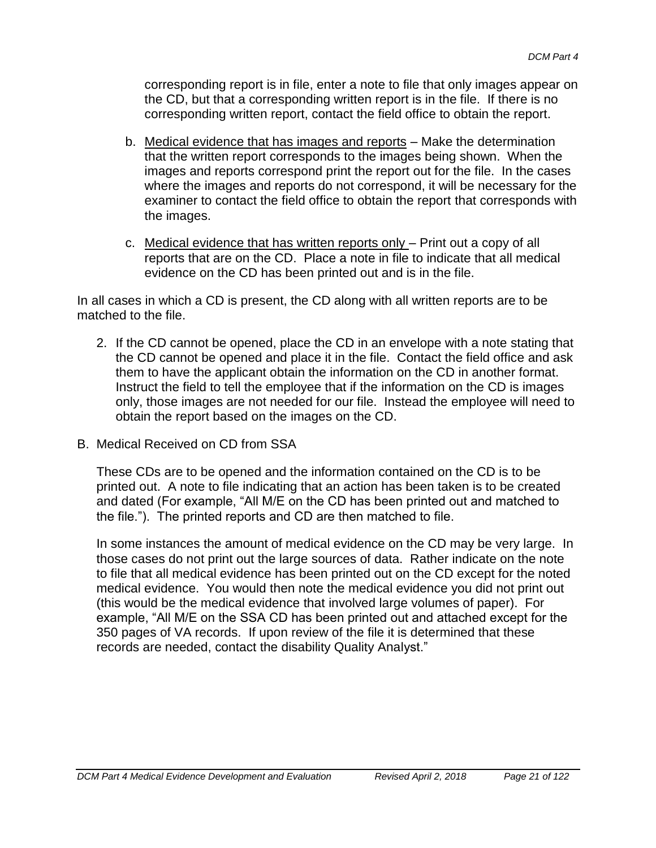corresponding report is in file, enter a note to file that only images appear on the CD, but that a corresponding written report is in the file. If there is no corresponding written report, contact the field office to obtain the report.

- b. Medical evidence that has images and reports Make the determination that the written report corresponds to the images being shown. When the images and reports correspond print the report out for the file. In the cases where the images and reports do not correspond, it will be necessary for the examiner to contact the field office to obtain the report that corresponds with the images.
- c. Medical evidence that has written reports only Print out a copy of all reports that are on the CD. Place a note in file to indicate that all medical evidence on the CD has been printed out and is in the file.

In all cases in which a CD is present, the CD along with all written reports are to be matched to the file.

- 2. If the CD cannot be opened, place the CD in an envelope with a note stating that the CD cannot be opened and place it in the file. Contact the field office and ask them to have the applicant obtain the information on the CD in another format. Instruct the field to tell the employee that if the information on the CD is images only, those images are not needed for our file. Instead the employee will need to obtain the report based on the images on the CD.
- B. Medical Received on CD from SSA

These CDs are to be opened and the information contained on the CD is to be printed out. A note to file indicating that an action has been taken is to be created and dated (For example, "All M/E on the CD has been printed out and matched to the file."). The printed reports and CD are then matched to file.

In some instances the amount of medical evidence on the CD may be very large. In those cases do not print out the large sources of data. Rather indicate on the note to file that all medical evidence has been printed out on the CD except for the noted medical evidence. You would then note the medical evidence you did not print out (this would be the medical evidence that involved large volumes of paper). For example, "All M/E on the SSA CD has been printed out and attached except for the 350 pages of VA records. If upon review of the file it is determined that these records are needed, contact the disability Quality Analyst."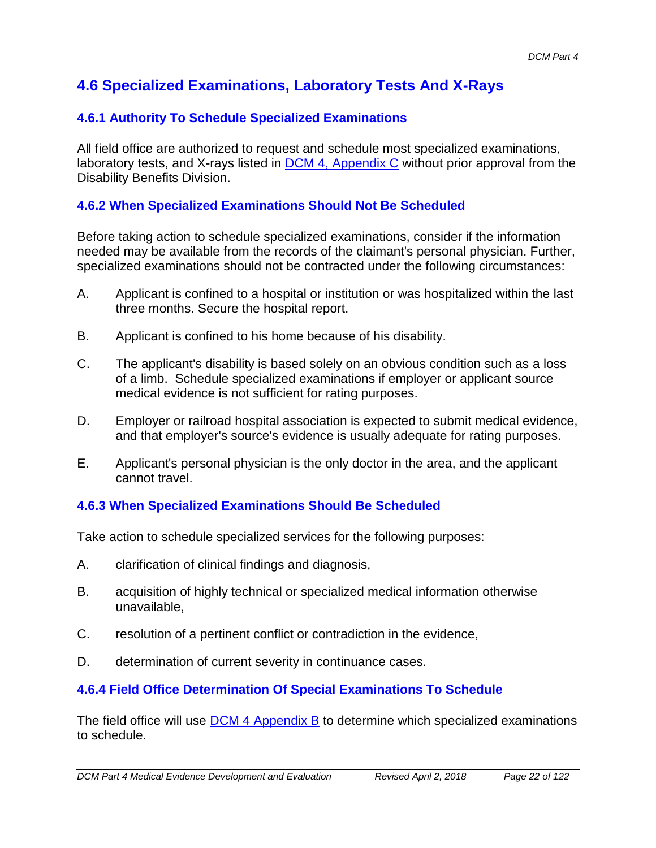# **4.6 Specialized Examinations, Laboratory Tests And X-Rays**

### **4.6.1 Authority To Schedule Specialized Examinations**

All field office are authorized to request and schedule most specialized examinations, laboratory tests, and X-rays listed in DCM 4, Appendix C without prior approval from the Disability Benefits Division.

### **4.6.2 When Specialized Examinations Should Not Be Scheduled**

Before taking action to schedule specialized examinations, consider if the information needed may be available from the records of the claimant's personal physician. Further, specialized examinations should not be contracted under the following circumstances:

- A. Applicant is confined to a hospital or institution or was hospitalized within the last three months. Secure the hospital report.
- B. Applicant is confined to his home because of his disability.
- C. The applicant's disability is based solely on an obvious condition such as a loss of a limb. Schedule specialized examinations if employer or applicant source medical evidence is not sufficient for rating purposes.
- D. Employer or railroad hospital association is expected to submit medical evidence, and that employer's source's evidence is usually adequate for rating purposes.
- E. Applicant's personal physician is the only doctor in the area, and the applicant cannot travel.

# **4.6.3 When Specialized Examinations Should Be Scheduled**

Take action to schedule specialized services for the following purposes:

- A. clarification of clinical findings and diagnosis,
- B. acquisition of highly technical or specialized medical information otherwise unavailable,
- C. resolution of a pertinent conflict or contradiction in the evidence,
- D. determination of current severity in continuance cases.

### **4.6.4 Field Office Determination Of Special Examinations To Schedule**

The field office will use DCM 4 Appendix B to determine which specialized examinations to schedule.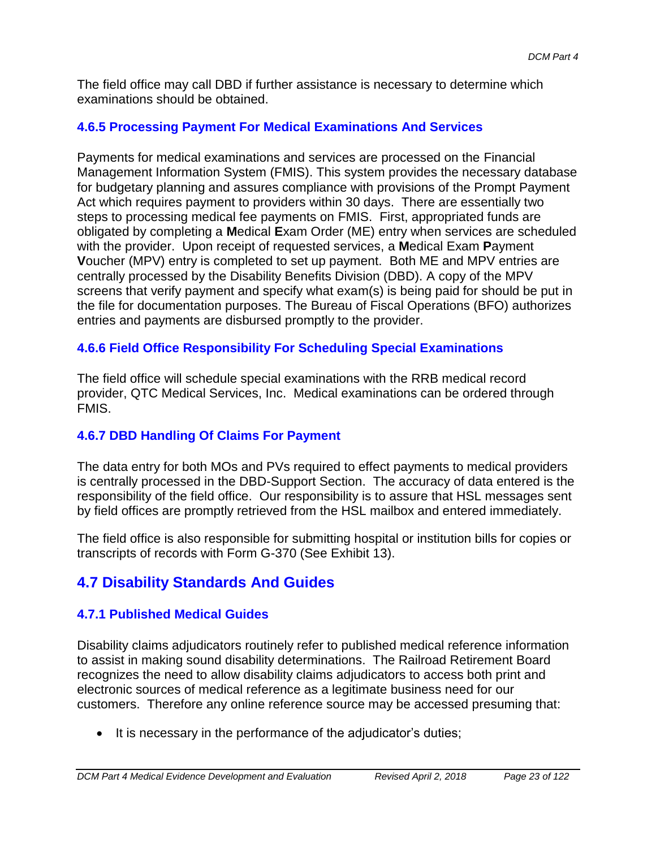The field office may call DBD if further assistance is necessary to determine which examinations should be obtained.

## **4.6.5 Processing Payment For Medical Examinations And Services**

Payments for medical examinations and services are processed on the Financial Management Information System (FMIS). This system provides the necessary database for budgetary planning and assures compliance with provisions of the Prompt Payment Act which requires payment to providers within 30 days. There are essentially two steps to processing medical fee payments on FMIS. First, appropriated funds are obligated by completing a **M**edical **E**xam Order (ME) entry when services are scheduled with the provider. Upon receipt of requested services, a **M**edical Exam **P**ayment **V**oucher (MPV) entry is completed to set up payment. Both ME and MPV entries are centrally processed by the Disability Benefits Division (DBD). A copy of the MPV screens that verify payment and specify what exam(s) is being paid for should be put in the file for documentation purposes. The Bureau of Fiscal Operations (BFO) authorizes entries and payments are disbursed promptly to the provider.

## **4.6.6 Field Office Responsibility For Scheduling Special Examinations**

The field office will schedule special examinations with the RRB medical record provider, QTC Medical Services, Inc. Medical examinations can be ordered through FMIS.

### **4.6.7 DBD Handling Of Claims For Payment**

The data entry for both MOs and PVs required to effect payments to medical providers is centrally processed in the DBD-Support Section. The accuracy of data entered is the responsibility of the field office. Our responsibility is to assure that HSL messages sent by field offices are promptly retrieved from the HSL mailbox and entered immediately.

The field office is also responsible for submitting hospital or institution bills for copies or transcripts of records with Form G-370 (See Exhibit 13).

# **4.7 Disability Standards And Guides**

### **4.7.1 Published Medical Guides**

Disability claims adjudicators routinely refer to published medical reference information to assist in making sound disability determinations. The Railroad Retirement Board recognizes the need to allow disability claims adjudicators to access both print and electronic sources of medical reference as a legitimate business need for our customers. Therefore any online reference source may be accessed presuming that:

• It is necessary in the performance of the adjudicator's duties;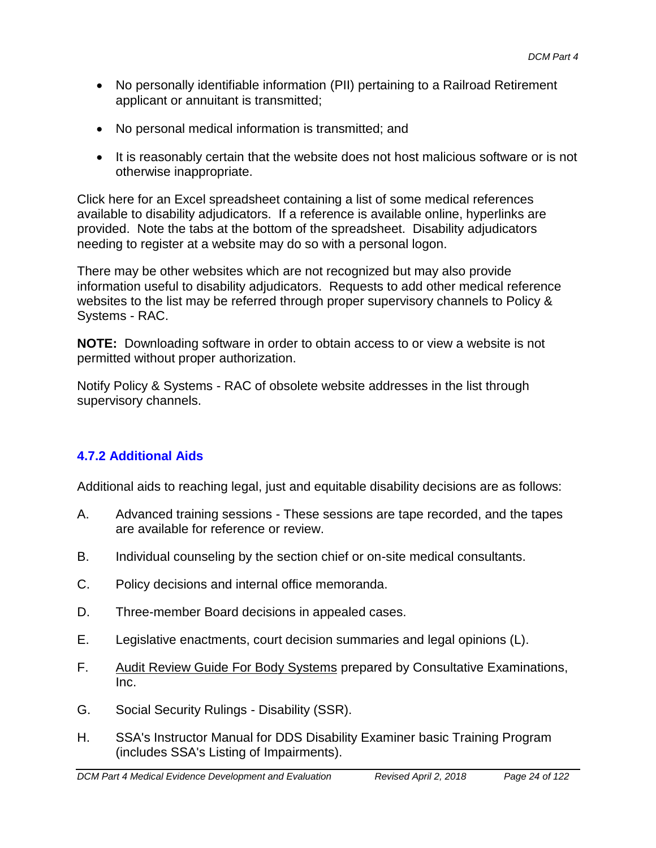- No personally identifiable information (PII) pertaining to a Railroad Retirement applicant or annuitant is transmitted;
- No personal medical information is transmitted; and
- It is reasonably certain that the website does not host malicious software or is not otherwise inappropriate.

Click here for an Excel spreadsheet containing a list of some medical references available to disability adjudicators. If a reference is available online, hyperlinks are provided. Note the tabs at the bottom of the spreadsheet. Disability adjudicators needing to register at a website may do so with a personal logon.

There may be other websites which are not recognized but may also provide information useful to disability adjudicators. Requests to add other medical reference websites to the list may be referred through proper supervisory channels to Policy & Systems - RAC.

**NOTE:** Downloading software in order to obtain access to or view a website is not permitted without proper authorization.

Notify Policy & Systems - RAC of obsolete website addresses in the list through supervisory channels.

# **4.7.2 Additional Aids**

Additional aids to reaching legal, just and equitable disability decisions are as follows:

- A. Advanced training sessions These sessions are tape recorded, and the tapes are available for reference or review.
- B. Individual counseling by the section chief or on-site medical consultants.
- C. Policy decisions and internal office memoranda.
- D. Three-member Board decisions in appealed cases.
- E. Legislative enactments, court decision summaries and legal opinions (L).
- F. Audit Review Guide For Body Systems prepared by Consultative Examinations, Inc.
- G. Social Security Rulings Disability (SSR).
- H. SSA's Instructor Manual for DDS Disability Examiner basic Training Program (includes SSA's Listing of Impairments).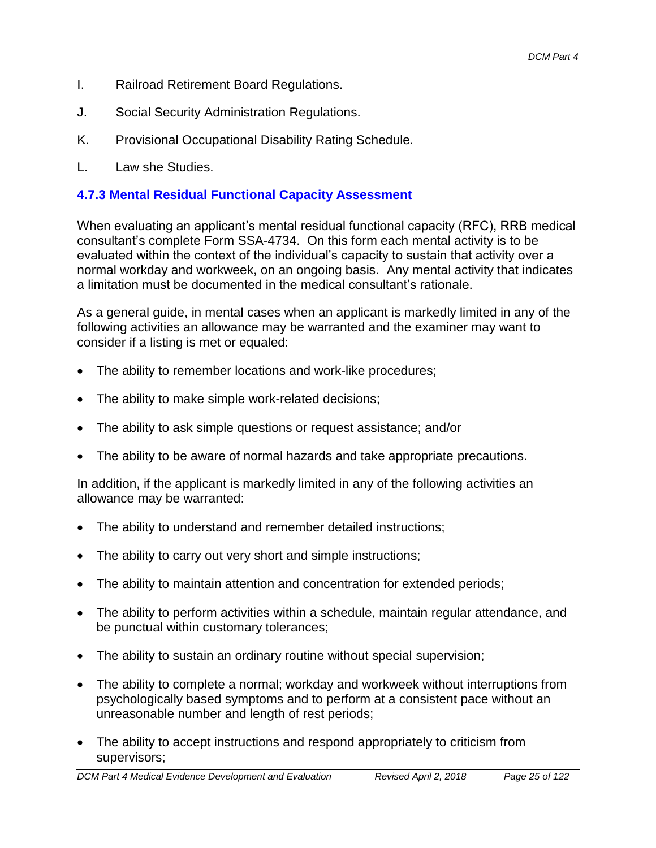- I. Railroad Retirement Board Regulations.
- J. Social Security Administration Regulations.
- K. Provisional Occupational Disability Rating Schedule.
- L. Law she Studies.

## **4.7.3 Mental Residual Functional Capacity Assessment**

When evaluating an applicant's mental residual functional capacity (RFC), RRB medical consultant's complete Form SSA-4734. On this form each mental activity is to be evaluated within the context of the individual's capacity to sustain that activity over a normal workday and workweek, on an ongoing basis. Any mental activity that indicates a limitation must be documented in the medical consultant's rationale.

As a general guide, in mental cases when an applicant is markedly limited in any of the following activities an allowance may be warranted and the examiner may want to consider if a listing is met or equaled:

- The ability to remember locations and work-like procedures;
- The ability to make simple work-related decisions;
- The ability to ask simple questions or request assistance; and/or
- The ability to be aware of normal hazards and take appropriate precautions.

In addition, if the applicant is markedly limited in any of the following activities an allowance may be warranted:

- The ability to understand and remember detailed instructions;
- The ability to carry out very short and simple instructions;
- The ability to maintain attention and concentration for extended periods;
- The ability to perform activities within a schedule, maintain regular attendance, and be punctual within customary tolerances;
- The ability to sustain an ordinary routine without special supervision;
- The ability to complete a normal; workday and workweek without interruptions from psychologically based symptoms and to perform at a consistent pace without an unreasonable number and length of rest periods;
- The ability to accept instructions and respond appropriately to criticism from supervisors;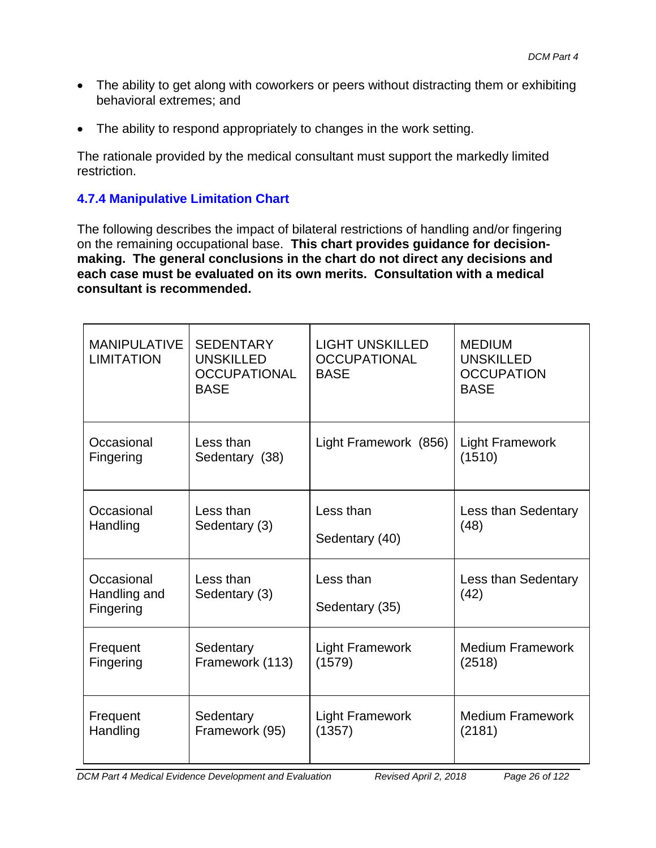- The ability to get along with coworkers or peers without distracting them or exhibiting behavioral extremes; and
- The ability to respond appropriately to changes in the work setting.

The rationale provided by the medical consultant must support the markedly limited restriction.

# **4.7.4 Manipulative Limitation Chart**

The following describes the impact of bilateral restrictions of handling and/or fingering on the remaining occupational base. **This chart provides guidance for decisionmaking. The general conclusions in the chart do not direct any decisions and each case must be evaluated on its own merits. Consultation with a medical consultant is recommended.**

| <b>MANIPULATIVE</b><br><b>LIMITATION</b> | <b>SEDENTARY</b><br><b>UNSKILLED</b><br><b>OCCUPATIONAL</b><br><b>BASE</b> | <b>LIGHT UNSKILLED</b><br><b>OCCUPATIONAL</b><br><b>BASE</b> | <b>MEDIUM</b><br><b>UNSKILLED</b><br><b>OCCUPATION</b><br><b>BASE</b> |
|------------------------------------------|----------------------------------------------------------------------------|--------------------------------------------------------------|-----------------------------------------------------------------------|
| Occasional                               | Less than                                                                  | Light Framework (856)                                        | <b>Light Framework</b>                                                |
| Fingering                                | Sedentary (38)                                                             |                                                              | (1510)                                                                |
| Occasional                               | Less than                                                                  | Less than                                                    | Less than Sedentary                                                   |
| Handling                                 | Sedentary (3)                                                              | Sedentary (40)                                               | (48)                                                                  |
| Occasional<br>Handling and<br>Fingering  | Less than<br>Sedentary (3)                                                 | Less than<br>Sedentary (35)                                  | Less than Sedentary<br>(42)                                           |
| Frequent                                 | Sedentary                                                                  | <b>Light Framework</b>                                       | <b>Medium Framework</b>                                               |
| Fingering                                | Framework (113)                                                            | (1579)                                                       | (2518)                                                                |
| Frequent                                 | Sedentary                                                                  | <b>Light Framework</b>                                       | <b>Medium Framework</b>                                               |
| Handling                                 | Framework (95)                                                             | (1357)                                                       | (2181)                                                                |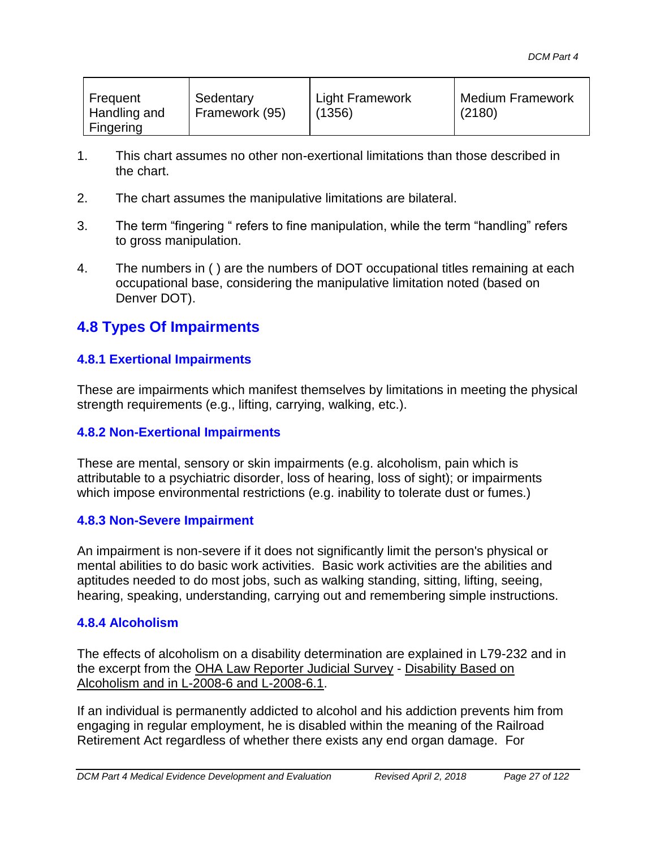| Frequent<br>Handling and<br>Fingering | Sedentary<br>Framework (95) | <b>Light Framework</b><br>(1356) | <b>Medium Framework</b><br>(2180) |
|---------------------------------------|-----------------------------|----------------------------------|-----------------------------------|
|---------------------------------------|-----------------------------|----------------------------------|-----------------------------------|

- 1. This chart assumes no other non-exertional limitations than those described in the chart.
- 2. The chart assumes the manipulative limitations are bilateral.
- 3. The term "fingering " refers to fine manipulation, while the term "handling" refers to gross manipulation.
- 4. The numbers in ( ) are the numbers of DOT occupational titles remaining at each occupational base, considering the manipulative limitation noted (based on Denver DOT).

# **4.8 Types Of Impairments**

#### **4.8.1 Exertional Impairments**

These are impairments which manifest themselves by limitations in meeting the physical strength requirements (e.g., lifting, carrying, walking, etc.).

#### **4.8.2 Non-Exertional Impairments**

These are mental, sensory or skin impairments (e.g. alcoholism, pain which is attributable to a psychiatric disorder, loss of hearing, loss of sight); or impairments which impose environmental restrictions (e.g. inability to tolerate dust or fumes.)

#### **4.8.3 Non-Severe Impairment**

An impairment is non-severe if it does not significantly limit the person's physical or mental abilities to do basic work activities. Basic work activities are the abilities and aptitudes needed to do most jobs, such as walking standing, sitting, lifting, seeing, hearing, speaking, understanding, carrying out and remembering simple instructions.

#### **4.8.4 Alcoholism**

The effects of alcoholism on a disability determination are explained in L79-232 and in the excerpt from the OHA Law Reporter Judicial Survey - Disability Based on Alcoholism and in L-2008-6 and L-2008-6.1.

If an individual is permanently addicted to alcohol and his addiction prevents him from engaging in regular employment, he is disabled within the meaning of the Railroad Retirement Act regardless of whether there exists any end organ damage. For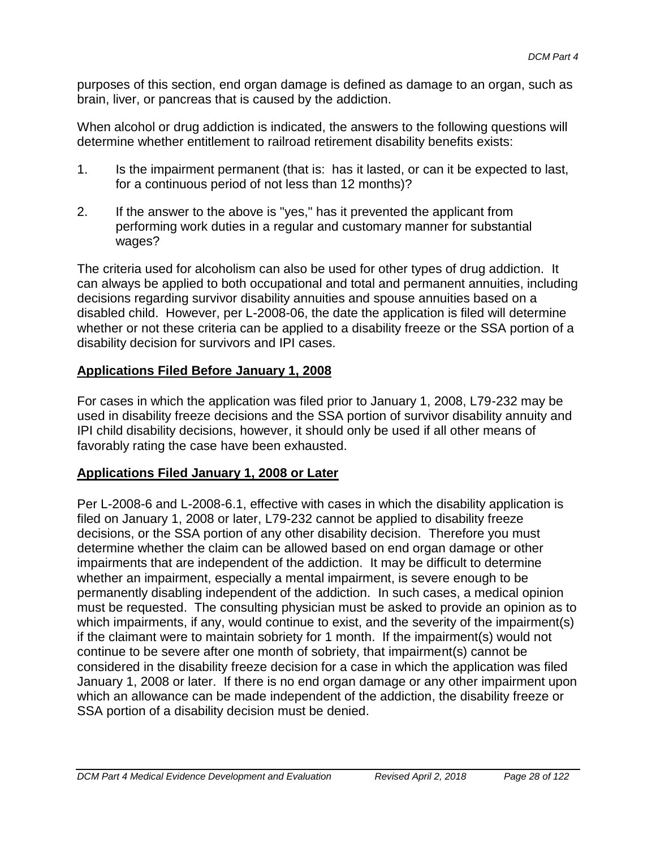purposes of this section, end organ damage is defined as damage to an organ, such as brain, liver, or pancreas that is caused by the addiction.

When alcohol or drug addiction is indicated, the answers to the following questions will determine whether entitlement to railroad retirement disability benefits exists:

- 1. Is the impairment permanent (that is: has it lasted, or can it be expected to last, for a continuous period of not less than 12 months)?
- 2. If the answer to the above is "yes," has it prevented the applicant from performing work duties in a regular and customary manner for substantial wages?

The criteria used for alcoholism can also be used for other types of drug addiction. It can always be applied to both occupational and total and permanent annuities, including decisions regarding survivor disability annuities and spouse annuities based on a disabled child. However, per L-2008-06, the date the application is filed will determine whether or not these criteria can be applied to a disability freeze or the SSA portion of a disability decision for survivors and IPI cases.

#### **Applications Filed Before January 1, 2008**

For cases in which the application was filed prior to January 1, 2008, L79-232 may be used in disability freeze decisions and the SSA portion of survivor disability annuity and IPI child disability decisions, however, it should only be used if all other means of favorably rating the case have been exhausted.

#### **Applications Filed January 1, 2008 or Later**

Per L-2008-6 and L-2008-6.1, effective with cases in which the disability application is filed on January 1, 2008 or later, L79-232 cannot be applied to disability freeze decisions, or the SSA portion of any other disability decision. Therefore you must determine whether the claim can be allowed based on end organ damage or other impairments that are independent of the addiction. It may be difficult to determine whether an impairment, especially a mental impairment, is severe enough to be permanently disabling independent of the addiction. In such cases, a medical opinion must be requested. The consulting physician must be asked to provide an opinion as to which impairments, if any, would continue to exist, and the severity of the impairment(s) if the claimant were to maintain sobriety for 1 month. If the impairment(s) would not continue to be severe after one month of sobriety, that impairment(s) cannot be considered in the disability freeze decision for a case in which the application was filed January 1, 2008 or later. If there is no end organ damage or any other impairment upon which an allowance can be made independent of the addiction, the disability freeze or SSA portion of a disability decision must be denied.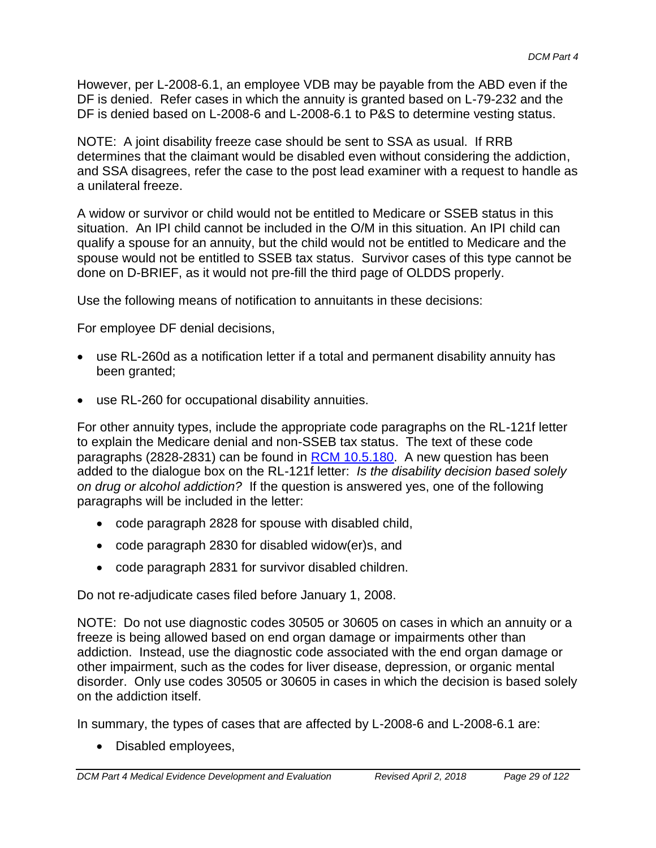However, per L-2008-6.1, an employee VDB may be payable from the ABD even if the DF is denied. Refer cases in which the annuity is granted based on L-79-232 and the DF is denied based on L-2008-6 and L-2008-6.1 to P&S to determine vesting status.

NOTE: A joint disability freeze case should be sent to SSA as usual. If RRB determines that the claimant would be disabled even without considering the addiction, and SSA disagrees, refer the case to the post lead examiner with a request to handle as a unilateral freeze.

A widow or survivor or child would not be entitled to Medicare or SSEB status in this situation. An IPI child cannot be included in the O/M in this situation. An IPI child can qualify a spouse for an annuity, but the child would not be entitled to Medicare and the spouse would not be entitled to SSEB tax status. Survivor cases of this type cannot be done on D-BRIEF, as it would not pre-fill the third page of OLDDS properly.

Use the following means of notification to annuitants in these decisions:

For employee DF denial decisions,

- use RL-260d as a notification letter if a total and permanent disability annuity has been granted;
- use RL-260 for occupational disability annuities.

For other annuity types, include the appropriate code paragraphs on the RL-121f letter to explain the Medicare denial and non-SSEB tax status. The text of these code paragraphs (2828-2831) can be found in RCM 10.5.180. A new question has been added to the dialogue box on the RL-121f letter: *Is the disability decision based solely on drug or alcohol addiction?* If the question is answered yes, one of the following paragraphs will be included in the letter:

- code paragraph 2828 for spouse with disabled child,
- code paragraph 2830 for disabled widow(er)s, and
- code paragraph 2831 for survivor disabled children.

Do not re-adjudicate cases filed before January 1, 2008.

NOTE: Do not use diagnostic codes 30505 or 30605 on cases in which an annuity or a freeze is being allowed based on end organ damage or impairments other than addiction. Instead, use the diagnostic code associated with the end organ damage or other impairment, such as the codes for liver disease, depression, or organic mental disorder. Only use codes 30505 or 30605 in cases in which the decision is based solely on the addiction itself.

In summary, the types of cases that are affected by L-2008-6 and L-2008-6.1 are:

• Disabled employees,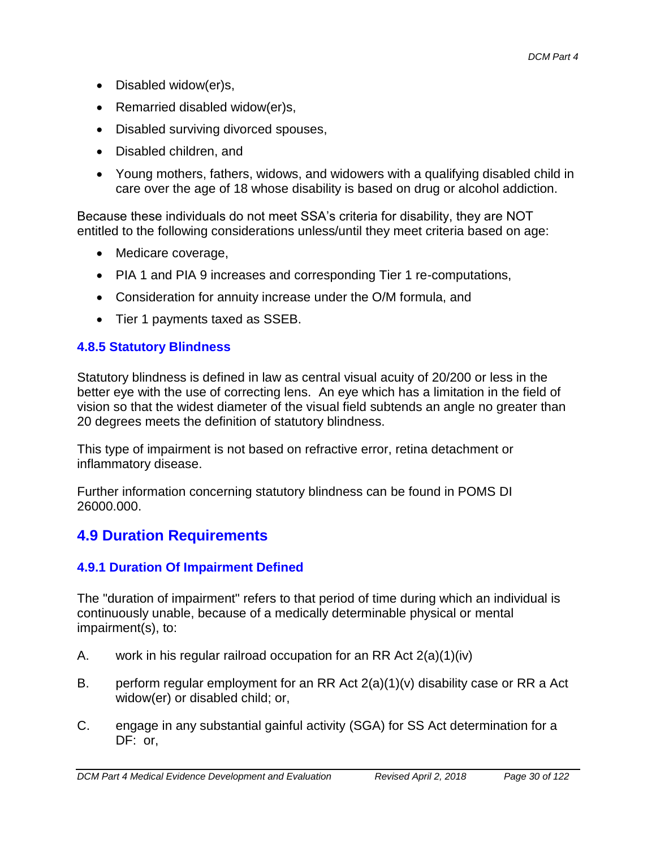- Disabled widow(er)s,
- Remarried disabled widow(er)s,
- Disabled surviving divorced spouses,
- Disabled children, and
- Young mothers, fathers, widows, and widowers with a qualifying disabled child in care over the age of 18 whose disability is based on drug or alcohol addiction.

Because these individuals do not meet SSA's criteria for disability, they are NOT entitled to the following considerations unless/until they meet criteria based on age:

- Medicare coverage,
- PIA 1 and PIA 9 increases and corresponding Tier 1 re-computations,
- Consideration for annuity increase under the O/M formula, and
- Tier 1 payments taxed as SSEB.

### **4.8.5 Statutory Blindness**

Statutory blindness is defined in law as central visual acuity of 20/200 or less in the better eye with the use of correcting lens. An eye which has a limitation in the field of vision so that the widest diameter of the visual field subtends an angle no greater than 20 degrees meets the definition of statutory blindness.

This type of impairment is not based on refractive error, retina detachment or inflammatory disease.

Further information concerning statutory blindness can be found in POMS DI 26000.000.

# **4.9 Duration Requirements**

### **4.9.1 Duration Of Impairment Defined**

The "duration of impairment" refers to that period of time during which an individual is continuously unable, because of a medically determinable physical or mental impairment(s), to:

- A. work in his regular railroad occupation for an RR Act 2(a)(1)(iv)
- B. perform regular employment for an RR Act  $2(a)(1)(v)$  disability case or RR a Act widow(er) or disabled child; or,
- C. engage in any substantial gainful activity (SGA) for SS Act determination for a DF: or,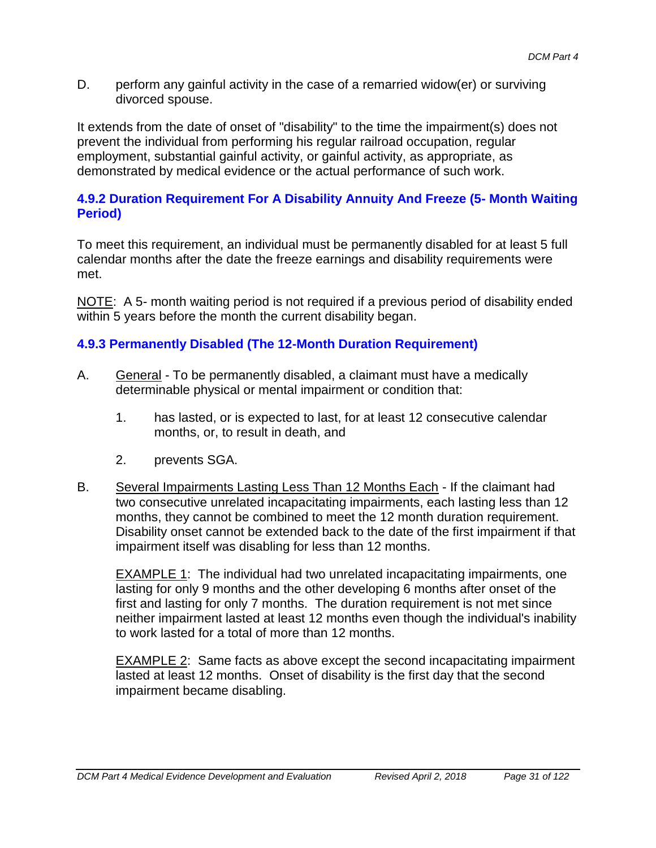D. perform any gainful activity in the case of a remarried widow(er) or surviving divorced spouse.

It extends from the date of onset of "disability" to the time the impairment(s) does not prevent the individual from performing his regular railroad occupation, regular employment, substantial gainful activity, or gainful activity, as appropriate, as demonstrated by medical evidence or the actual performance of such work.

## **4.9.2 Duration Requirement For A Disability Annuity And Freeze (5- Month Waiting Period)**

To meet this requirement, an individual must be permanently disabled for at least 5 full calendar months after the date the freeze earnings and disability requirements were met.

NOTE: A 5- month waiting period is not required if a previous period of disability ended within 5 years before the month the current disability began.

## **4.9.3 Permanently Disabled (The 12-Month Duration Requirement)**

- A. General To be permanently disabled, a claimant must have a medically determinable physical or mental impairment or condition that:
	- 1. has lasted, or is expected to last, for at least 12 consecutive calendar months, or, to result in death, and
	- 2. prevents SGA.
- B. Several Impairments Lasting Less Than 12 Months Each If the claimant had two consecutive unrelated incapacitating impairments, each lasting less than 12 months, they cannot be combined to meet the 12 month duration requirement. Disability onset cannot be extended back to the date of the first impairment if that impairment itself was disabling for less than 12 months.

EXAMPLE 1: The individual had two unrelated incapacitating impairments, one lasting for only 9 months and the other developing 6 months after onset of the first and lasting for only 7 months. The duration requirement is not met since neither impairment lasted at least 12 months even though the individual's inability to work lasted for a total of more than 12 months.

EXAMPLE 2: Same facts as above except the second incapacitating impairment lasted at least 12 months. Onset of disability is the first day that the second impairment became disabling.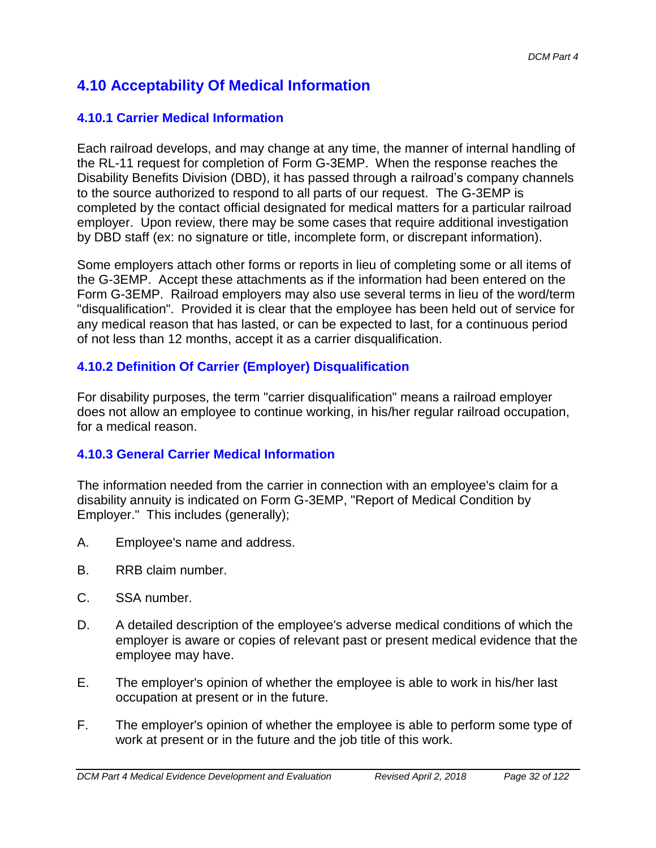# **4.10 Acceptability Of Medical Information**

## **4.10.1 Carrier Medical Information**

Each railroad develops, and may change at any time, the manner of internal handling of the RL-11 request for completion of Form G-3EMP. When the response reaches the Disability Benefits Division (DBD), it has passed through a railroad's company channels to the source authorized to respond to all parts of our request. The G-3EMP is completed by the contact official designated for medical matters for a particular railroad employer. Upon review, there may be some cases that require additional investigation by DBD staff (ex: no signature or title, incomplete form, or discrepant information).

Some employers attach other forms or reports in lieu of completing some or all items of the G-3EMP. Accept these attachments as if the information had been entered on the Form G-3EMP. Railroad employers may also use several terms in lieu of the word/term "disqualification". Provided it is clear that the employee has been held out of service for any medical reason that has lasted, or can be expected to last, for a continuous period of not less than 12 months, accept it as a carrier disqualification.

# **4.10.2 Definition Of Carrier (Employer) Disqualification**

For disability purposes, the term "carrier disqualification" means a railroad employer does not allow an employee to continue working, in his/her regular railroad occupation, for a medical reason.

### **4.10.3 General Carrier Medical Information**

The information needed from the carrier in connection with an employee's claim for a disability annuity is indicated on Form G-3EMP, "Report of Medical Condition by Employer." This includes (generally);

- A. Employee's name and address.
- B. RRB claim number.
- C. SSA number.
- D. A detailed description of the employee's adverse medical conditions of which the employer is aware or copies of relevant past or present medical evidence that the employee may have.
- E. The employer's opinion of whether the employee is able to work in his/her last occupation at present or in the future.
- F. The employer's opinion of whether the employee is able to perform some type of work at present or in the future and the job title of this work.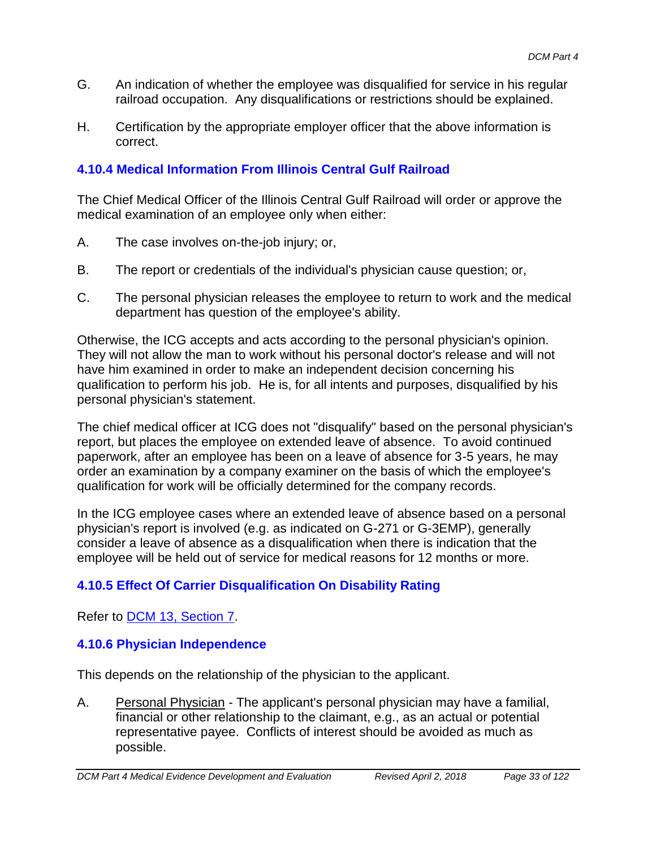- G. An indication of whether the employee was disqualified for service in his regular railroad occupation. Any disqualifications or restrictions should be explained.
- H. Certification by the appropriate employer officer that the above information is correct.

## **4.10.4 Medical Information From Illinois Central Gulf Railroad**

The Chief Medical Officer of the Illinois Central Gulf Railroad will order or approve the medical examination of an employee only when either:

- A. The case involves on-the-job injury; or,
- B. The report or credentials of the individual's physician cause question; or,
- C. The personal physician releases the employee to return to work and the medical department has question of the employee's ability.

Otherwise, the ICG accepts and acts according to the personal physician's opinion. They will not allow the man to work without his personal doctor's release and will not have him examined in order to make an independent decision concerning his qualification to perform his job. He is, for all intents and purposes, disqualified by his personal physician's statement.

The chief medical officer at ICG does not "disqualify" based on the personal physician's report, but places the employee on extended leave of absence. To avoid continued paperwork, after an employee has been on a leave of absence for 3-5 years, he may order an examination by a company examiner on the basis of which the employee's qualification for work will be officially determined for the company records.

In the ICG employee cases where an extended leave of absence based on a personal physician's report is involved (e.g. as indicated on G-271 or G-3EMP), generally consider a leave of absence as a disqualification when there is indication that the employee will be held out of service for medical reasons for 12 months or more.

# **4.10.5 Effect Of Carrier Disqualification On Disability Rating**

Refer to DCM 13, Section 7.

### **4.10.6 Physician Independence**

This depends on the relationship of the physician to the applicant.

A. Personal Physician - The applicant's personal physician may have a familial, financial or other relationship to the claimant, e.g., as an actual or potential representative payee. Conflicts of interest should be avoided as much as possible.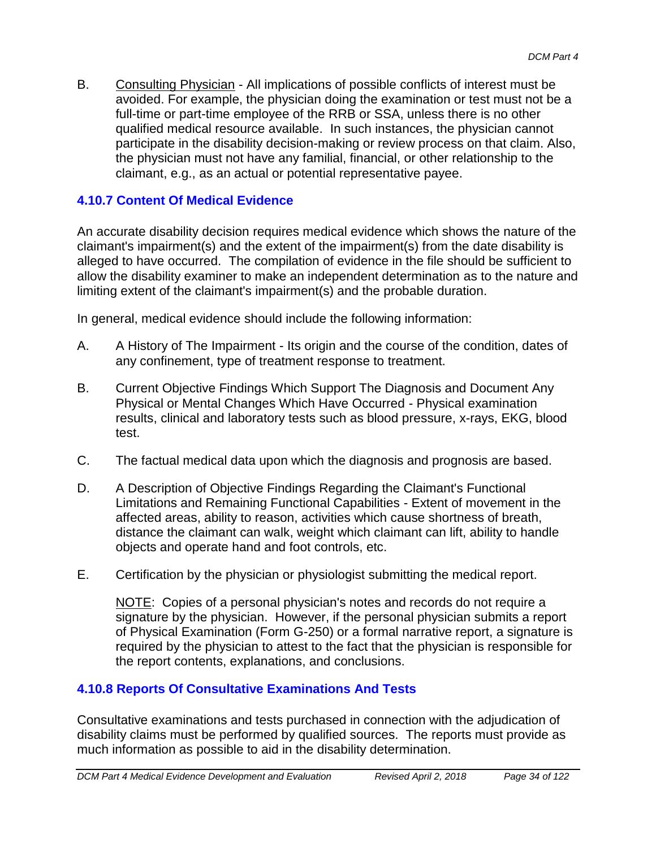B. Consulting Physician - All implications of possible conflicts of interest must be avoided. For example, the physician doing the examination or test must not be a full-time or part-time employee of the RRB or SSA, unless there is no other qualified medical resource available. In such instances, the physician cannot participate in the disability decision-making or review process on that claim. Also, the physician must not have any familial, financial, or other relationship to the claimant, e.g., as an actual or potential representative payee.

### **4.10.7 Content Of Medical Evidence**

An accurate disability decision requires medical evidence which shows the nature of the claimant's impairment(s) and the extent of the impairment(s) from the date disability is alleged to have occurred. The compilation of evidence in the file should be sufficient to allow the disability examiner to make an independent determination as to the nature and limiting extent of the claimant's impairment(s) and the probable duration.

In general, medical evidence should include the following information:

- A. A History of The Impairment Its origin and the course of the condition, dates of any confinement, type of treatment response to treatment.
- B. Current Objective Findings Which Support The Diagnosis and Document Any Physical or Mental Changes Which Have Occurred - Physical examination results, clinical and laboratory tests such as blood pressure, x-rays, EKG, blood test.
- C. The factual medical data upon which the diagnosis and prognosis are based.
- D. A Description of Objective Findings Regarding the Claimant's Functional Limitations and Remaining Functional Capabilities - Extent of movement in the affected areas, ability to reason, activities which cause shortness of breath, distance the claimant can walk, weight which claimant can lift, ability to handle objects and operate hand and foot controls, etc.
- E. Certification by the physician or physiologist submitting the medical report.

NOTE: Copies of a personal physician's notes and records do not require a signature by the physician. However, if the personal physician submits a report of Physical Examination (Form G-250) or a formal narrative report, a signature is required by the physician to attest to the fact that the physician is responsible for the report contents, explanations, and conclusions.

### **4.10.8 Reports Of Consultative Examinations And Tests**

Consultative examinations and tests purchased in connection with the adjudication of disability claims must be performed by qualified sources. The reports must provide as much information as possible to aid in the disability determination.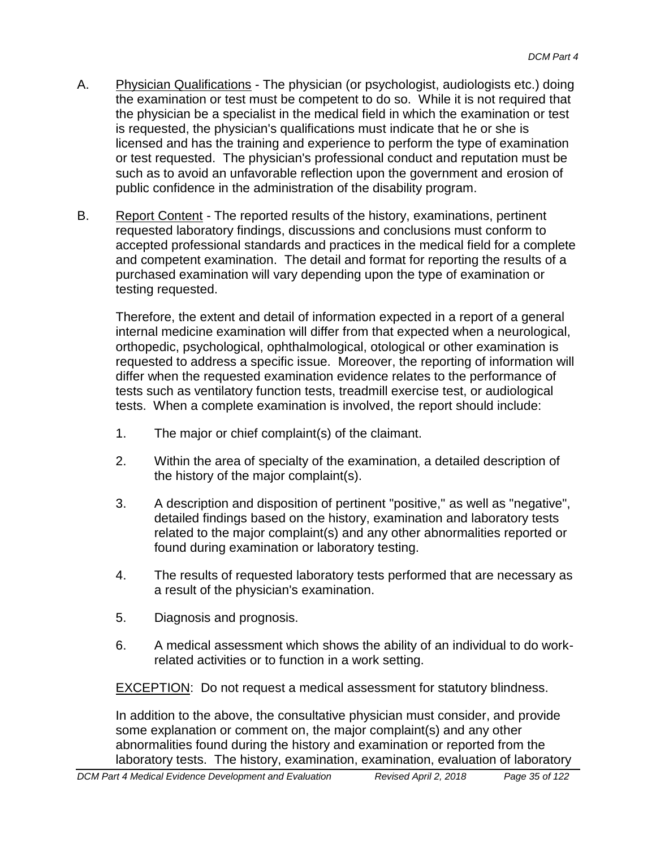- A. Physician Qualifications The physician (or psychologist, audiologists etc.) doing the examination or test must be competent to do so. While it is not required that the physician be a specialist in the medical field in which the examination or test is requested, the physician's qualifications must indicate that he or she is licensed and has the training and experience to perform the type of examination or test requested. The physician's professional conduct and reputation must be such as to avoid an unfavorable reflection upon the government and erosion of public confidence in the administration of the disability program.
- B. Report Content The reported results of the history, examinations, pertinent requested laboratory findings, discussions and conclusions must conform to accepted professional standards and practices in the medical field for a complete and competent examination. The detail and format for reporting the results of a purchased examination will vary depending upon the type of examination or testing requested.

Therefore, the extent and detail of information expected in a report of a general internal medicine examination will differ from that expected when a neurological, orthopedic, psychological, ophthalmological, otological or other examination is requested to address a specific issue. Moreover, the reporting of information will differ when the requested examination evidence relates to the performance of tests such as ventilatory function tests, treadmill exercise test, or audiological tests. When a complete examination is involved, the report should include:

- 1. The major or chief complaint(s) of the claimant.
- 2. Within the area of specialty of the examination, a detailed description of the history of the major complaint(s).
- 3. A description and disposition of pertinent "positive," as well as "negative", detailed findings based on the history, examination and laboratory tests related to the major complaint(s) and any other abnormalities reported or found during examination or laboratory testing.
- 4. The results of requested laboratory tests performed that are necessary as a result of the physician's examination.
- 5. Diagnosis and prognosis.
- 6. A medical assessment which shows the ability of an individual to do workrelated activities or to function in a work setting.

**EXCEPTION:** Do not request a medical assessment for statutory blindness.

In addition to the above, the consultative physician must consider, and provide some explanation or comment on, the major complaint(s) and any other abnormalities found during the history and examination or reported from the laboratory tests. The history, examination, examination, evaluation of laboratory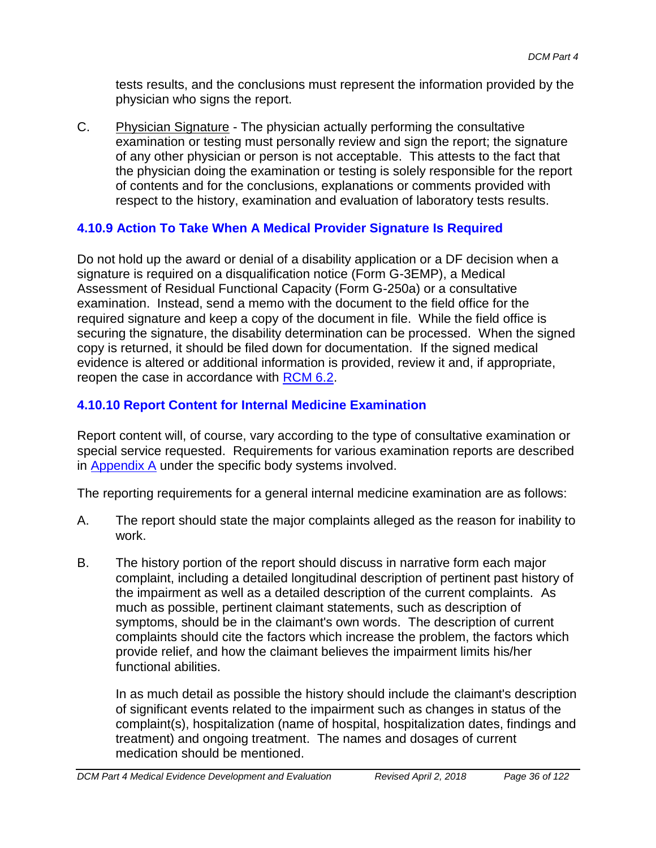tests results, and the conclusions must represent the information provided by the physician who signs the report.

C. Physician Signature - The physician actually performing the consultative examination or testing must personally review and sign the report; the signature of any other physician or person is not acceptable. This attests to the fact that the physician doing the examination or testing is solely responsible for the report of contents and for the conclusions, explanations or comments provided with respect to the history, examination and evaluation of laboratory tests results.

# **4.10.9 Action To Take When A Medical Provider Signature Is Required**

Do not hold up the award or denial of a disability application or a DF decision when a signature is required on a disqualification notice (Form G-3EMP), a Medical Assessment of Residual Functional Capacity (Form G-250a) or a consultative examination. Instead, send a memo with the document to the field office for the required signature and keep a copy of the document in file. While the field office is securing the signature, the disability determination can be processed. When the signed copy is returned, it should be filed down for documentation. If the signed medical evidence is altered or additional information is provided, review it and, if appropriate, reopen the case in accordance with RCM 6.2.

## **4.10.10 Report Content for Internal Medicine Examination**

Report content will, of course, vary according to the type of consultative examination or special service requested. Requirements for various examination reports are described in Appendix A under the specific body systems involved.

The reporting requirements for a general internal medicine examination are as follows:

- A. The report should state the major complaints alleged as the reason for inability to work.
- B. The history portion of the report should discuss in narrative form each major complaint, including a detailed longitudinal description of pertinent past history of the impairment as well as a detailed description of the current complaints. As much as possible, pertinent claimant statements, such as description of symptoms, should be in the claimant's own words. The description of current complaints should cite the factors which increase the problem, the factors which provide relief, and how the claimant believes the impairment limits his/her functional abilities.

In as much detail as possible the history should include the claimant's description of significant events related to the impairment such as changes in status of the complaint(s), hospitalization (name of hospital, hospitalization dates, findings and treatment) and ongoing treatment. The names and dosages of current medication should be mentioned.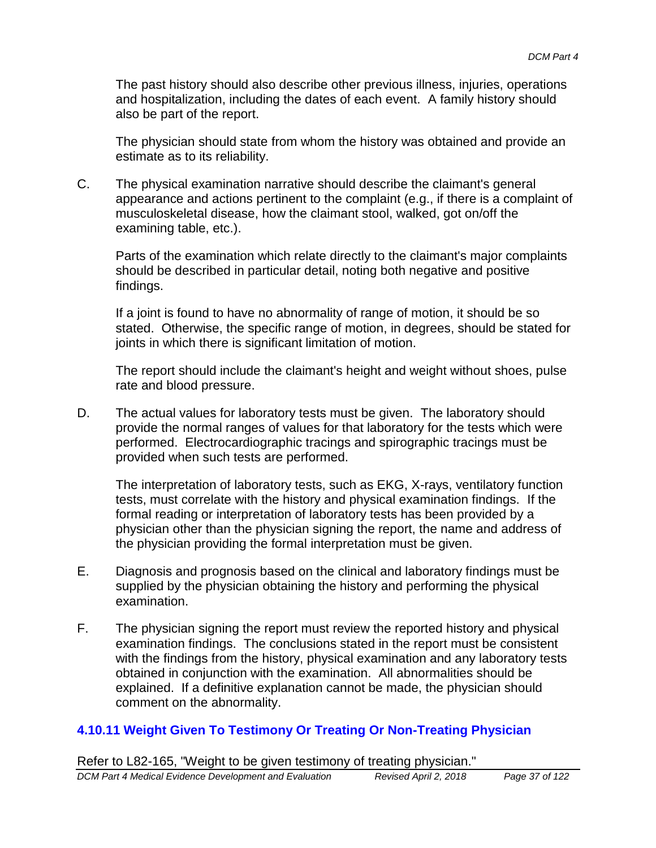The past history should also describe other previous illness, injuries, operations and hospitalization, including the dates of each event. A family history should also be part of the report.

The physician should state from whom the history was obtained and provide an estimate as to its reliability.

C. The physical examination narrative should describe the claimant's general appearance and actions pertinent to the complaint (e.g., if there is a complaint of musculoskeletal disease, how the claimant stool, walked, got on/off the examining table, etc.).

Parts of the examination which relate directly to the claimant's major complaints should be described in particular detail, noting both negative and positive findings.

If a joint is found to have no abnormality of range of motion, it should be so stated. Otherwise, the specific range of motion, in degrees, should be stated for joints in which there is significant limitation of motion.

The report should include the claimant's height and weight without shoes, pulse rate and blood pressure.

D. The actual values for laboratory tests must be given. The laboratory should provide the normal ranges of values for that laboratory for the tests which were performed. Electrocardiographic tracings and spirographic tracings must be provided when such tests are performed.

The interpretation of laboratory tests, such as EKG, X-rays, ventilatory function tests, must correlate with the history and physical examination findings. If the formal reading or interpretation of laboratory tests has been provided by a physician other than the physician signing the report, the name and address of the physician providing the formal interpretation must be given.

- E. Diagnosis and prognosis based on the clinical and laboratory findings must be supplied by the physician obtaining the history and performing the physical examination.
- F. The physician signing the report must review the reported history and physical examination findings. The conclusions stated in the report must be consistent with the findings from the history, physical examination and any laboratory tests obtained in conjunction with the examination. All abnormalities should be explained. If a definitive explanation cannot be made, the physician should comment on the abnormality.

## **4.10.11 Weight Given To Testimony Or Treating Or Non-Treating Physician**

Refer to L82-165, "Weight to be given testimony of treating physician."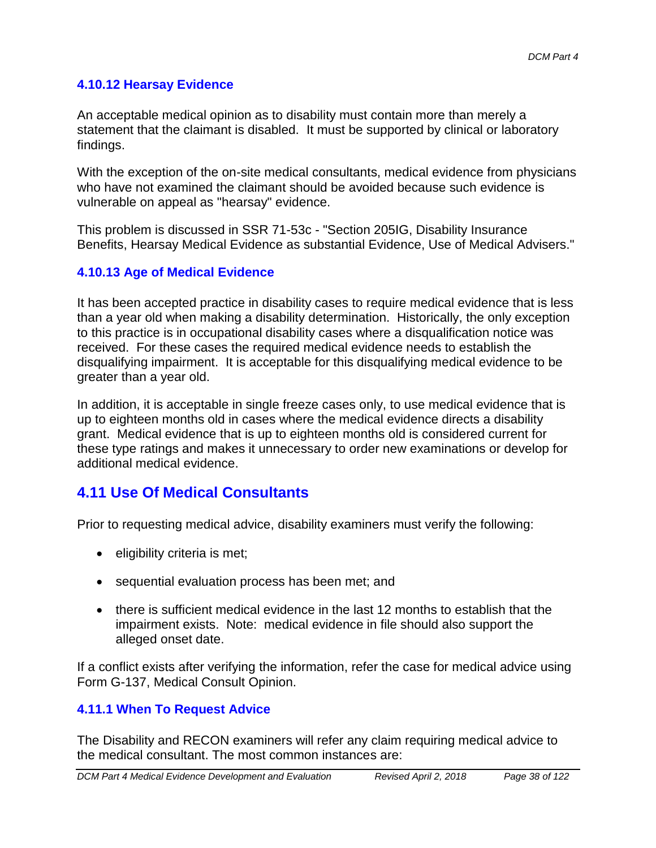## **4.10.12 Hearsay Evidence**

An acceptable medical opinion as to disability must contain more than merely a statement that the claimant is disabled. It must be supported by clinical or laboratory findings.

With the exception of the on-site medical consultants, medical evidence from physicians who have not examined the claimant should be avoided because such evidence is vulnerable on appeal as "hearsay" evidence.

This problem is discussed in SSR 71-53c - "Section 205IG, Disability Insurance Benefits, Hearsay Medical Evidence as substantial Evidence, Use of Medical Advisers."

## **4.10.13 Age of Medical Evidence**

It has been accepted practice in disability cases to require medical evidence that is less than a year old when making a disability determination. Historically, the only exception to this practice is in occupational disability cases where a disqualification notice was received. For these cases the required medical evidence needs to establish the disqualifying impairment. It is acceptable for this disqualifying medical evidence to be greater than a year old.

In addition, it is acceptable in single freeze cases only, to use medical evidence that is up to eighteen months old in cases where the medical evidence directs a disability grant. Medical evidence that is up to eighteen months old is considered current for these type ratings and makes it unnecessary to order new examinations or develop for additional medical evidence.

# **4.11 Use Of Medical Consultants**

Prior to requesting medical advice, disability examiners must verify the following:

- eligibility criteria is met;
- sequential evaluation process has been met; and
- there is sufficient medical evidence in the last 12 months to establish that the impairment exists. Note: medical evidence in file should also support the alleged onset date.

If a conflict exists after verifying the information, refer the case for medical advice using Form G-137, Medical Consult Opinion.

## **4.11.1 When To Request Advice**

The Disability and RECON examiners will refer any claim requiring medical advice to the medical consultant. The most common instances are: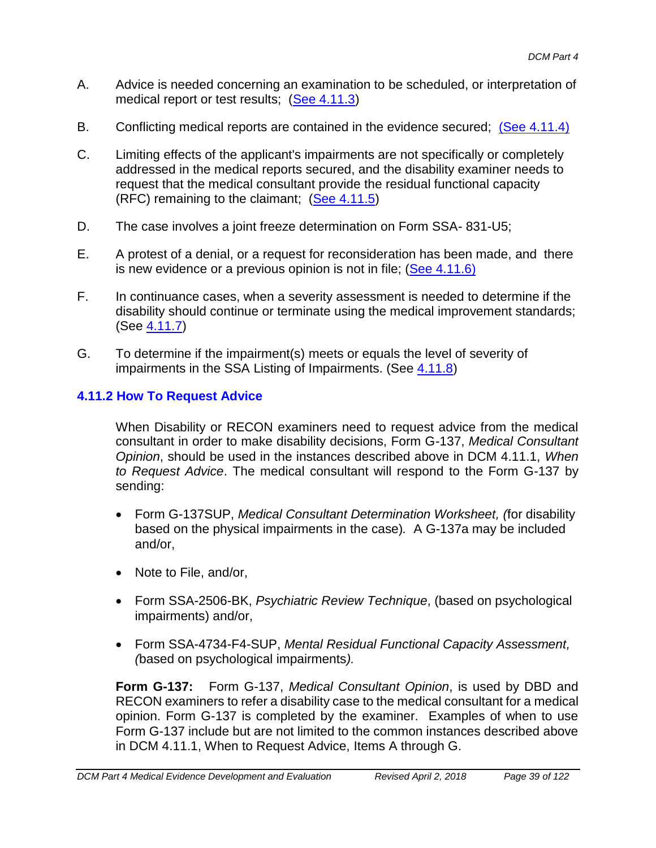- A. Advice is needed concerning an examination to be scheduled, or interpretation of medical report or test results; (See 4.11.3)
- B. Conflicting medical reports are contained in the evidence secured; (See 4.11.4)
- C. Limiting effects of the applicant's impairments are not specifically or completely addressed in the medical reports secured, and the disability examiner needs to request that the medical consultant provide the residual functional capacity (RFC) remaining to the claimant;  $(See 4.11.5)$
- D. The case involves a joint freeze determination on Form SSA- 831-U5;
- E. A protest of a denial, or a request for reconsideration has been made, and there is new evidence or a previous opinion is not in file; (See 4.11.6)
- F. In continuance cases, when a severity assessment is needed to determine if the disability should continue or terminate using the medical improvement standards; (See 4.11.7)
- G. To determine if the impairment(s) meets or equals the level of severity of impairments in the SSA Listing of Impairments. (See 4.11.8)

## **4.11.2 How To Request Advice**

When Disability or RECON examiners need to request advice from the medical consultant in order to make disability decisions, Form G-137, *Medical Consultant Opinion*, should be used in the instances described above in DCM 4.11.1, *When to Request Advice*. The medical consultant will respond to the Form G-137 by sending:

- Form G-137SUP, *Medical Consultant Determination Worksheet, (*for disability based on the physical impairments in the case)*.* A G-137a may be included and/or,
- Note to File, and/or,
- Form SSA-2506-BK, *Psychiatric Review Technique*, (based on psychological impairments) and/or,
- Form SSA-4734-F4-SUP, *Mental Residual Functional Capacity Assessment, (*based on psychological impairments*).*

**Form G-137:** Form G-137, *Medical Consultant Opinion*, is used by DBD and RECON examiners to refer a disability case to the medical consultant for a medical opinion. Form G-137 is completed by the examiner. Examples of when to use Form G-137 include but are not limited to the common instances described above in DCM 4.11.1, When to Request Advice, Items A through G.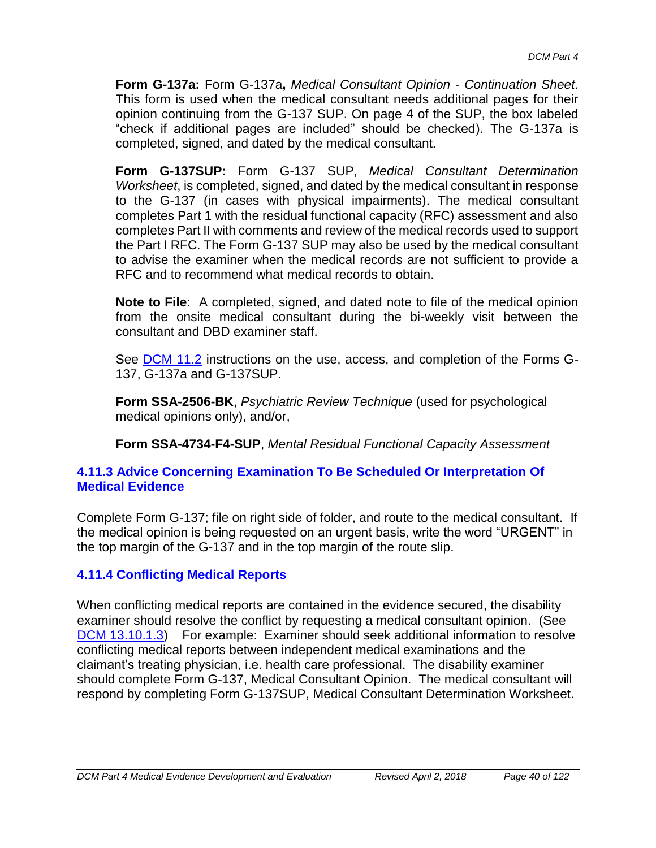**Form G-137a:** Form G-137a**,** *Medical Consultant Opinion - Continuation Sheet*. This form is used when the medical consultant needs additional pages for their opinion continuing from the G-137 SUP. On page 4 of the SUP, the box labeled "check if additional pages are included" should be checked). The G-137a is completed, signed, and dated by the medical consultant.

**Form G-137SUP:** Form G-137 SUP, *Medical Consultant Determination Worksheet*, is completed, signed, and dated by the medical consultant in response to the G-137 (in cases with physical impairments). The medical consultant completes Part 1 with the residual functional capacity (RFC) assessment and also completes Part II with comments and review of the medical records used to support the Part I RFC. The Form G-137 SUP may also be used by the medical consultant to advise the examiner when the medical records are not sufficient to provide a RFC and to recommend what medical records to obtain.

**Note to File**: A completed, signed, and dated note to file of the medical opinion from the onsite medical consultant during the bi-weekly visit between the consultant and DBD examiner staff.

See DCM 11.2 instructions on the use, access, and completion of the Forms G-137, G-137a and G-137SUP.

**Form SSA-2506-BK**, *Psychiatric Review Technique* (used for psychological medical opinions only), and/or,

**Form SSA-4734-F4-SUP**, *Mental Residual Functional Capacity Assessment*

#### **4.11.3 Advice Concerning Examination To Be Scheduled Or Interpretation Of Medical Evidence**

Complete Form G-137; file on right side of folder, and route to the medical consultant. If the medical opinion is being requested on an urgent basis, write the word "URGENT" in the top margin of the G-137 and in the top margin of the route slip.

## **4.11.4 Conflicting Medical Reports**

When conflicting medical reports are contained in the evidence secured, the disability examiner should resolve the conflict by requesting a medical consultant opinion. (See DCM 13.10.1.3) For example: Examiner should seek additional information to resolve conflicting medical reports between independent medical examinations and the claimant's treating physician, i.e. health care professional. The disability examiner should complete Form G-137, Medical Consultant Opinion. The medical consultant will respond by completing Form G-137SUP, Medical Consultant Determination Worksheet.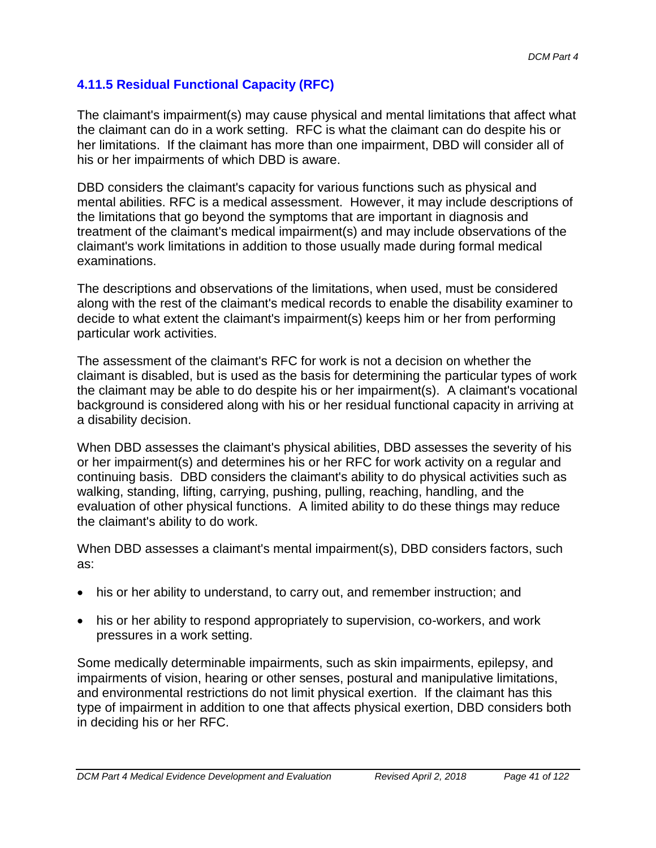## **4.11.5 Residual Functional Capacity (RFC)**

The claimant's impairment(s) may cause physical and mental limitations that affect what the claimant can do in a work setting. RFC is what the claimant can do despite his or her limitations. If the claimant has more than one impairment, DBD will consider all of his or her impairments of which DBD is aware.

DBD considers the claimant's capacity for various functions such as physical and mental abilities. RFC is a medical assessment. However, it may include descriptions of the limitations that go beyond the symptoms that are important in diagnosis and treatment of the claimant's medical impairment(s) and may include observations of the claimant's work limitations in addition to those usually made during formal medical examinations.

The descriptions and observations of the limitations, when used, must be considered along with the rest of the claimant's medical records to enable the disability examiner to decide to what extent the claimant's impairment(s) keeps him or her from performing particular work activities.

The assessment of the claimant's RFC for work is not a decision on whether the claimant is disabled, but is used as the basis for determining the particular types of work the claimant may be able to do despite his or her impairment(s). A claimant's vocational background is considered along with his or her residual functional capacity in arriving at a disability decision.

When DBD assesses the claimant's physical abilities, DBD assesses the severity of his or her impairment(s) and determines his or her RFC for work activity on a regular and continuing basis. DBD considers the claimant's ability to do physical activities such as walking, standing, lifting, carrying, pushing, pulling, reaching, handling, and the evaluation of other physical functions. A limited ability to do these things may reduce the claimant's ability to do work.

When DBD assesses a claimant's mental impairment(s), DBD considers factors, such as:

- his or her ability to understand, to carry out, and remember instruction; and
- his or her ability to respond appropriately to supervision, co-workers, and work pressures in a work setting.

Some medically determinable impairments, such as skin impairments, epilepsy, and impairments of vision, hearing or other senses, postural and manipulative limitations, and environmental restrictions do not limit physical exertion. If the claimant has this type of impairment in addition to one that affects physical exertion, DBD considers both in deciding his or her RFC.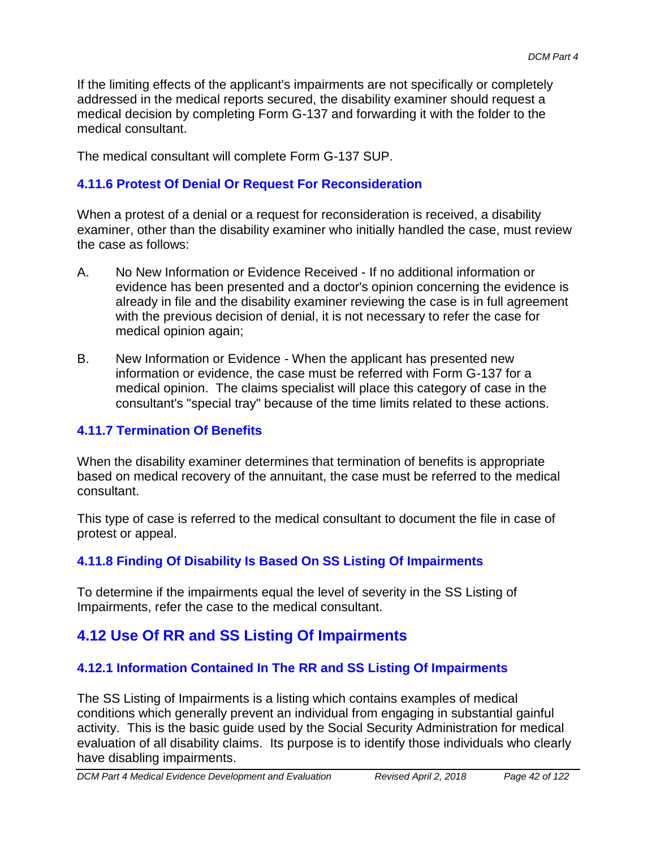If the limiting effects of the applicant's impairments are not specifically or completely addressed in the medical reports secured, the disability examiner should request a medical decision by completing Form G-137 and forwarding it with the folder to the medical consultant.

The medical consultant will complete Form G-137 SUP.

## **4.11.6 Protest Of Denial Or Request For Reconsideration**

When a protest of a denial or a request for reconsideration is received, a disability examiner, other than the disability examiner who initially handled the case, must review the case as follows:

- A. No New Information or Evidence Received If no additional information or evidence has been presented and a doctor's opinion concerning the evidence is already in file and the disability examiner reviewing the case is in full agreement with the previous decision of denial, it is not necessary to refer the case for medical opinion again;
- B. New Information or Evidence When the applicant has presented new information or evidence, the case must be referred with Form G-137 for a medical opinion. The claims specialist will place this category of case in the consultant's "special tray" because of the time limits related to these actions.

## **4.11.7 Termination Of Benefits**

When the disability examiner determines that termination of benefits is appropriate based on medical recovery of the annuitant, the case must be referred to the medical consultant.

This type of case is referred to the medical consultant to document the file in case of protest or appeal.

## **4.11.8 Finding Of Disability Is Based On SS Listing Of Impairments**

To determine if the impairments equal the level of severity in the SS Listing of Impairments, refer the case to the medical consultant.

# **4.12 Use Of RR and SS Listing Of Impairments**

## **4.12.1 Information Contained In The RR and SS Listing Of Impairments**

The SS Listing of Impairments is a listing which contains examples of medical conditions which generally prevent an individual from engaging in substantial gainful activity. This is the basic guide used by the Social Security Administration for medical evaluation of all disability claims. Its purpose is to identify those individuals who clearly have disabling impairments.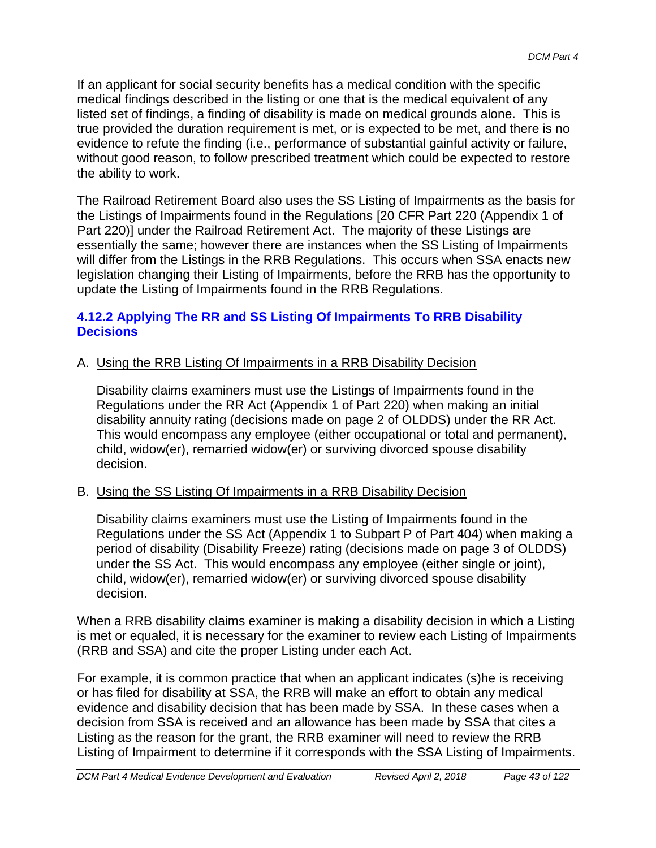If an applicant for social security benefits has a medical condition with the specific medical findings described in the listing or one that is the medical equivalent of any listed set of findings, a finding of disability is made on medical grounds alone. This is true provided the duration requirement is met, or is expected to be met, and there is no evidence to refute the finding (i.e., performance of substantial gainful activity or failure, without good reason, to follow prescribed treatment which could be expected to restore the ability to work.

The Railroad Retirement Board also uses the SS Listing of Impairments as the basis for the Listings of Impairments found in the Regulations [20 CFR Part 220 (Appendix 1 of Part 220)] under the Railroad Retirement Act. The majority of these Listings are essentially the same; however there are instances when the SS Listing of Impairments will differ from the Listings in the RRB Regulations. This occurs when SSA enacts new legislation changing their Listing of Impairments, before the RRB has the opportunity to update the Listing of Impairments found in the RRB Regulations.

## **4.12.2 Applying The RR and SS Listing Of Impairments To RRB Disability Decisions**

## A. Using the RRB Listing Of Impairments in a RRB Disability Decision

Disability claims examiners must use the Listings of Impairments found in the Regulations under the RR Act (Appendix 1 of Part 220) when making an initial disability annuity rating (decisions made on page 2 of OLDDS) under the RR Act. This would encompass any employee (either occupational or total and permanent), child, widow(er), remarried widow(er) or surviving divorced spouse disability decision.

## B. Using the SS Listing Of Impairments in a RRB Disability Decision

Disability claims examiners must use the Listing of Impairments found in the Regulations under the SS Act (Appendix 1 to Subpart P of Part 404) when making a period of disability (Disability Freeze) rating (decisions made on page 3 of OLDDS) under the SS Act. This would encompass any employee (either single or joint), child, widow(er), remarried widow(er) or surviving divorced spouse disability decision.

When a RRB disability claims examiner is making a disability decision in which a Listing is met or equaled, it is necessary for the examiner to review each Listing of Impairments (RRB and SSA) and cite the proper Listing under each Act.

For example, it is common practice that when an applicant indicates (s)he is receiving or has filed for disability at SSA, the RRB will make an effort to obtain any medical evidence and disability decision that has been made by SSA. In these cases when a decision from SSA is received and an allowance has been made by SSA that cites a Listing as the reason for the grant, the RRB examiner will need to review the RRB Listing of Impairment to determine if it corresponds with the SSA Listing of Impairments.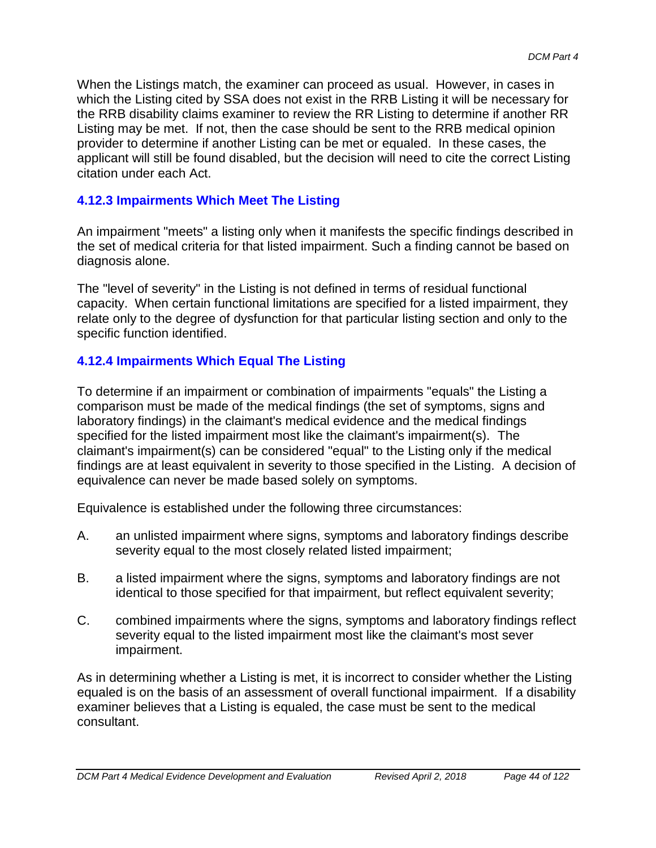When the Listings match, the examiner can proceed as usual. However, in cases in which the Listing cited by SSA does not exist in the RRB Listing it will be necessary for the RRB disability claims examiner to review the RR Listing to determine if another RR Listing may be met. If not, then the case should be sent to the RRB medical opinion provider to determine if another Listing can be met or equaled. In these cases, the applicant will still be found disabled, but the decision will need to cite the correct Listing citation under each Act.

## **4.12.3 Impairments Which Meet The Listing**

An impairment "meets" a listing only when it manifests the specific findings described in the set of medical criteria for that listed impairment. Such a finding cannot be based on diagnosis alone.

The "level of severity" in the Listing is not defined in terms of residual functional capacity. When certain functional limitations are specified for a listed impairment, they relate only to the degree of dysfunction for that particular listing section and only to the specific function identified.

## **4.12.4 Impairments Which Equal The Listing**

To determine if an impairment or combination of impairments "equals" the Listing a comparison must be made of the medical findings (the set of symptoms, signs and laboratory findings) in the claimant's medical evidence and the medical findings specified for the listed impairment most like the claimant's impairment(s). The claimant's impairment(s) can be considered "equal" to the Listing only if the medical findings are at least equivalent in severity to those specified in the Listing. A decision of equivalence can never be made based solely on symptoms.

Equivalence is established under the following three circumstances:

- A. an unlisted impairment where signs, symptoms and laboratory findings describe severity equal to the most closely related listed impairment;
- B. a listed impairment where the signs, symptoms and laboratory findings are not identical to those specified for that impairment, but reflect equivalent severity;
- C. combined impairments where the signs, symptoms and laboratory findings reflect severity equal to the listed impairment most like the claimant's most sever impairment.

As in determining whether a Listing is met, it is incorrect to consider whether the Listing equaled is on the basis of an assessment of overall functional impairment. If a disability examiner believes that a Listing is equaled, the case must be sent to the medical consultant.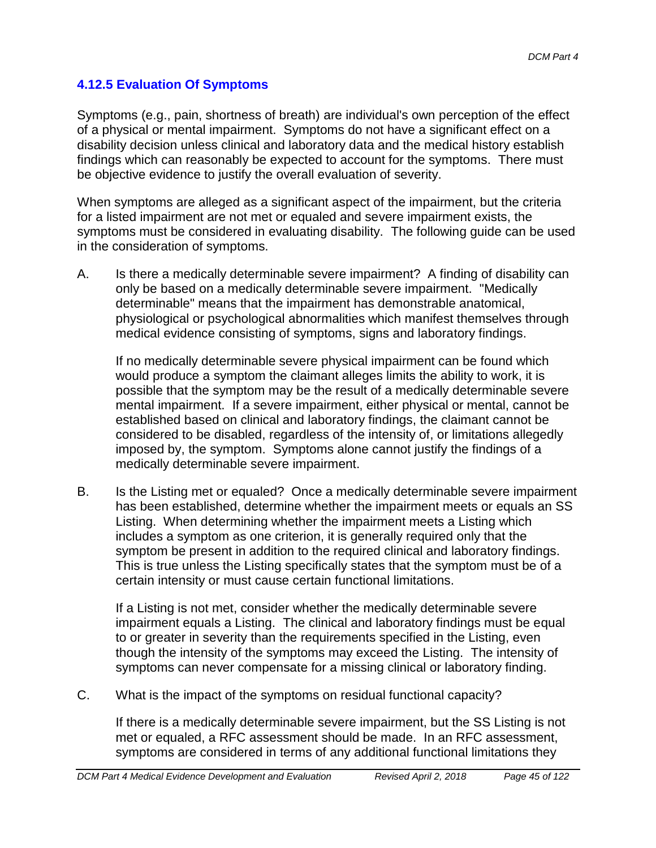## **4.12.5 Evaluation Of Symptoms**

Symptoms (e.g., pain, shortness of breath) are individual's own perception of the effect of a physical or mental impairment. Symptoms do not have a significant effect on a disability decision unless clinical and laboratory data and the medical history establish findings which can reasonably be expected to account for the symptoms. There must be objective evidence to justify the overall evaluation of severity.

When symptoms are alleged as a significant aspect of the impairment, but the criteria for a listed impairment are not met or equaled and severe impairment exists, the symptoms must be considered in evaluating disability. The following guide can be used in the consideration of symptoms.

A. Is there a medically determinable severe impairment? A finding of disability can only be based on a medically determinable severe impairment. "Medically determinable" means that the impairment has demonstrable anatomical, physiological or psychological abnormalities which manifest themselves through medical evidence consisting of symptoms, signs and laboratory findings.

If no medically determinable severe physical impairment can be found which would produce a symptom the claimant alleges limits the ability to work, it is possible that the symptom may be the result of a medically determinable severe mental impairment. If a severe impairment, either physical or mental, cannot be established based on clinical and laboratory findings, the claimant cannot be considered to be disabled, regardless of the intensity of, or limitations allegedly imposed by, the symptom. Symptoms alone cannot justify the findings of a medically determinable severe impairment.

B. Is the Listing met or equaled? Once a medically determinable severe impairment has been established, determine whether the impairment meets or equals an SS Listing. When determining whether the impairment meets a Listing which includes a symptom as one criterion, it is generally required only that the symptom be present in addition to the required clinical and laboratory findings. This is true unless the Listing specifically states that the symptom must be of a certain intensity or must cause certain functional limitations.

If a Listing is not met, consider whether the medically determinable severe impairment equals a Listing. The clinical and laboratory findings must be equal to or greater in severity than the requirements specified in the Listing, even though the intensity of the symptoms may exceed the Listing. The intensity of symptoms can never compensate for a missing clinical or laboratory finding.

C. What is the impact of the symptoms on residual functional capacity?

If there is a medically determinable severe impairment, but the SS Listing is not met or equaled, a RFC assessment should be made. In an RFC assessment, symptoms are considered in terms of any additional functional limitations they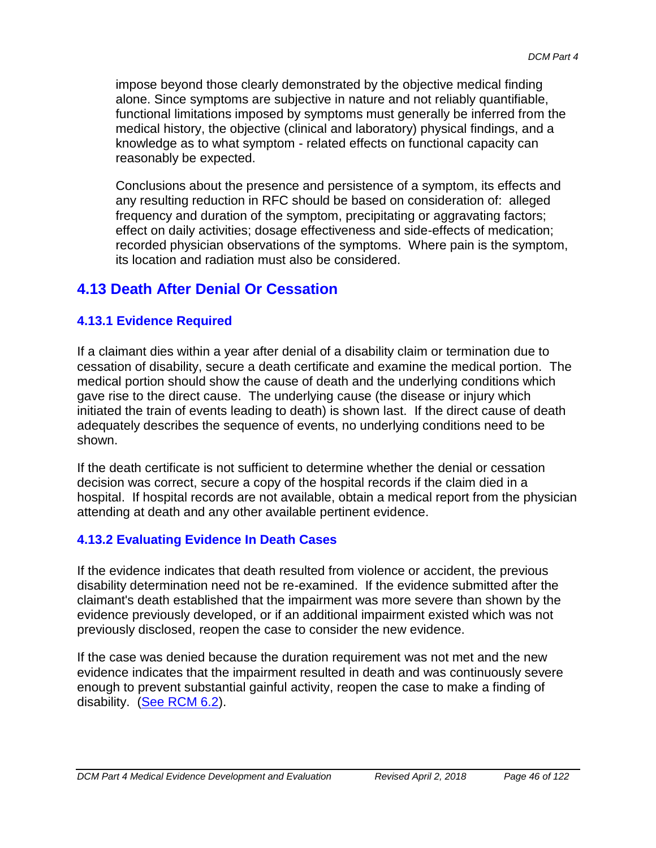impose beyond those clearly demonstrated by the objective medical finding alone. Since symptoms are subjective in nature and not reliably quantifiable, functional limitations imposed by symptoms must generally be inferred from the medical history, the objective (clinical and laboratory) physical findings, and a knowledge as to what symptom - related effects on functional capacity can reasonably be expected.

Conclusions about the presence and persistence of a symptom, its effects and any resulting reduction in RFC should be based on consideration of: alleged frequency and duration of the symptom, precipitating or aggravating factors; effect on daily activities; dosage effectiveness and side-effects of medication; recorded physician observations of the symptoms. Where pain is the symptom, its location and radiation must also be considered.

# **4.13 Death After Denial Or Cessation**

## **4.13.1 Evidence Required**

If a claimant dies within a year after denial of a disability claim or termination due to cessation of disability, secure a death certificate and examine the medical portion. The medical portion should show the cause of death and the underlying conditions which gave rise to the direct cause. The underlying cause (the disease or injury which initiated the train of events leading to death) is shown last. If the direct cause of death adequately describes the sequence of events, no underlying conditions need to be shown.

If the death certificate is not sufficient to determine whether the denial or cessation decision was correct, secure a copy of the hospital records if the claim died in a hospital. If hospital records are not available, obtain a medical report from the physician attending at death and any other available pertinent evidence.

## **4.13.2 Evaluating Evidence In Death Cases**

If the evidence indicates that death resulted from violence or accident, the previous disability determination need not be re-examined. If the evidence submitted after the claimant's death established that the impairment was more severe than shown by the evidence previously developed, or if an additional impairment existed which was not previously disclosed, reopen the case to consider the new evidence.

If the case was denied because the duration requirement was not met and the new evidence indicates that the impairment resulted in death and was continuously severe enough to prevent substantial gainful activity, reopen the case to make a finding of disability. (See RCM 6.2).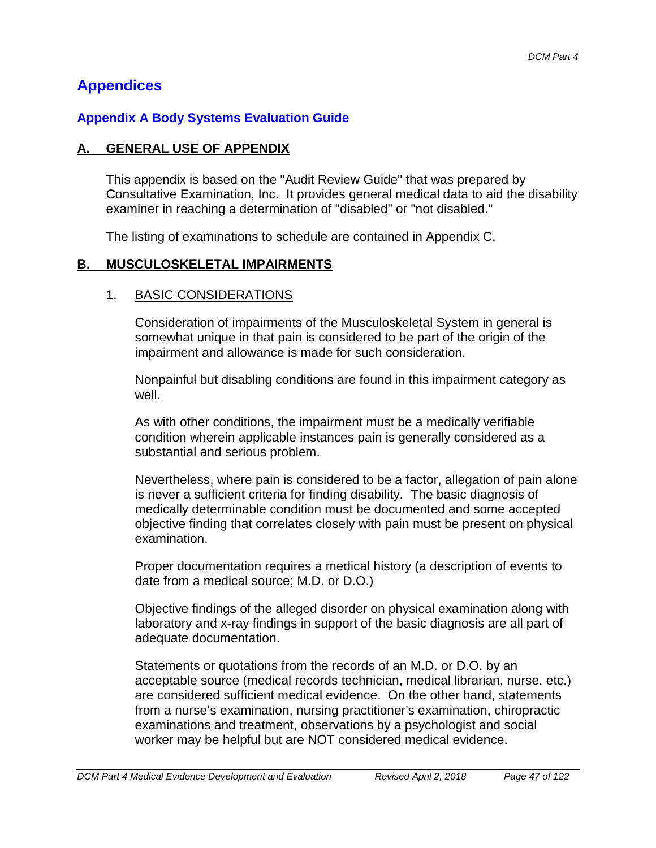# **Appendices**

## **Appendix A Body Systems Evaluation Guide**

## **A. GENERAL USE OF APPENDIX**

This appendix is based on the "Audit Review Guide" that was prepared by Consultative Examination, Inc. It provides general medical data to aid the disability examiner in reaching a determination of "disabled" or "not disabled."

The listing of examinations to schedule are contained in Appendix C.

## **B. MUSCULOSKELETAL IMPAIRMENTS**

#### 1. BASIC CONSIDERATIONS

Consideration of impairments of the Musculoskeletal System in general is somewhat unique in that pain is considered to be part of the origin of the impairment and allowance is made for such consideration.

Nonpainful but disabling conditions are found in this impairment category as well.

As with other conditions, the impairment must be a medically verifiable condition wherein applicable instances pain is generally considered as a substantial and serious problem.

Nevertheless, where pain is considered to be a factor, allegation of pain alone is never a sufficient criteria for finding disability. The basic diagnosis of medically determinable condition must be documented and some accepted objective finding that correlates closely with pain must be present on physical examination.

Proper documentation requires a medical history (a description of events to date from a medical source; M.D. or D.O.)

Objective findings of the alleged disorder on physical examination along with laboratory and x-ray findings in support of the basic diagnosis are all part of adequate documentation.

Statements or quotations from the records of an M.D. or D.O. by an acceptable source (medical records technician, medical librarian, nurse, etc.) are considered sufficient medical evidence. On the other hand, statements from a nurse's examination, nursing practitioner's examination, chiropractic examinations and treatment, observations by a psychologist and social worker may be helpful but are NOT considered medical evidence.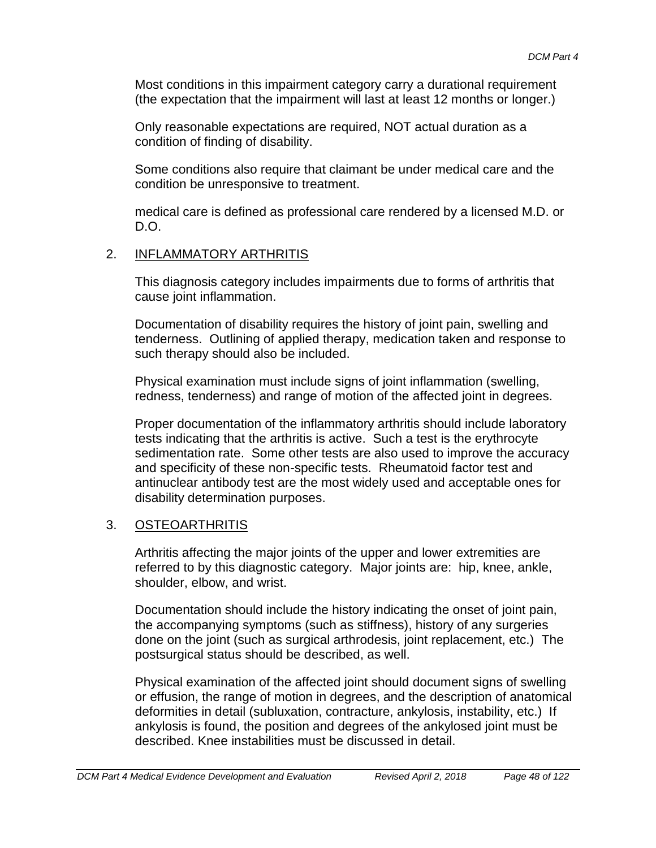Most conditions in this impairment category carry a durational requirement (the expectation that the impairment will last at least 12 months or longer.)

Only reasonable expectations are required, NOT actual duration as a condition of finding of disability.

Some conditions also require that claimant be under medical care and the condition be unresponsive to treatment.

medical care is defined as professional care rendered by a licensed M.D. or D.O.

#### 2. INFLAMMATORY ARTHRITIS

This diagnosis category includes impairments due to forms of arthritis that cause joint inflammation.

Documentation of disability requires the history of joint pain, swelling and tenderness. Outlining of applied therapy, medication taken and response to such therapy should also be included.

Physical examination must include signs of joint inflammation (swelling, redness, tenderness) and range of motion of the affected joint in degrees.

Proper documentation of the inflammatory arthritis should include laboratory tests indicating that the arthritis is active. Such a test is the erythrocyte sedimentation rate. Some other tests are also used to improve the accuracy and specificity of these non-specific tests. Rheumatoid factor test and antinuclear antibody test are the most widely used and acceptable ones for disability determination purposes.

#### 3. OSTEOARTHRITIS

Arthritis affecting the major joints of the upper and lower extremities are referred to by this diagnostic category. Major joints are: hip, knee, ankle, shoulder, elbow, and wrist.

Documentation should include the history indicating the onset of joint pain, the accompanying symptoms (such as stiffness), history of any surgeries done on the joint (such as surgical arthrodesis, joint replacement, etc.) The postsurgical status should be described, as well.

Physical examination of the affected joint should document signs of swelling or effusion, the range of motion in degrees, and the description of anatomical deformities in detail (subluxation, contracture, ankylosis, instability, etc.) If ankylosis is found, the position and degrees of the ankylosed joint must be described. Knee instabilities must be discussed in detail.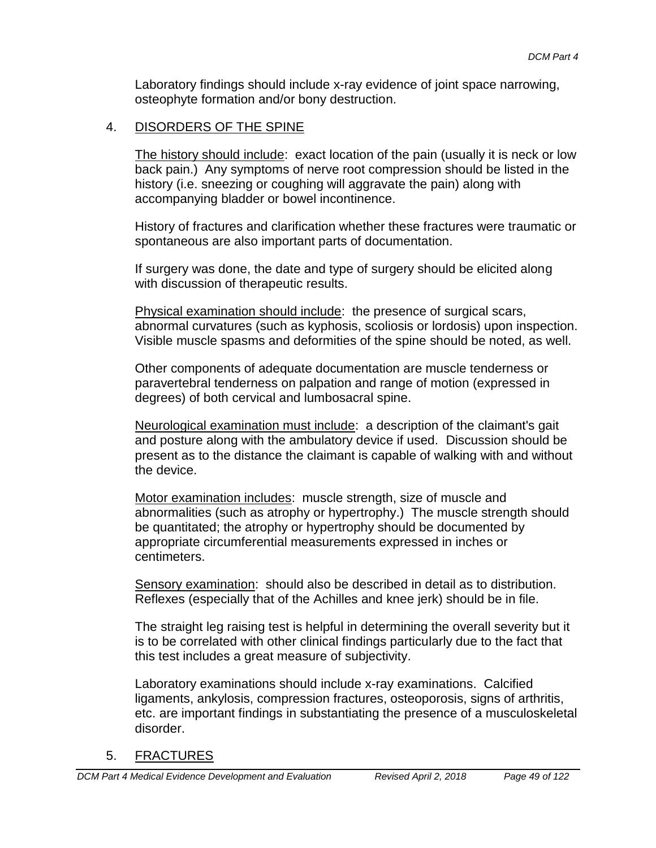Laboratory findings should include x-ray evidence of joint space narrowing, osteophyte formation and/or bony destruction.

## 4. DISORDERS OF THE SPINE

The history should include: exact location of the pain (usually it is neck or low back pain.) Any symptoms of nerve root compression should be listed in the history (i.e. sneezing or coughing will aggravate the pain) along with accompanying bladder or bowel incontinence.

History of fractures and clarification whether these fractures were traumatic or spontaneous are also important parts of documentation.

If surgery was done, the date and type of surgery should be elicited along with discussion of therapeutic results.

Physical examination should include: the presence of surgical scars, abnormal curvatures (such as kyphosis, scoliosis or lordosis) upon inspection. Visible muscle spasms and deformities of the spine should be noted, as well.

Other components of adequate documentation are muscle tenderness or paravertebral tenderness on palpation and range of motion (expressed in degrees) of both cervical and lumbosacral spine.

Neurological examination must include: a description of the claimant's gait and posture along with the ambulatory device if used. Discussion should be present as to the distance the claimant is capable of walking with and without the device.

Motor examination includes: muscle strength, size of muscle and abnormalities (such as atrophy or hypertrophy.) The muscle strength should be quantitated; the atrophy or hypertrophy should be documented by appropriate circumferential measurements expressed in inches or centimeters.

Sensory examination: should also be described in detail as to distribution. Reflexes (especially that of the Achilles and knee jerk) should be in file.

The straight leg raising test is helpful in determining the overall severity but it is to be correlated with other clinical findings particularly due to the fact that this test includes a great measure of subjectivity.

Laboratory examinations should include x-ray examinations. Calcified ligaments, ankylosis, compression fractures, osteoporosis, signs of arthritis, etc. are important findings in substantiating the presence of a musculoskeletal disorder.

#### 5. FRACTURES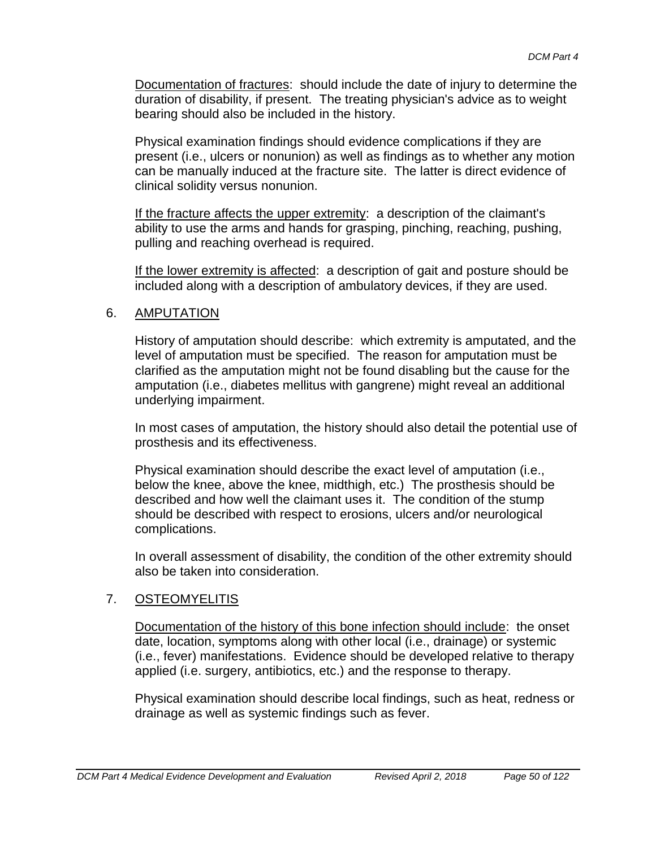Documentation of fractures: should include the date of injury to determine the duration of disability, if present. The treating physician's advice as to weight bearing should also be included in the history.

Physical examination findings should evidence complications if they are present (i.e., ulcers or nonunion) as well as findings as to whether any motion can be manually induced at the fracture site. The latter is direct evidence of clinical solidity versus nonunion.

If the fracture affects the upper extremity: a description of the claimant's ability to use the arms and hands for grasping, pinching, reaching, pushing, pulling and reaching overhead is required.

If the lower extremity is affected: a description of gait and posture should be included along with a description of ambulatory devices, if they are used.

#### 6. AMPUTATION

History of amputation should describe: which extremity is amputated, and the level of amputation must be specified. The reason for amputation must be clarified as the amputation might not be found disabling but the cause for the amputation (i.e., diabetes mellitus with gangrene) might reveal an additional underlying impairment.

In most cases of amputation, the history should also detail the potential use of prosthesis and its effectiveness.

Physical examination should describe the exact level of amputation (i.e., below the knee, above the knee, midthigh, etc.) The prosthesis should be described and how well the claimant uses it. The condition of the stump should be described with respect to erosions, ulcers and/or neurological complications.

In overall assessment of disability, the condition of the other extremity should also be taken into consideration.

## 7. OSTEOMYELITIS

Documentation of the history of this bone infection should include: the onset date, location, symptoms along with other local (i.e., drainage) or systemic (i.e., fever) manifestations. Evidence should be developed relative to therapy applied (i.e. surgery, antibiotics, etc.) and the response to therapy.

Physical examination should describe local findings, such as heat, redness or drainage as well as systemic findings such as fever.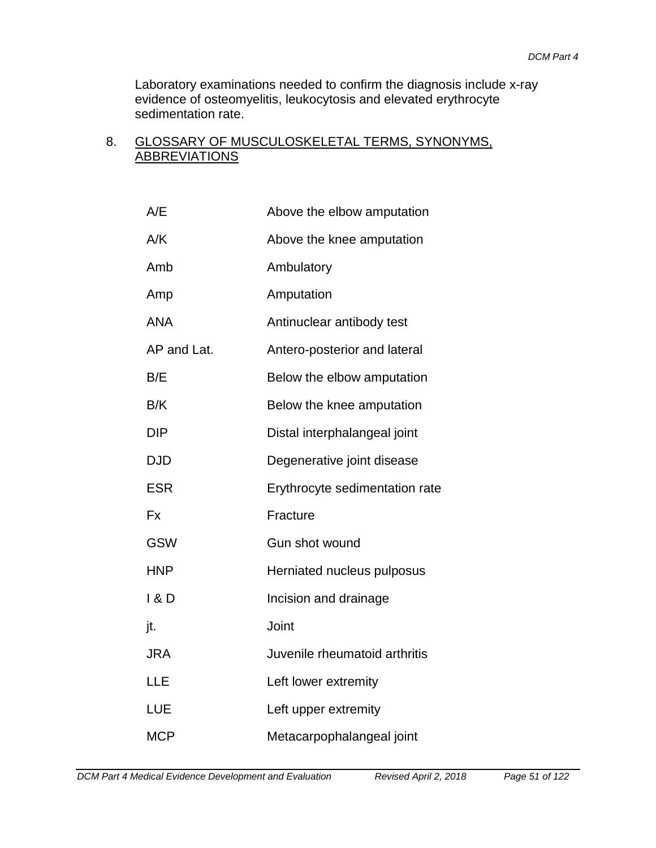Laboratory examinations needed to confirm the diagnosis include x-ray evidence of osteomyelitis, leukocytosis and elevated erythrocyte sedimentation rate.

#### 8. GLOSSARY OF MUSCULOSKELETAL TERMS, SYNONYMS, **ABBREVIATIONS**

| A/E         | Above the elbow amputation     |
|-------------|--------------------------------|
| A/K         | Above the knee amputation      |
| Amb         | Ambulatory                     |
| Amp         | Amputation                     |
| <b>ANA</b>  | Antinuclear antibody test      |
| AP and Lat. | Antero-posterior and lateral   |
| B/E         | Below the elbow amputation     |
| B/K         | Below the knee amputation      |
| <b>DIP</b>  | Distal interphalangeal joint   |
| <b>DJD</b>  | Degenerative joint disease     |
| <b>ESR</b>  | Erythrocyte sedimentation rate |
| Fx          | Fracture                       |
| <b>GSW</b>  | Gun shot wound                 |
| <b>HNP</b>  | Herniated nucleus pulposus     |
| 1 & D       | Incision and drainage          |
| jt.         | Joint                          |
| JRA         | Juvenile rheumatoid arthritis  |
| LLE         | Left lower extremity           |
| LUE         | Left upper extremity           |
| <b>MCP</b>  | Metacarpophalangeal joint      |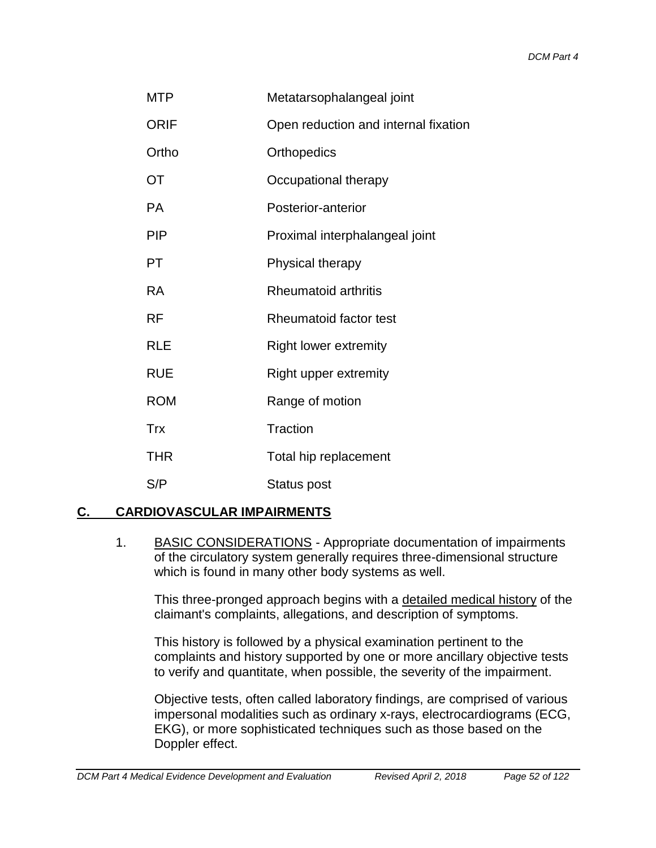| <b>MTP</b>  | Metatarsophalangeal joint            |
|-------------|--------------------------------------|
| <b>ORIF</b> | Open reduction and internal fixation |
| Ortho       | Orthopedics                          |
| OT          | Occupational therapy                 |
| <b>PA</b>   | Posterior-anterior                   |
| <b>PIP</b>  | Proximal interphalangeal joint       |
| PT          | Physical therapy                     |
| <b>RA</b>   | <b>Rheumatoid arthritis</b>          |
| <b>RF</b>   | Rheumatoid factor test               |
| <b>RLE</b>  | <b>Right lower extremity</b>         |
| <b>RUE</b>  | Right upper extremity                |
| <b>ROM</b>  | Range of motion                      |
| <b>Trx</b>  | Traction                             |
| <b>THR</b>  | Total hip replacement                |
| S/P         | Status post                          |

## **C. CARDIOVASCULAR IMPAIRMENTS**

1. BASIC CONSIDERATIONS - Appropriate documentation of impairments of the circulatory system generally requires three-dimensional structure which is found in many other body systems as well.

This three-pronged approach begins with a detailed medical history of the claimant's complaints, allegations, and description of symptoms.

This history is followed by a physical examination pertinent to the complaints and history supported by one or more ancillary objective tests to verify and quantitate, when possible, the severity of the impairment.

Objective tests, often called laboratory findings, are comprised of various impersonal modalities such as ordinary x-rays, electrocardiograms (ECG, EKG), or more sophisticated techniques such as those based on the Doppler effect.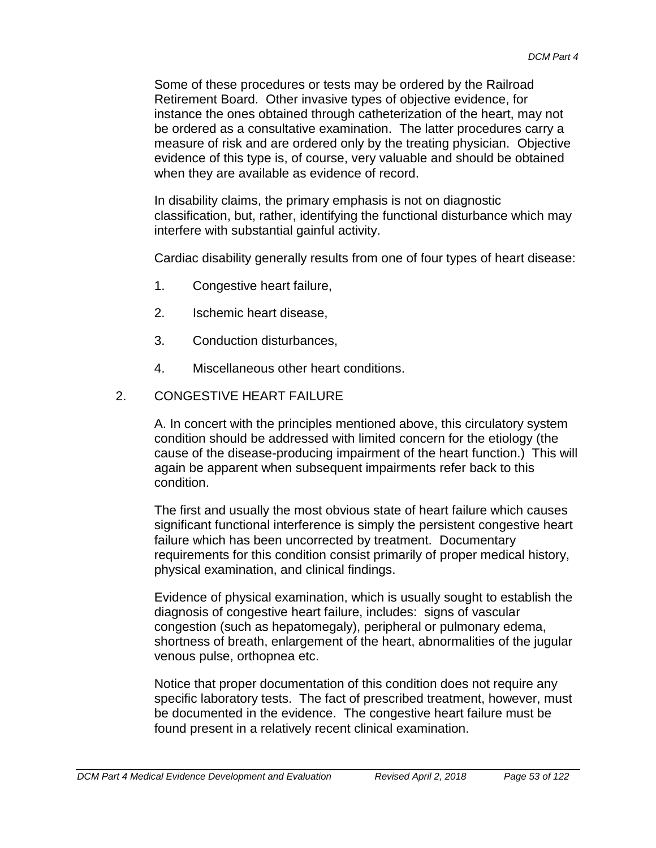Some of these procedures or tests may be ordered by the Railroad Retirement Board. Other invasive types of objective evidence, for instance the ones obtained through catheterization of the heart, may not be ordered as a consultative examination. The latter procedures carry a measure of risk and are ordered only by the treating physician. Objective evidence of this type is, of course, very valuable and should be obtained when they are available as evidence of record.

In disability claims, the primary emphasis is not on diagnostic classification, but, rather, identifying the functional disturbance which may interfere with substantial gainful activity.

Cardiac disability generally results from one of four types of heart disease:

- 1. Congestive heart failure,
- 2. Ischemic heart disease,
- 3. Conduction disturbances,
- 4. Miscellaneous other heart conditions.

#### 2. CONGESTIVE HEART FAILURE

A. In concert with the principles mentioned above, this circulatory system condition should be addressed with limited concern for the etiology (the cause of the disease-producing impairment of the heart function.) This will again be apparent when subsequent impairments refer back to this condition.

The first and usually the most obvious state of heart failure which causes significant functional interference is simply the persistent congestive heart failure which has been uncorrected by treatment. Documentary requirements for this condition consist primarily of proper medical history, physical examination, and clinical findings.

Evidence of physical examination, which is usually sought to establish the diagnosis of congestive heart failure, includes: signs of vascular congestion (such as hepatomegaly), peripheral or pulmonary edema, shortness of breath, enlargement of the heart, abnormalities of the jugular venous pulse, orthopnea etc.

Notice that proper documentation of this condition does not require any specific laboratory tests. The fact of prescribed treatment, however, must be documented in the evidence. The congestive heart failure must be found present in a relatively recent clinical examination.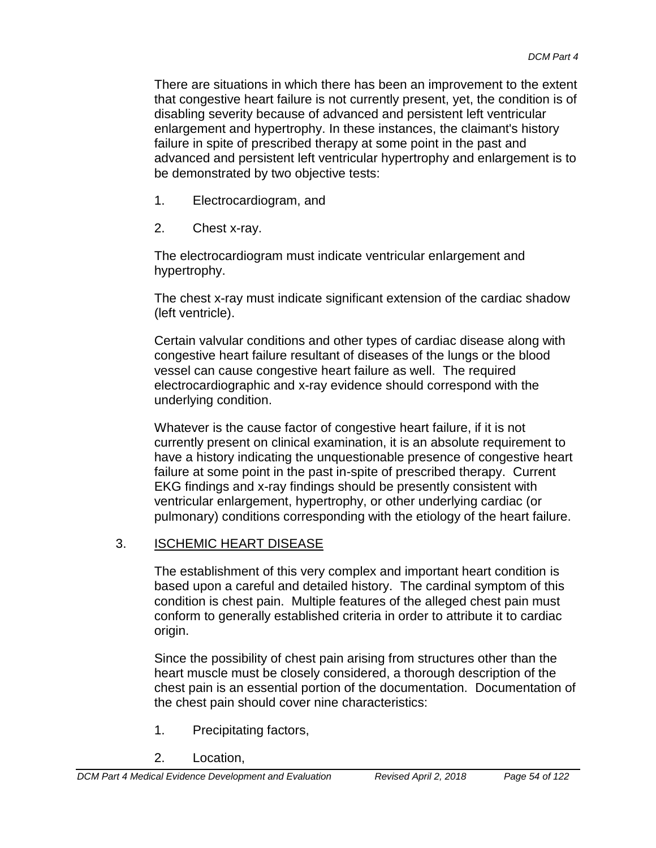There are situations in which there has been an improvement to the extent that congestive heart failure is not currently present, yet, the condition is of disabling severity because of advanced and persistent left ventricular enlargement and hypertrophy. In these instances, the claimant's history failure in spite of prescribed therapy at some point in the past and advanced and persistent left ventricular hypertrophy and enlargement is to be demonstrated by two objective tests:

- 1. Electrocardiogram, and
- 2. Chest x-ray.

The electrocardiogram must indicate ventricular enlargement and hypertrophy.

The chest x-ray must indicate significant extension of the cardiac shadow (left ventricle).

Certain valvular conditions and other types of cardiac disease along with congestive heart failure resultant of diseases of the lungs or the blood vessel can cause congestive heart failure as well. The required electrocardiographic and x-ray evidence should correspond with the underlying condition.

Whatever is the cause factor of congestive heart failure, if it is not currently present on clinical examination, it is an absolute requirement to have a history indicating the unquestionable presence of congestive heart failure at some point in the past in-spite of prescribed therapy. Current EKG findings and x-ray findings should be presently consistent with ventricular enlargement, hypertrophy, or other underlying cardiac (or pulmonary) conditions corresponding with the etiology of the heart failure.

## 3. ISCHEMIC HEART DISEASE

The establishment of this very complex and important heart condition is based upon a careful and detailed history. The cardinal symptom of this condition is chest pain. Multiple features of the alleged chest pain must conform to generally established criteria in order to attribute it to cardiac origin.

Since the possibility of chest pain arising from structures other than the heart muscle must be closely considered, a thorough description of the chest pain is an essential portion of the documentation. Documentation of the chest pain should cover nine characteristics:

- 1. Precipitating factors,
- 2. Location,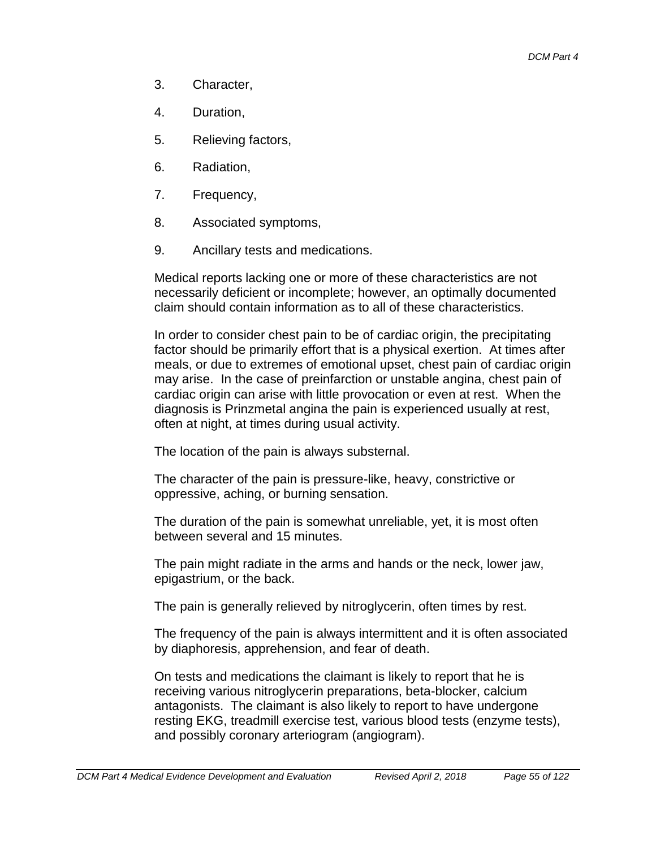- 3. Character,
- 4. Duration,
- 5. Relieving factors,
- 6. Radiation,
- 7. Frequency,
- 8. Associated symptoms,
- 9. Ancillary tests and medications.

Medical reports lacking one or more of these characteristics are not necessarily deficient or incomplete; however, an optimally documented claim should contain information as to all of these characteristics.

In order to consider chest pain to be of cardiac origin, the precipitating factor should be primarily effort that is a physical exertion. At times after meals, or due to extremes of emotional upset, chest pain of cardiac origin may arise. In the case of preinfarction or unstable angina, chest pain of cardiac origin can arise with little provocation or even at rest. When the diagnosis is Prinzmetal angina the pain is experienced usually at rest, often at night, at times during usual activity.

The location of the pain is always substernal.

The character of the pain is pressure-like, heavy, constrictive or oppressive, aching, or burning sensation.

The duration of the pain is somewhat unreliable, yet, it is most often between several and 15 minutes.

The pain might radiate in the arms and hands or the neck, lower jaw, epigastrium, or the back.

The pain is generally relieved by nitroglycerin, often times by rest.

The frequency of the pain is always intermittent and it is often associated by diaphoresis, apprehension, and fear of death.

On tests and medications the claimant is likely to report that he is receiving various nitroglycerin preparations, beta-blocker, calcium antagonists. The claimant is also likely to report to have undergone resting EKG, treadmill exercise test, various blood tests (enzyme tests), and possibly coronary arteriogram (angiogram).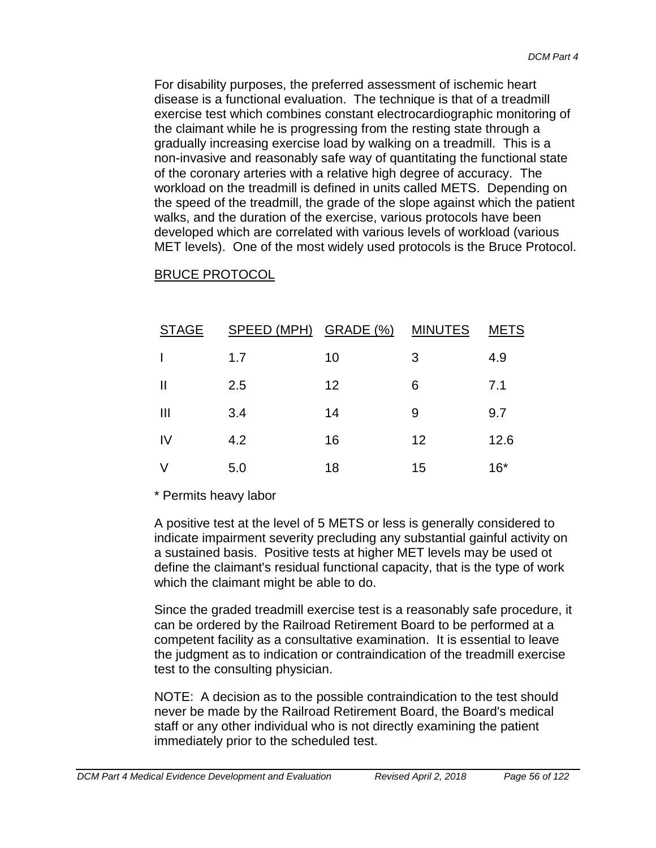For disability purposes, the preferred assessment of ischemic heart disease is a functional evaluation. The technique is that of a treadmill exercise test which combines constant electrocardiographic monitoring of the claimant while he is progressing from the resting state through a gradually increasing exercise load by walking on a treadmill. This is a non-invasive and reasonably safe way of quantitating the functional state of the coronary arteries with a relative high degree of accuracy. The workload on the treadmill is defined in units called METS. Depending on the speed of the treadmill, the grade of the slope against which the patient walks, and the duration of the exercise, various protocols have been developed which are correlated with various levels of workload (various MET levels). One of the most widely used protocols is the Bruce Protocol.

| <b>STAGE</b> | SPEED (MPH) GRADE (%) MINUTES |    |    | <b>METS</b> |
|--------------|-------------------------------|----|----|-------------|
|              | 1.7                           | 10 | 3  | 4.9         |
| Ш            | 2.5                           | 12 | 6  | 7.1         |
| Ш            | 3.4                           | 14 | 9  | 9.7         |
| IV           | 4.2                           | 16 | 12 | 12.6        |
|              | 5.0                           | 18 | 15 | $16*$       |

#### BRUCE PROTOCOL

#### \* Permits heavy labor

A positive test at the level of 5 METS or less is generally considered to indicate impairment severity precluding any substantial gainful activity on a sustained basis. Positive tests at higher MET levels may be used ot define the claimant's residual functional capacity, that is the type of work which the claimant might be able to do.

Since the graded treadmill exercise test is a reasonably safe procedure, it can be ordered by the Railroad Retirement Board to be performed at a competent facility as a consultative examination. It is essential to leave the judgment as to indication or contraindication of the treadmill exercise test to the consulting physician.

NOTE: A decision as to the possible contraindication to the test should never be made by the Railroad Retirement Board, the Board's medical staff or any other individual who is not directly examining the patient immediately prior to the scheduled test.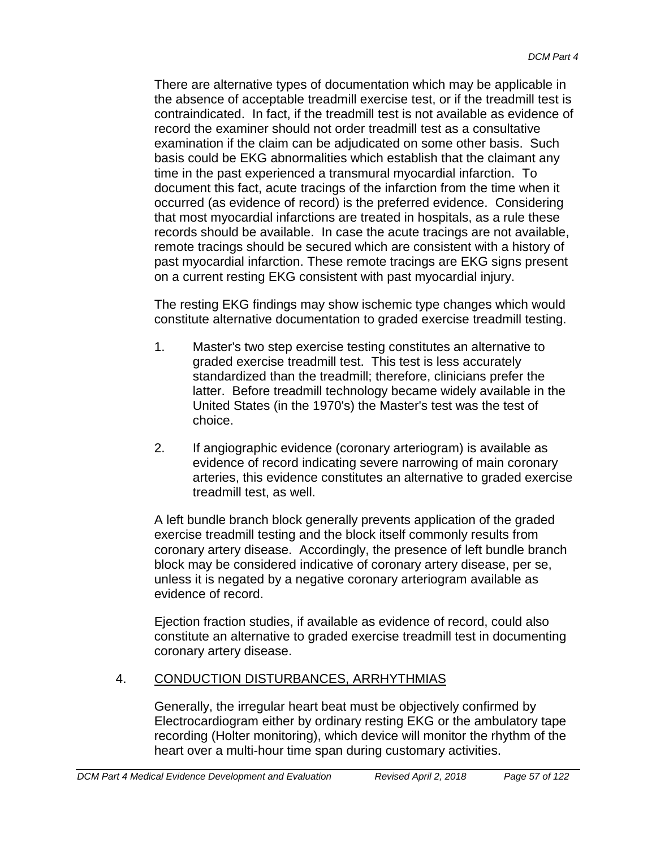There are alternative types of documentation which may be applicable in the absence of acceptable treadmill exercise test, or if the treadmill test is contraindicated. In fact, if the treadmill test is not available as evidence of record the examiner should not order treadmill test as a consultative examination if the claim can be adjudicated on some other basis. Such basis could be EKG abnormalities which establish that the claimant any time in the past experienced a transmural myocardial infarction. To document this fact, acute tracings of the infarction from the time when it occurred (as evidence of record) is the preferred evidence. Considering that most myocardial infarctions are treated in hospitals, as a rule these records should be available. In case the acute tracings are not available, remote tracings should be secured which are consistent with a history of past myocardial infarction. These remote tracings are EKG signs present on a current resting EKG consistent with past myocardial injury.

The resting EKG findings may show ischemic type changes which would constitute alternative documentation to graded exercise treadmill testing.

- 1. Master's two step exercise testing constitutes an alternative to graded exercise treadmill test. This test is less accurately standardized than the treadmill; therefore, clinicians prefer the latter. Before treadmill technology became widely available in the United States (in the 1970's) the Master's test was the test of choice.
- 2. If angiographic evidence (coronary arteriogram) is available as evidence of record indicating severe narrowing of main coronary arteries, this evidence constitutes an alternative to graded exercise treadmill test, as well.

A left bundle branch block generally prevents application of the graded exercise treadmill testing and the block itself commonly results from coronary artery disease. Accordingly, the presence of left bundle branch block may be considered indicative of coronary artery disease, per se, unless it is negated by a negative coronary arteriogram available as evidence of record.

Ejection fraction studies, if available as evidence of record, could also constitute an alternative to graded exercise treadmill test in documenting coronary artery disease.

## 4. CONDUCTION DISTURBANCES, ARRHYTHMIAS

Generally, the irregular heart beat must be objectively confirmed by Electrocardiogram either by ordinary resting EKG or the ambulatory tape recording (Holter monitoring), which device will monitor the rhythm of the heart over a multi-hour time span during customary activities.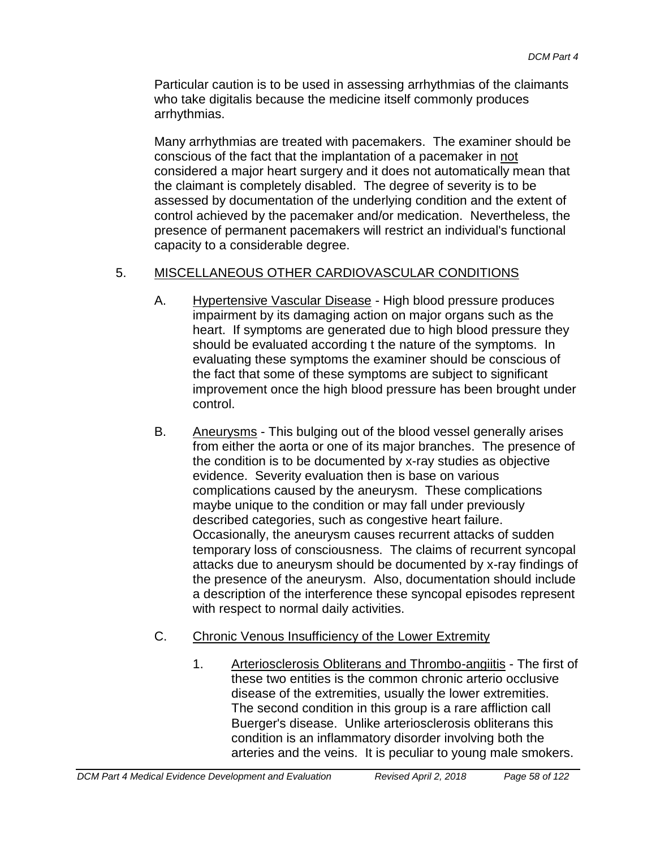Particular caution is to be used in assessing arrhythmias of the claimants who take digitalis because the medicine itself commonly produces arrhythmias.

Many arrhythmias are treated with pacemakers. The examiner should be conscious of the fact that the implantation of a pacemaker in not considered a major heart surgery and it does not automatically mean that the claimant is completely disabled. The degree of severity is to be assessed by documentation of the underlying condition and the extent of control achieved by the pacemaker and/or medication. Nevertheless, the presence of permanent pacemakers will restrict an individual's functional capacity to a considerable degree.

## 5. MISCELLANEOUS OTHER CARDIOVASCULAR CONDITIONS

- A. Hypertensive Vascular Disease High blood pressure produces impairment by its damaging action on major organs such as the heart. If symptoms are generated due to high blood pressure they should be evaluated according t the nature of the symptoms. In evaluating these symptoms the examiner should be conscious of the fact that some of these symptoms are subject to significant improvement once the high blood pressure has been brought under control.
- B. Aneurysms This bulging out of the blood vessel generally arises from either the aorta or one of its major branches. The presence of the condition is to be documented by x-ray studies as objective evidence. Severity evaluation then is base on various complications caused by the aneurysm. These complications maybe unique to the condition or may fall under previously described categories, such as congestive heart failure. Occasionally, the aneurysm causes recurrent attacks of sudden temporary loss of consciousness. The claims of recurrent syncopal attacks due to aneurysm should be documented by x-ray findings of the presence of the aneurysm. Also, documentation should include a description of the interference these syncopal episodes represent with respect to normal daily activities.
- C. Chronic Venous Insufficiency of the Lower Extremity
	- 1. Arteriosclerosis Obliterans and Thrombo-angiitis The first of these two entities is the common chronic arterio occlusive disease of the extremities, usually the lower extremities. The second condition in this group is a rare affliction call Buerger's disease. Unlike arteriosclerosis obliterans this condition is an inflammatory disorder involving both the arteries and the veins. It is peculiar to young male smokers.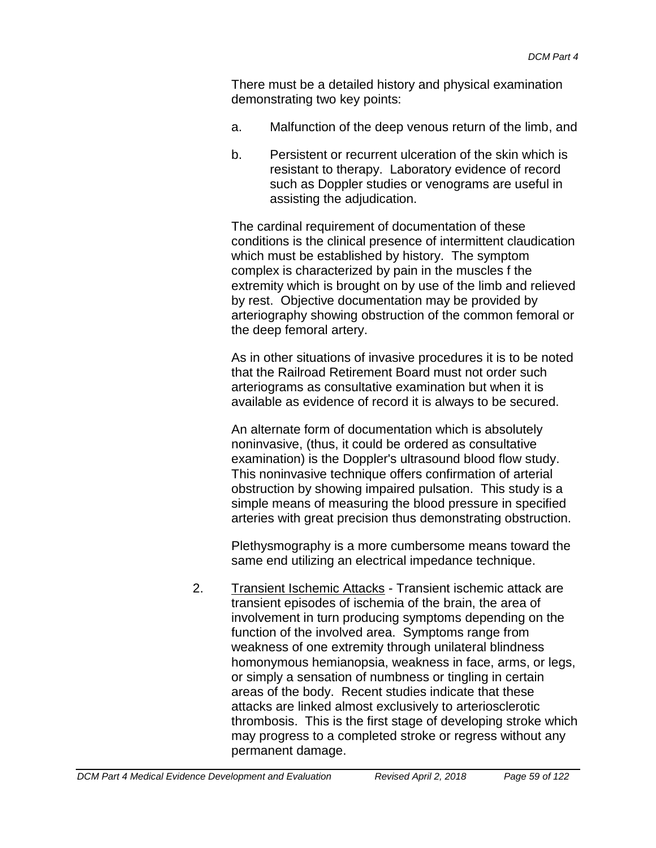There must be a detailed history and physical examination demonstrating two key points:

- a. Malfunction of the deep venous return of the limb, and
- b. Persistent or recurrent ulceration of the skin which is resistant to therapy. Laboratory evidence of record such as Doppler studies or venograms are useful in assisting the adjudication.

The cardinal requirement of documentation of these conditions is the clinical presence of intermittent claudication which must be established by history. The symptom complex is characterized by pain in the muscles f the extremity which is brought on by use of the limb and relieved by rest. Objective documentation may be provided by arteriography showing obstruction of the common femoral or the deep femoral artery.

As in other situations of invasive procedures it is to be noted that the Railroad Retirement Board must not order such arteriograms as consultative examination but when it is available as evidence of record it is always to be secured.

An alternate form of documentation which is absolutely noninvasive, (thus, it could be ordered as consultative examination) is the Doppler's ultrasound blood flow study. This noninvasive technique offers confirmation of arterial obstruction by showing impaired pulsation. This study is a simple means of measuring the blood pressure in specified arteries with great precision thus demonstrating obstruction.

Plethysmography is a more cumbersome means toward the same end utilizing an electrical impedance technique.

2. Transient Ischemic Attacks - Transient ischemic attack are transient episodes of ischemia of the brain, the area of involvement in turn producing symptoms depending on the function of the involved area. Symptoms range from weakness of one extremity through unilateral blindness homonymous hemianopsia, weakness in face, arms, or legs, or simply a sensation of numbness or tingling in certain areas of the body. Recent studies indicate that these attacks are linked almost exclusively to arteriosclerotic thrombosis. This is the first stage of developing stroke which may progress to a completed stroke or regress without any permanent damage.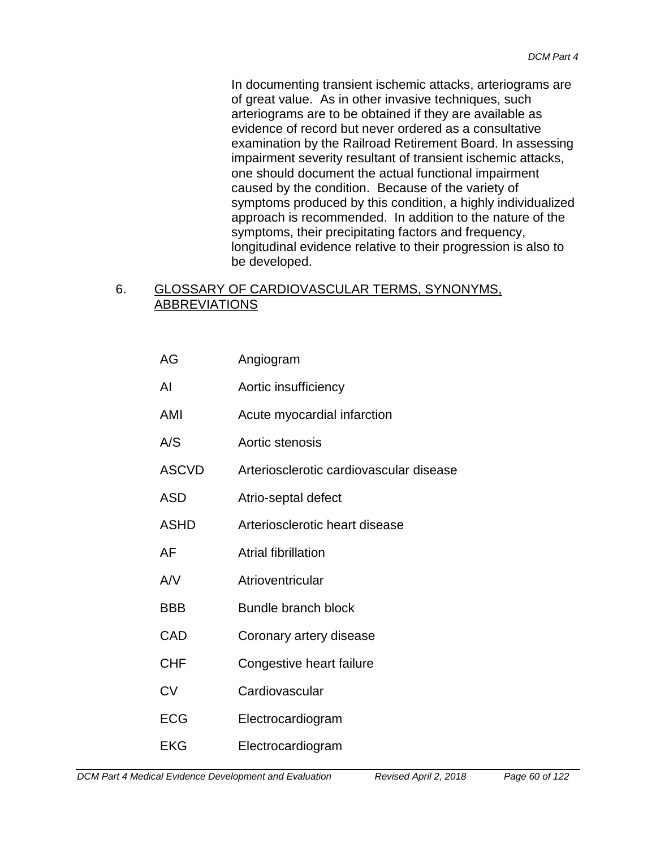In documenting transient ischemic attacks, arteriograms are of great value. As in other invasive techniques, such arteriograms are to be obtained if they are available as evidence of record but never ordered as a consultative examination by the Railroad Retirement Board. In assessing impairment severity resultant of transient ischemic attacks, one should document the actual functional impairment caused by the condition. Because of the variety of symptoms produced by this condition, a highly individualized approach is recommended. In addition to the nature of the symptoms, their precipitating factors and frequency, longitudinal evidence relative to their progression is also to be developed.

## 6. GLOSSARY OF CARDIOVASCULAR TERMS, SYNONYMS, ABBREVIATIONS

| AG           | Angiogram                               |
|--------------|-----------------------------------------|
| Al           | Aortic insufficiency                    |
| AMI          | Acute myocardial infarction             |
| A/S          | Aortic stenosis                         |
| <b>ASCVD</b> | Arteriosclerotic cardiovascular disease |
| <b>ASD</b>   | Atrio-septal defect                     |
| <b>ASHD</b>  | Arteriosclerotic heart disease          |
| AF           | <b>Atrial fibrillation</b>              |
| AV           | Atrioventricular                        |
| <b>BBB</b>   | Bundle branch block                     |
| CAD          | Coronary artery disease                 |
| <b>CHF</b>   | Congestive heart failure                |
| CV           | Cardiovascular                          |
| <b>ECG</b>   | Electrocardiogram                       |
| <b>EKG</b>   | Electrocardiogram                       |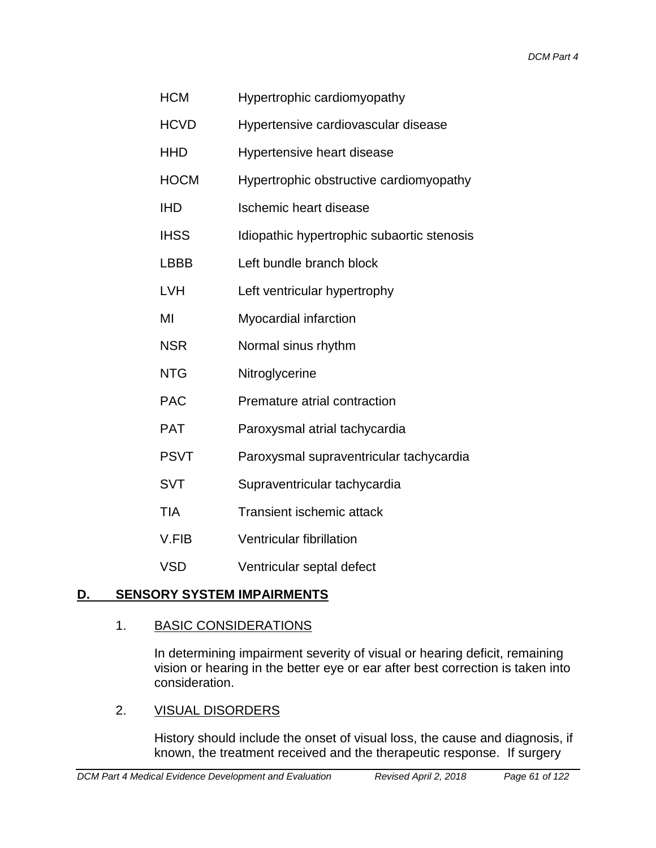| HCM | Hypertrophic cardiomyopathy |
|-----|-----------------------------|
|-----|-----------------------------|

- HCVD Hypertensive cardiovascular disease
- HHD Hypertensive heart disease
- HOCM Hypertrophic obstructive cardiomyopathy
- IHD Ischemic heart disease
- IHSS Idiopathic hypertrophic subaortic stenosis
- LBBB Left bundle branch block
- LVH Left ventricular hypertrophy
- MI Myocardial infarction
- NSR Normal sinus rhythm
- NTG Nitroglycerine
- PAC Premature atrial contraction
- PAT Paroxysmal atrial tachycardia
- PSVT Paroxysmal supraventricular tachycardia
- SVT Supraventricular tachycardia
- TIA Transient ischemic attack
- V.FIB Ventricular fibrillation
- VSD Ventricular septal defect

## **D. SENSORY SYSTEM IMPAIRMENTS**

#### 1. BASIC CONSIDERATIONS

In determining impairment severity of visual or hearing deficit, remaining vision or hearing in the better eye or ear after best correction is taken into consideration.

#### 2. VISUAL DISORDERS

History should include the onset of visual loss, the cause and diagnosis, if known, the treatment received and the therapeutic response. If surgery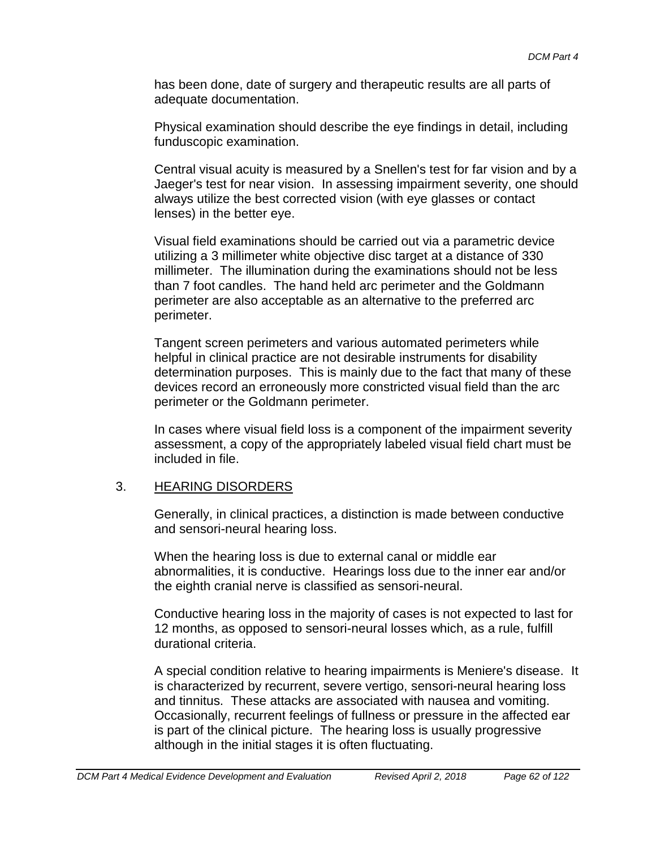has been done, date of surgery and therapeutic results are all parts of adequate documentation.

Physical examination should describe the eye findings in detail, including funduscopic examination.

Central visual acuity is measured by a Snellen's test for far vision and by a Jaeger's test for near vision. In assessing impairment severity, one should always utilize the best corrected vision (with eye glasses or contact lenses) in the better eye.

Visual field examinations should be carried out via a parametric device utilizing a 3 millimeter white objective disc target at a distance of 330 millimeter. The illumination during the examinations should not be less than 7 foot candles. The hand held arc perimeter and the Goldmann perimeter are also acceptable as an alternative to the preferred arc perimeter.

Tangent screen perimeters and various automated perimeters while helpful in clinical practice are not desirable instruments for disability determination purposes. This is mainly due to the fact that many of these devices record an erroneously more constricted visual field than the arc perimeter or the Goldmann perimeter.

In cases where visual field loss is a component of the impairment severity assessment, a copy of the appropriately labeled visual field chart must be included in file.

#### 3. HEARING DISORDERS

Generally, in clinical practices, a distinction is made between conductive and sensori-neural hearing loss.

When the hearing loss is due to external canal or middle ear abnormalities, it is conductive. Hearings loss due to the inner ear and/or the eighth cranial nerve is classified as sensori-neural.

Conductive hearing loss in the majority of cases is not expected to last for 12 months, as opposed to sensori-neural losses which, as a rule, fulfill durational criteria.

A special condition relative to hearing impairments is Meniere's disease. It is characterized by recurrent, severe vertigo, sensori-neural hearing loss and tinnitus. These attacks are associated with nausea and vomiting. Occasionally, recurrent feelings of fullness or pressure in the affected ear is part of the clinical picture. The hearing loss is usually progressive although in the initial stages it is often fluctuating.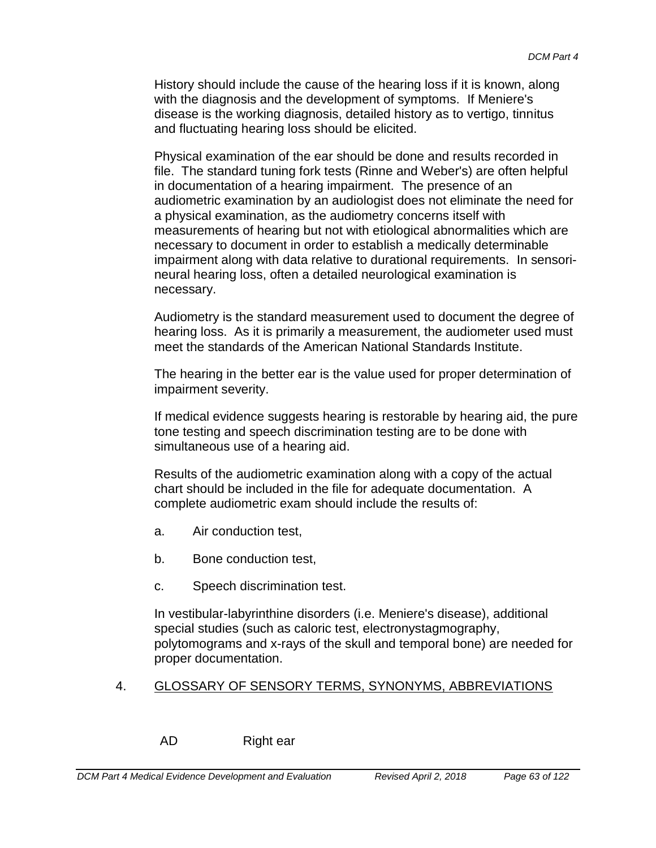History should include the cause of the hearing loss if it is known, along with the diagnosis and the development of symptoms. If Meniere's disease is the working diagnosis, detailed history as to vertigo, tinnitus and fluctuating hearing loss should be elicited.

Physical examination of the ear should be done and results recorded in file. The standard tuning fork tests (Rinne and Weber's) are often helpful in documentation of a hearing impairment. The presence of an audiometric examination by an audiologist does not eliminate the need for a physical examination, as the audiometry concerns itself with measurements of hearing but not with etiological abnormalities which are necessary to document in order to establish a medically determinable impairment along with data relative to durational requirements. In sensorineural hearing loss, often a detailed neurological examination is necessary.

Audiometry is the standard measurement used to document the degree of hearing loss. As it is primarily a measurement, the audiometer used must meet the standards of the American National Standards Institute.

The hearing in the better ear is the value used for proper determination of impairment severity.

If medical evidence suggests hearing is restorable by hearing aid, the pure tone testing and speech discrimination testing are to be done with simultaneous use of a hearing aid.

Results of the audiometric examination along with a copy of the actual chart should be included in the file for adequate documentation. A complete audiometric exam should include the results of:

- a. Air conduction test,
- b. Bone conduction test,
- c. Speech discrimination test.

In vestibular-labyrinthine disorders (i.e. Meniere's disease), additional special studies (such as caloric test, electronystagmography, polytomograms and x-rays of the skull and temporal bone) are needed for proper documentation.

#### 4. GLOSSARY OF SENSORY TERMS, SYNONYMS, ABBREVIATIONS

AD Right ear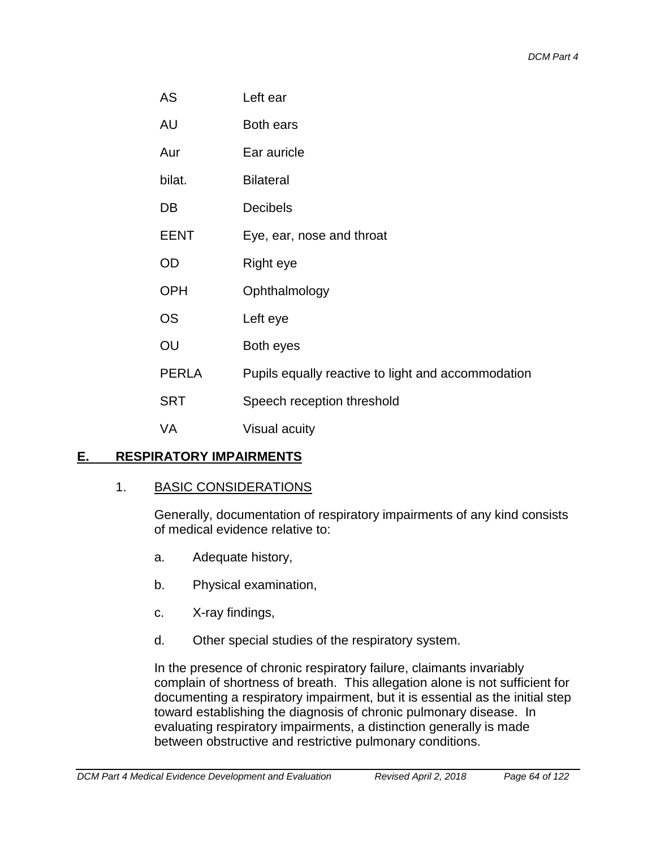AU Both ears

Aur Ear auricle

bilat. Bilateral

DB Decibels

EENT Eye, ear, nose and throat

OD Right eye

OPH Ophthalmology

OS Left eye

OU Both eyes

PERLA Pupils equally reactive to light and accommodation

SRT Speech reception threshold

VA Visual acuity

## **E. RESPIRATORY IMPAIRMENTS**

#### 1. BASIC CONSIDERATIONS

Generally, documentation of respiratory impairments of any kind consists of medical evidence relative to:

- a. Adequate history,
- b. Physical examination,
- c. X-ray findings,
- d. Other special studies of the respiratory system.

In the presence of chronic respiratory failure, claimants invariably complain of shortness of breath. This allegation alone is not sufficient for documenting a respiratory impairment, but it is essential as the initial step toward establishing the diagnosis of chronic pulmonary disease. In evaluating respiratory impairments, a distinction generally is made between obstructive and restrictive pulmonary conditions.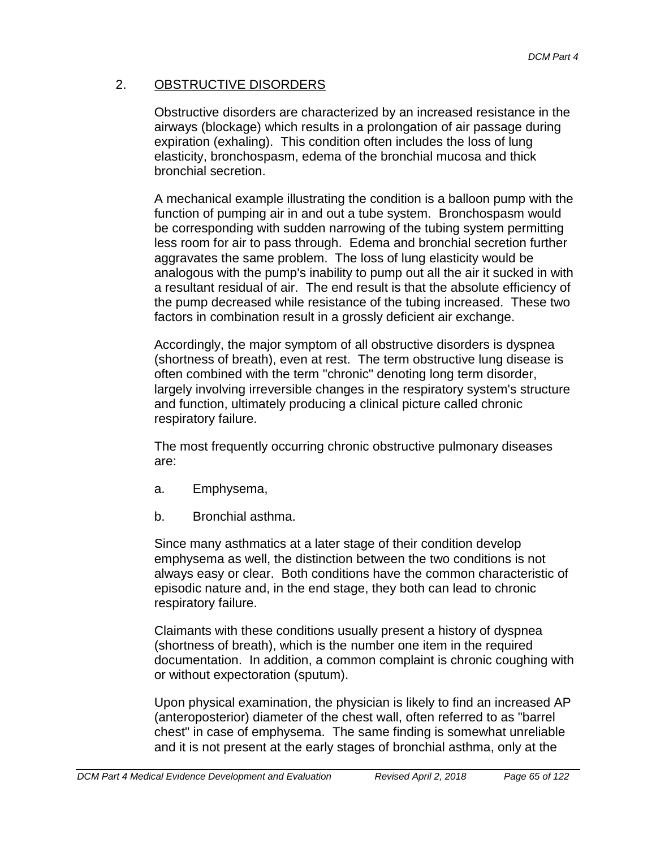## 2. OBSTRUCTIVE DISORDERS

Obstructive disorders are characterized by an increased resistance in the airways (blockage) which results in a prolongation of air passage during expiration (exhaling). This condition often includes the loss of lung elasticity, bronchospasm, edema of the bronchial mucosa and thick bronchial secretion.

A mechanical example illustrating the condition is a balloon pump with the function of pumping air in and out a tube system. Bronchospasm would be corresponding with sudden narrowing of the tubing system permitting less room for air to pass through. Edema and bronchial secretion further aggravates the same problem. The loss of lung elasticity would be analogous with the pump's inability to pump out all the air it sucked in with a resultant residual of air. The end result is that the absolute efficiency of the pump decreased while resistance of the tubing increased. These two factors in combination result in a grossly deficient air exchange.

Accordingly, the major symptom of all obstructive disorders is dyspnea (shortness of breath), even at rest. The term obstructive lung disease is often combined with the term "chronic" denoting long term disorder, largely involving irreversible changes in the respiratory system's structure and function, ultimately producing a clinical picture called chronic respiratory failure.

The most frequently occurring chronic obstructive pulmonary diseases are:

- a. Emphysema,
- b. Bronchial asthma.

Since many asthmatics at a later stage of their condition develop emphysema as well, the distinction between the two conditions is not always easy or clear. Both conditions have the common characteristic of episodic nature and, in the end stage, they both can lead to chronic respiratory failure.

Claimants with these conditions usually present a history of dyspnea (shortness of breath), which is the number one item in the required documentation. In addition, a common complaint is chronic coughing with or without expectoration (sputum).

Upon physical examination, the physician is likely to find an increased AP (anteroposterior) diameter of the chest wall, often referred to as "barrel chest" in case of emphysema. The same finding is somewhat unreliable and it is not present at the early stages of bronchial asthma, only at the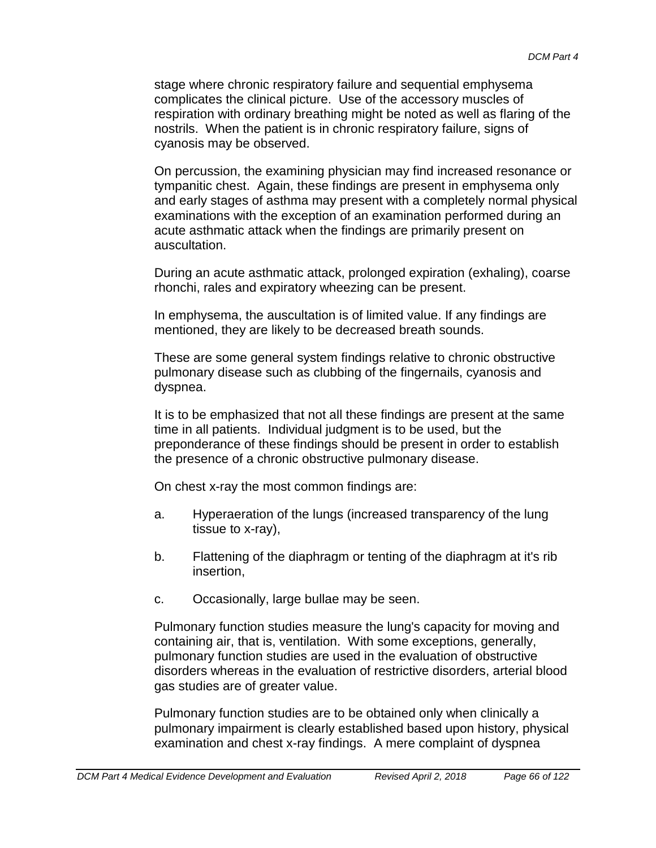stage where chronic respiratory failure and sequential emphysema complicates the clinical picture. Use of the accessory muscles of respiration with ordinary breathing might be noted as well as flaring of the nostrils. When the patient is in chronic respiratory failure, signs of cyanosis may be observed.

On percussion, the examining physician may find increased resonance or tympanitic chest. Again, these findings are present in emphysema only and early stages of asthma may present with a completely normal physical examinations with the exception of an examination performed during an acute asthmatic attack when the findings are primarily present on auscultation.

During an acute asthmatic attack, prolonged expiration (exhaling), coarse rhonchi, rales and expiratory wheezing can be present.

In emphysema, the auscultation is of limited value. If any findings are mentioned, they are likely to be decreased breath sounds.

These are some general system findings relative to chronic obstructive pulmonary disease such as clubbing of the fingernails, cyanosis and dyspnea.

It is to be emphasized that not all these findings are present at the same time in all patients. Individual judgment is to be used, but the preponderance of these findings should be present in order to establish the presence of a chronic obstructive pulmonary disease.

On chest x-ray the most common findings are:

- a. Hyperaeration of the lungs (increased transparency of the lung tissue to x-ray),
- b. Flattening of the diaphragm or tenting of the diaphragm at it's rib insertion,
- c. Occasionally, large bullae may be seen.

Pulmonary function studies measure the lung's capacity for moving and containing air, that is, ventilation. With some exceptions, generally, pulmonary function studies are used in the evaluation of obstructive disorders whereas in the evaluation of restrictive disorders, arterial blood gas studies are of greater value.

Pulmonary function studies are to be obtained only when clinically a pulmonary impairment is clearly established based upon history, physical examination and chest x-ray findings. A mere complaint of dyspnea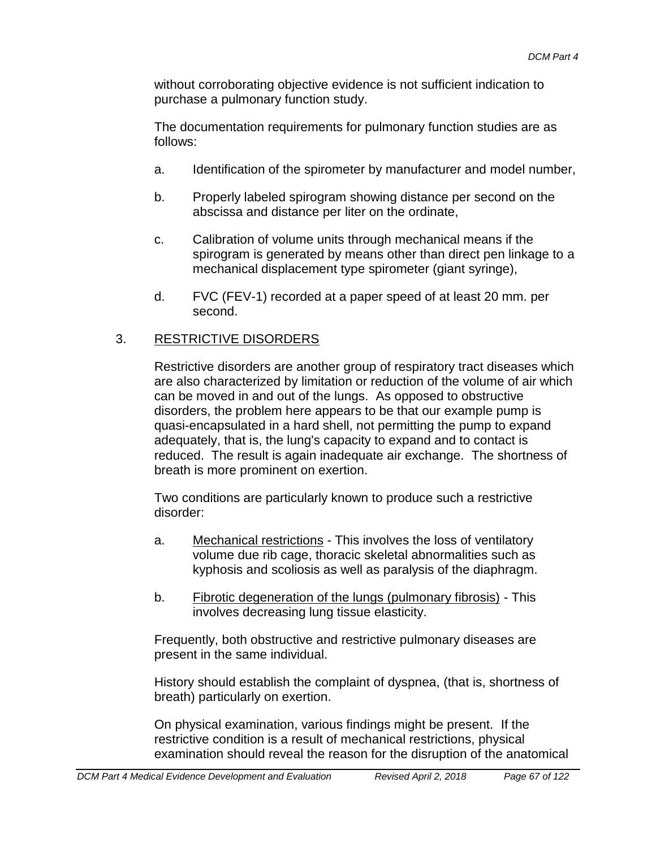without corroborating objective evidence is not sufficient indication to purchase a pulmonary function study.

The documentation requirements for pulmonary function studies are as follows:

- a. Identification of the spirometer by manufacturer and model number,
- b. Properly labeled spirogram showing distance per second on the abscissa and distance per liter on the ordinate,
- c. Calibration of volume units through mechanical means if the spirogram is generated by means other than direct pen linkage to a mechanical displacement type spirometer (giant syringe),
- d. FVC (FEV-1) recorded at a paper speed of at least 20 mm. per second.

## 3. RESTRICTIVE DISORDERS

Restrictive disorders are another group of respiratory tract diseases which are also characterized by limitation or reduction of the volume of air which can be moved in and out of the lungs. As opposed to obstructive disorders, the problem here appears to be that our example pump is quasi-encapsulated in a hard shell, not permitting the pump to expand adequately, that is, the lung's capacity to expand and to contact is reduced. The result is again inadequate air exchange. The shortness of breath is more prominent on exertion.

Two conditions are particularly known to produce such a restrictive disorder:

- a. Mechanical restrictions This involves the loss of ventilatory volume due rib cage, thoracic skeletal abnormalities such as kyphosis and scoliosis as well as paralysis of the diaphragm.
- b. Fibrotic degeneration of the lungs (pulmonary fibrosis) This involves decreasing lung tissue elasticity.

Frequently, both obstructive and restrictive pulmonary diseases are present in the same individual.

History should establish the complaint of dyspnea, (that is, shortness of breath) particularly on exertion.

On physical examination, various findings might be present. If the restrictive condition is a result of mechanical restrictions, physical examination should reveal the reason for the disruption of the anatomical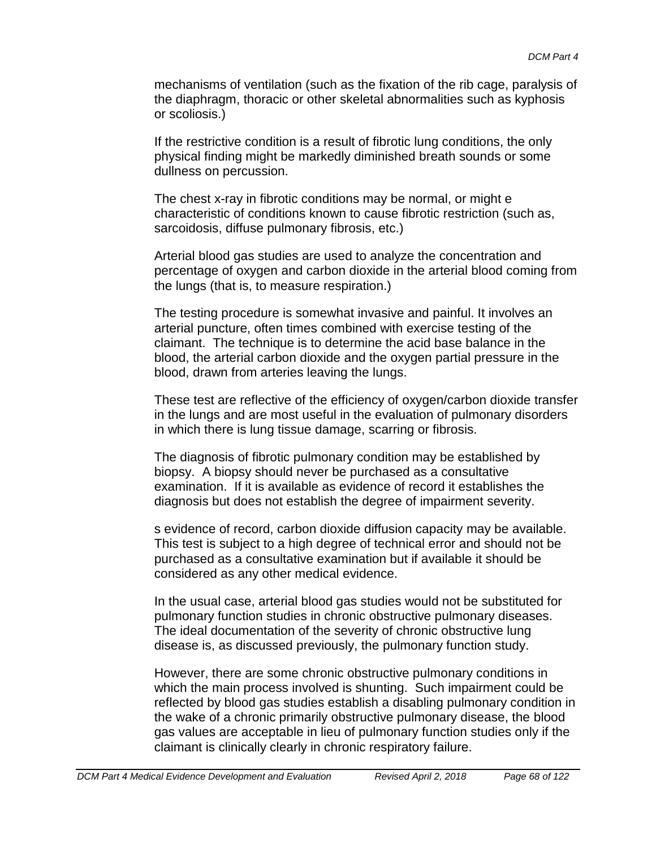mechanisms of ventilation (such as the fixation of the rib cage, paralysis of the diaphragm, thoracic or other skeletal abnormalities such as kyphosis or scoliosis.)

If the restrictive condition is a result of fibrotic lung conditions, the only physical finding might be markedly diminished breath sounds or some dullness on percussion.

The chest x-ray in fibrotic conditions may be normal, or might e characteristic of conditions known to cause fibrotic restriction (such as, sarcoidosis, diffuse pulmonary fibrosis, etc.)

Arterial blood gas studies are used to analyze the concentration and percentage of oxygen and carbon dioxide in the arterial blood coming from the lungs (that is, to measure respiration.)

The testing procedure is somewhat invasive and painful. It involves an arterial puncture, often times combined with exercise testing of the claimant. The technique is to determine the acid base balance in the blood, the arterial carbon dioxide and the oxygen partial pressure in the blood, drawn from arteries leaving the lungs.

These test are reflective of the efficiency of oxygen/carbon dioxide transfer in the lungs and are most useful in the evaluation of pulmonary disorders in which there is lung tissue damage, scarring or fibrosis.

The diagnosis of fibrotic pulmonary condition may be established by biopsy. A biopsy should never be purchased as a consultative examination. If it is available as evidence of record it establishes the diagnosis but does not establish the degree of impairment severity.

s evidence of record, carbon dioxide diffusion capacity may be available. This test is subject to a high degree of technical error and should not be purchased as a consultative examination but if available it should be considered as any other medical evidence.

In the usual case, arterial blood gas studies would not be substituted for pulmonary function studies in chronic obstructive pulmonary diseases. The ideal documentation of the severity of chronic obstructive lung disease is, as discussed previously, the pulmonary function study.

However, there are some chronic obstructive pulmonary conditions in which the main process involved is shunting. Such impairment could be reflected by blood gas studies establish a disabling pulmonary condition in the wake of a chronic primarily obstructive pulmonary disease, the blood gas values are acceptable in lieu of pulmonary function studies only if the claimant is clinically clearly in chronic respiratory failure.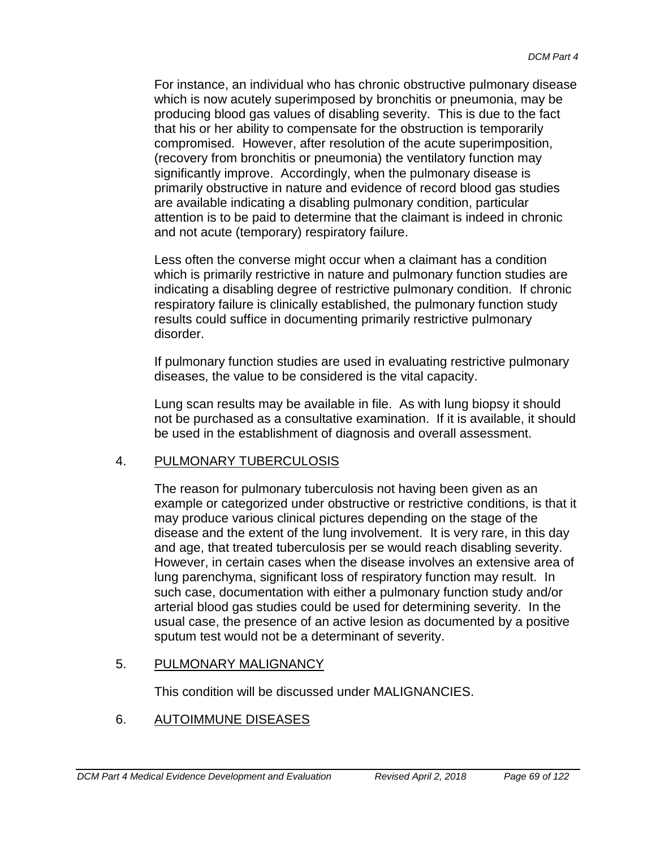For instance, an individual who has chronic obstructive pulmonary disease which is now acutely superimposed by bronchitis or pneumonia, may be producing blood gas values of disabling severity. This is due to the fact that his or her ability to compensate for the obstruction is temporarily compromised. However, after resolution of the acute superimposition, (recovery from bronchitis or pneumonia) the ventilatory function may significantly improve. Accordingly, when the pulmonary disease is primarily obstructive in nature and evidence of record blood gas studies are available indicating a disabling pulmonary condition, particular attention is to be paid to determine that the claimant is indeed in chronic and not acute (temporary) respiratory failure.

Less often the converse might occur when a claimant has a condition which is primarily restrictive in nature and pulmonary function studies are indicating a disabling degree of restrictive pulmonary condition. If chronic respiratory failure is clinically established, the pulmonary function study results could suffice in documenting primarily restrictive pulmonary disorder.

If pulmonary function studies are used in evaluating restrictive pulmonary diseases, the value to be considered is the vital capacity.

Lung scan results may be available in file. As with lung biopsy it should not be purchased as a consultative examination. If it is available, it should be used in the establishment of diagnosis and overall assessment.

## 4. PULMONARY TUBERCULOSIS

The reason for pulmonary tuberculosis not having been given as an example or categorized under obstructive or restrictive conditions, is that it may produce various clinical pictures depending on the stage of the disease and the extent of the lung involvement. It is very rare, in this day and age, that treated tuberculosis per se would reach disabling severity. However, in certain cases when the disease involves an extensive area of lung parenchyma, significant loss of respiratory function may result. In such case, documentation with either a pulmonary function study and/or arterial blood gas studies could be used for determining severity. In the usual case, the presence of an active lesion as documented by a positive sputum test would not be a determinant of severity.

## 5. PULMONARY MALIGNANCY

This condition will be discussed under MALIGNANCIES.

## 6. AUTOIMMUNE DISEASES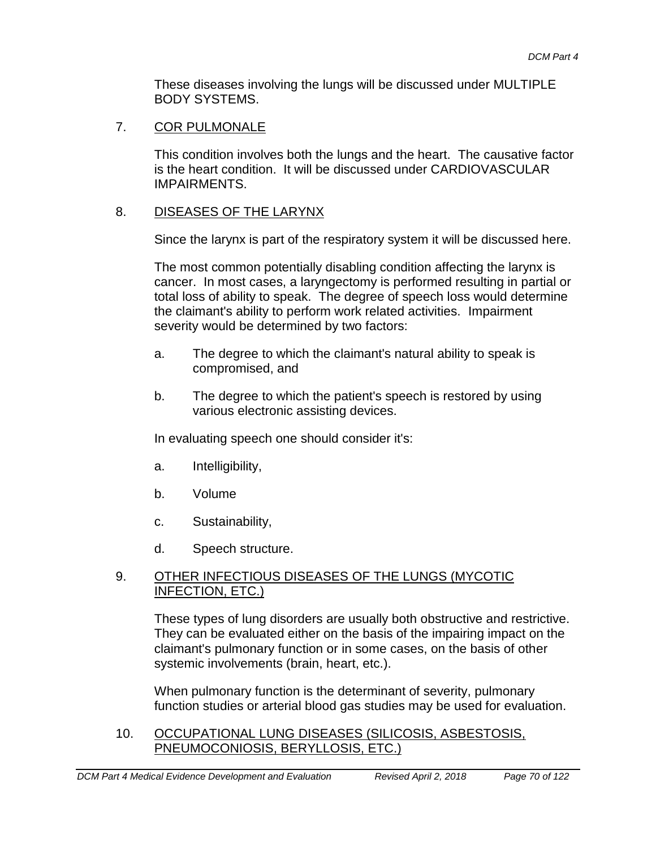These diseases involving the lungs will be discussed under MULTIPLE BODY SYSTEMS.

#### 7. COR PULMONALE

This condition involves both the lungs and the heart. The causative factor is the heart condition. It will be discussed under CARDIOVASCULAR IMPAIRMENTS.

#### 8. DISEASES OF THE LARYNX

Since the larynx is part of the respiratory system it will be discussed here.

The most common potentially disabling condition affecting the larynx is cancer. In most cases, a laryngectomy is performed resulting in partial or total loss of ability to speak. The degree of speech loss would determine the claimant's ability to perform work related activities. Impairment severity would be determined by two factors:

- a. The degree to which the claimant's natural ability to speak is compromised, and
- b. The degree to which the patient's speech is restored by using various electronic assisting devices.

In evaluating speech one should consider it's:

- a. Intelligibility,
- b. Volume
- c. Sustainability,
- d. Speech structure.

#### 9. OTHER INFECTIOUS DISEASES OF THE LUNGS (MYCOTIC INFECTION, ETC.)

These types of lung disorders are usually both obstructive and restrictive. They can be evaluated either on the basis of the impairing impact on the claimant's pulmonary function or in some cases, on the basis of other systemic involvements (brain, heart, etc.).

When pulmonary function is the determinant of severity, pulmonary function studies or arterial blood gas studies may be used for evaluation.

10. OCCUPATIONAL LUNG DISEASES (SILICOSIS, ASBESTOSIS, PNEUMOCONIOSIS, BERYLLOSIS, ETC.)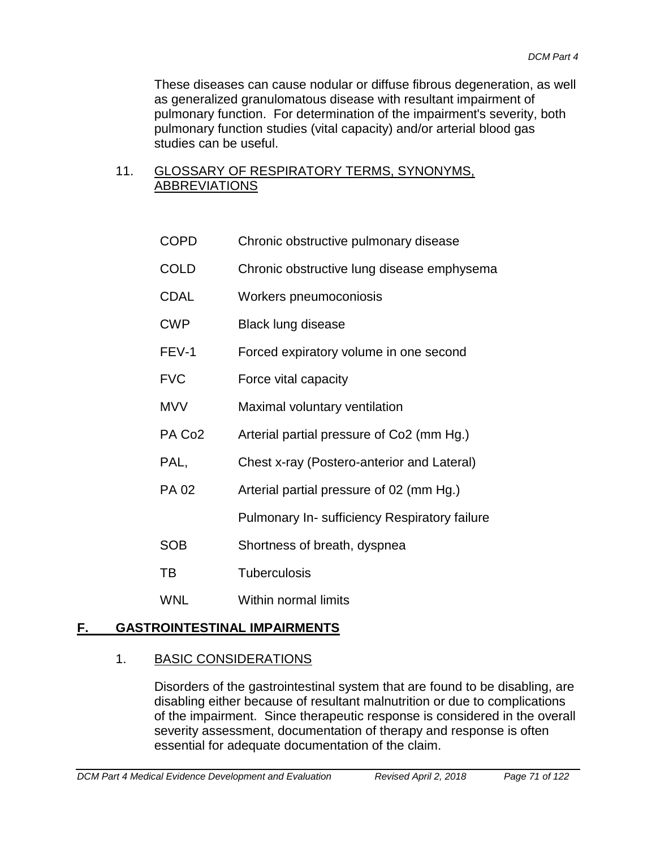These diseases can cause nodular or diffuse fibrous degeneration, as well as generalized granulomatous disease with resultant impairment of pulmonary function. For determination of the impairment's severity, both pulmonary function studies (vital capacity) and/or arterial blood gas studies can be useful.

### 11. GLOSSARY OF RESPIRATORY TERMS, SYNONYMS, ABBREVIATIONS

- COPD Chronic obstructive pulmonary disease
- COLD Chronic obstructive lung disease emphysema
- CDAL Workers pneumoconiosis
- CWP Black lung disease
- FEV-1 Forced expiratory volume in one second
- FVC Force vital capacity
- MVV Maximal voluntary ventilation
- PA Co<sub>2</sub> Arterial partial pressure of Co<sub>2</sub> (mm Hg.)
- PAL, Chest x-ray (Postero-anterior and Lateral)
- PA 02 Arterial partial pressure of 02 (mm Hg.)

Pulmonary In- sufficiency Respiratory failure

- SOB Shortness of breath, dyspnea
- TB Tuberculosis
- WNL Within normal limits

## **F. GASTROINTESTINAL IMPAIRMENTS**

## 1. BASIC CONSIDERATIONS

Disorders of the gastrointestinal system that are found to be disabling, are disabling either because of resultant malnutrition or due to complications of the impairment. Since therapeutic response is considered in the overall severity assessment, documentation of therapy and response is often essential for adequate documentation of the claim.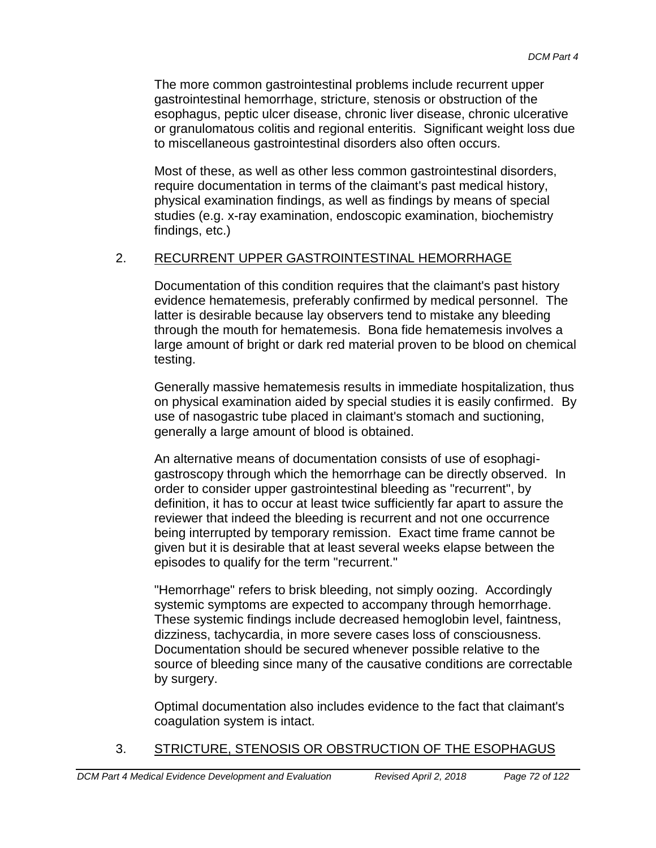The more common gastrointestinal problems include recurrent upper gastrointestinal hemorrhage, stricture, stenosis or obstruction of the esophagus, peptic ulcer disease, chronic liver disease, chronic ulcerative or granulomatous colitis and regional enteritis. Significant weight loss due to miscellaneous gastrointestinal disorders also often occurs.

Most of these, as well as other less common gastrointestinal disorders, require documentation in terms of the claimant's past medical history, physical examination findings, as well as findings by means of special studies (e.g. x-ray examination, endoscopic examination, biochemistry findings, etc.)

## 2. RECURRENT UPPER GASTROINTESTINAL HEMORRHAGE

Documentation of this condition requires that the claimant's past history evidence hematemesis, preferably confirmed by medical personnel. The latter is desirable because lay observers tend to mistake any bleeding through the mouth for hematemesis. Bona fide hematemesis involves a large amount of bright or dark red material proven to be blood on chemical testing.

Generally massive hematemesis results in immediate hospitalization, thus on physical examination aided by special studies it is easily confirmed. By use of nasogastric tube placed in claimant's stomach and suctioning, generally a large amount of blood is obtained.

An alternative means of documentation consists of use of esophagigastroscopy through which the hemorrhage can be directly observed. In order to consider upper gastrointestinal bleeding as "recurrent", by definition, it has to occur at least twice sufficiently far apart to assure the reviewer that indeed the bleeding is recurrent and not one occurrence being interrupted by temporary remission. Exact time frame cannot be given but it is desirable that at least several weeks elapse between the episodes to qualify for the term "recurrent."

"Hemorrhage" refers to brisk bleeding, not simply oozing. Accordingly systemic symptoms are expected to accompany through hemorrhage. These systemic findings include decreased hemoglobin level, faintness, dizziness, tachycardia, in more severe cases loss of consciousness. Documentation should be secured whenever possible relative to the source of bleeding since many of the causative conditions are correctable by surgery.

Optimal documentation also includes evidence to the fact that claimant's coagulation system is intact.

## 3. STRICTURE, STENOSIS OR OBSTRUCTION OF THE ESOPHAGUS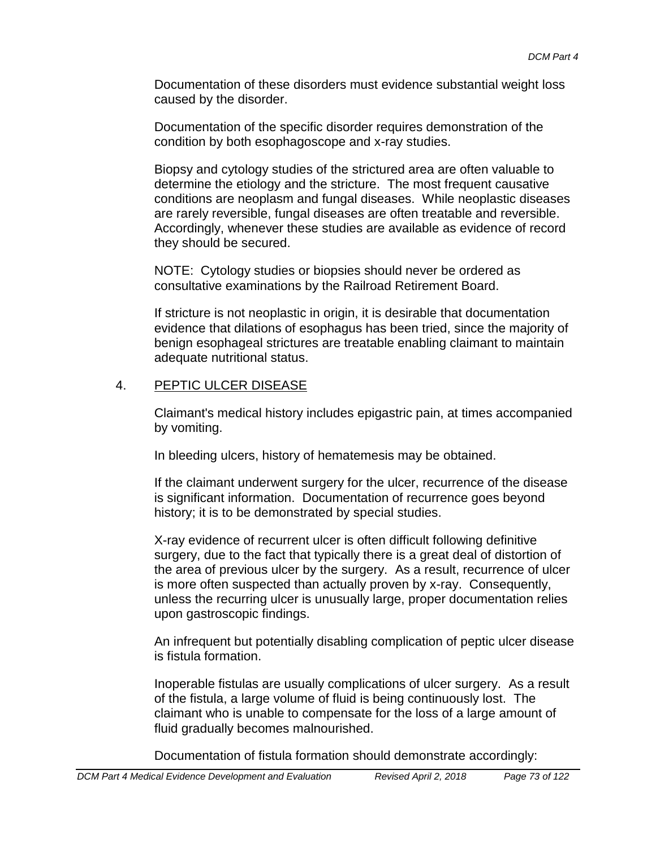Documentation of these disorders must evidence substantial weight loss caused by the disorder.

Documentation of the specific disorder requires demonstration of the condition by both esophagoscope and x-ray studies.

Biopsy and cytology studies of the strictured area are often valuable to determine the etiology and the stricture. The most frequent causative conditions are neoplasm and fungal diseases. While neoplastic diseases are rarely reversible, fungal diseases are often treatable and reversible. Accordingly, whenever these studies are available as evidence of record they should be secured.

NOTE: Cytology studies or biopsies should never be ordered as consultative examinations by the Railroad Retirement Board.

If stricture is not neoplastic in origin, it is desirable that documentation evidence that dilations of esophagus has been tried, since the majority of benign esophageal strictures are treatable enabling claimant to maintain adequate nutritional status.

### 4. PEPTIC ULCER DISEASE

Claimant's medical history includes epigastric pain, at times accompanied by vomiting.

In bleeding ulcers, history of hematemesis may be obtained.

If the claimant underwent surgery for the ulcer, recurrence of the disease is significant information. Documentation of recurrence goes beyond history; it is to be demonstrated by special studies.

X-ray evidence of recurrent ulcer is often difficult following definitive surgery, due to the fact that typically there is a great deal of distortion of the area of previous ulcer by the surgery. As a result, recurrence of ulcer is more often suspected than actually proven by x-ray. Consequently, unless the recurring ulcer is unusually large, proper documentation relies upon gastroscopic findings.

An infrequent but potentially disabling complication of peptic ulcer disease is fistula formation.

Inoperable fistulas are usually complications of ulcer surgery. As a result of the fistula, a large volume of fluid is being continuously lost. The claimant who is unable to compensate for the loss of a large amount of fluid gradually becomes malnourished.

Documentation of fistula formation should demonstrate accordingly: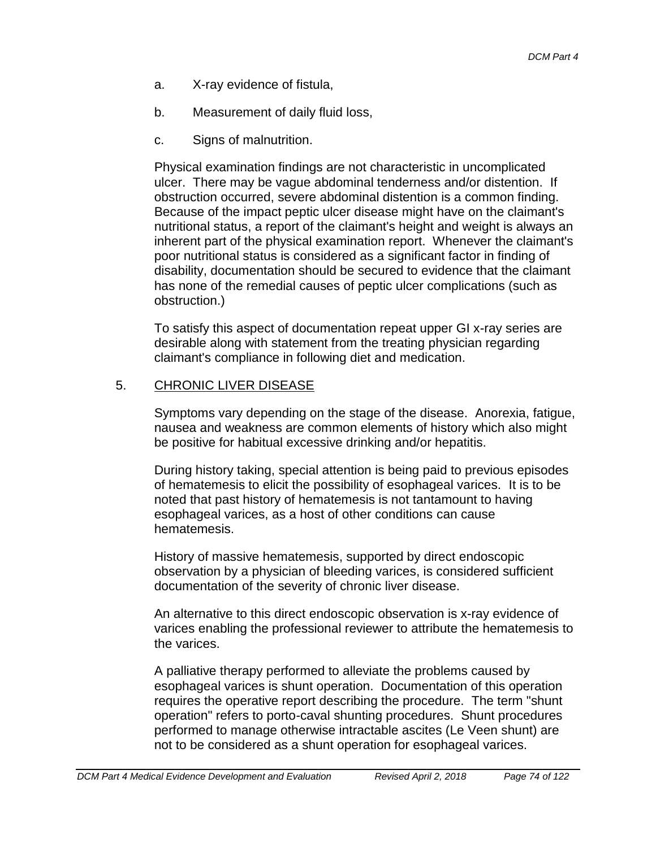- a. X-ray evidence of fistula,
- b. Measurement of daily fluid loss,
- c. Signs of malnutrition.

Physical examination findings are not characteristic in uncomplicated ulcer. There may be vague abdominal tenderness and/or distention. If obstruction occurred, severe abdominal distention is a common finding. Because of the impact peptic ulcer disease might have on the claimant's nutritional status, a report of the claimant's height and weight is always an inherent part of the physical examination report. Whenever the claimant's poor nutritional status is considered as a significant factor in finding of disability, documentation should be secured to evidence that the claimant has none of the remedial causes of peptic ulcer complications (such as obstruction.)

To satisfy this aspect of documentation repeat upper GI x-ray series are desirable along with statement from the treating physician regarding claimant's compliance in following diet and medication.

# 5. CHRONIC LIVER DISEASE

Symptoms vary depending on the stage of the disease. Anorexia, fatigue, nausea and weakness are common elements of history which also might be positive for habitual excessive drinking and/or hepatitis.

During history taking, special attention is being paid to previous episodes of hematemesis to elicit the possibility of esophageal varices. It is to be noted that past history of hematemesis is not tantamount to having esophageal varices, as a host of other conditions can cause hematemesis.

History of massive hematemesis, supported by direct endoscopic observation by a physician of bleeding varices, is considered sufficient documentation of the severity of chronic liver disease.

An alternative to this direct endoscopic observation is x-ray evidence of varices enabling the professional reviewer to attribute the hematemesis to the varices.

A palliative therapy performed to alleviate the problems caused by esophageal varices is shunt operation. Documentation of this operation requires the operative report describing the procedure. The term "shunt operation" refers to porto-caval shunting procedures. Shunt procedures performed to manage otherwise intractable ascites (Le Veen shunt) are not to be considered as a shunt operation for esophageal varices.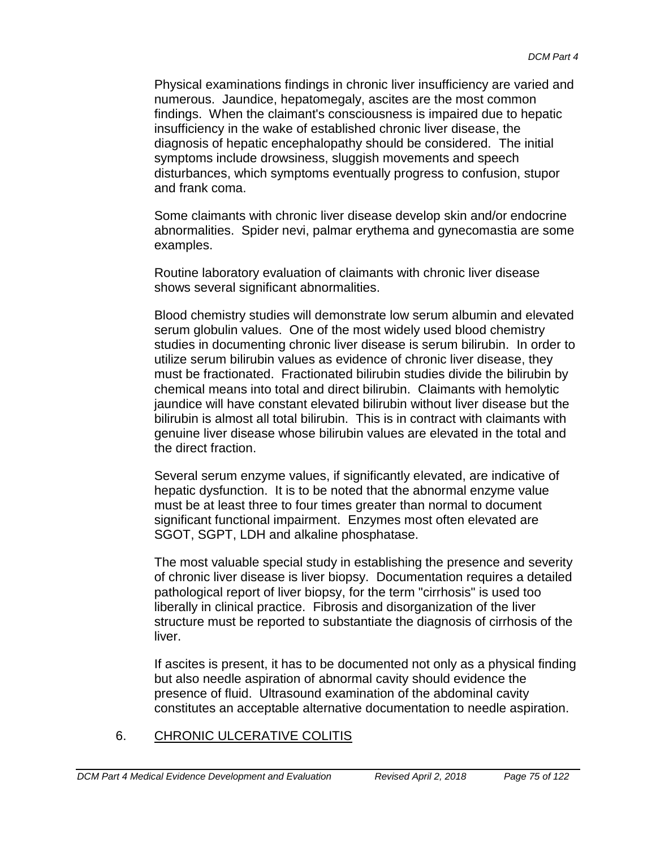Physical examinations findings in chronic liver insufficiency are varied and numerous. Jaundice, hepatomegaly, ascites are the most common findings. When the claimant's consciousness is impaired due to hepatic insufficiency in the wake of established chronic liver disease, the diagnosis of hepatic encephalopathy should be considered. The initial symptoms include drowsiness, sluggish movements and speech disturbances, which symptoms eventually progress to confusion, stupor and frank coma.

Some claimants with chronic liver disease develop skin and/or endocrine abnormalities. Spider nevi, palmar erythema and gynecomastia are some examples.

Routine laboratory evaluation of claimants with chronic liver disease shows several significant abnormalities.

Blood chemistry studies will demonstrate low serum albumin and elevated serum globulin values. One of the most widely used blood chemistry studies in documenting chronic liver disease is serum bilirubin. In order to utilize serum bilirubin values as evidence of chronic liver disease, they must be fractionated. Fractionated bilirubin studies divide the bilirubin by chemical means into total and direct bilirubin. Claimants with hemolytic jaundice will have constant elevated bilirubin without liver disease but the bilirubin is almost all total bilirubin. This is in contract with claimants with genuine liver disease whose bilirubin values are elevated in the total and the direct fraction.

Several serum enzyme values, if significantly elevated, are indicative of hepatic dysfunction. It is to be noted that the abnormal enzyme value must be at least three to four times greater than normal to document significant functional impairment. Enzymes most often elevated are SGOT, SGPT, LDH and alkaline phosphatase.

The most valuable special study in establishing the presence and severity of chronic liver disease is liver biopsy. Documentation requires a detailed pathological report of liver biopsy, for the term "cirrhosis" is used too liberally in clinical practice. Fibrosis and disorganization of the liver structure must be reported to substantiate the diagnosis of cirrhosis of the liver.

If ascites is present, it has to be documented not only as a physical finding but also needle aspiration of abnormal cavity should evidence the presence of fluid. Ultrasound examination of the abdominal cavity constitutes an acceptable alternative documentation to needle aspiration.

# 6. CHRONIC ULCERATIVE COLITIS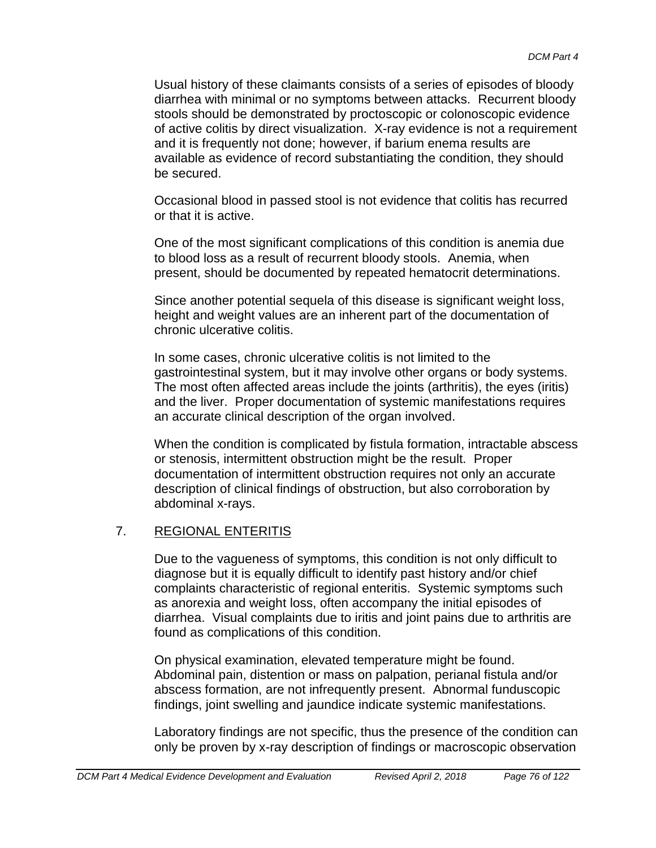Usual history of these claimants consists of a series of episodes of bloody diarrhea with minimal or no symptoms between attacks. Recurrent bloody stools should be demonstrated by proctoscopic or colonoscopic evidence of active colitis by direct visualization. X-ray evidence is not a requirement and it is frequently not done; however, if barium enema results are available as evidence of record substantiating the condition, they should be secured.

Occasional blood in passed stool is not evidence that colitis has recurred or that it is active.

One of the most significant complications of this condition is anemia due to blood loss as a result of recurrent bloody stools. Anemia, when present, should be documented by repeated hematocrit determinations.

Since another potential sequela of this disease is significant weight loss, height and weight values are an inherent part of the documentation of chronic ulcerative colitis.

In some cases, chronic ulcerative colitis is not limited to the gastrointestinal system, but it may involve other organs or body systems. The most often affected areas include the joints (arthritis), the eyes (iritis) and the liver. Proper documentation of systemic manifestations requires an accurate clinical description of the organ involved.

When the condition is complicated by fistula formation, intractable abscess or stenosis, intermittent obstruction might be the result. Proper documentation of intermittent obstruction requires not only an accurate description of clinical findings of obstruction, but also corroboration by abdominal x-rays.

# 7. REGIONAL ENTERITIS

Due to the vagueness of symptoms, this condition is not only difficult to diagnose but it is equally difficult to identify past history and/or chief complaints characteristic of regional enteritis. Systemic symptoms such as anorexia and weight loss, often accompany the initial episodes of diarrhea. Visual complaints due to iritis and joint pains due to arthritis are found as complications of this condition.

On physical examination, elevated temperature might be found. Abdominal pain, distention or mass on palpation, perianal fistula and/or abscess formation, are not infrequently present. Abnormal funduscopic findings, joint swelling and jaundice indicate systemic manifestations.

Laboratory findings are not specific, thus the presence of the condition can only be proven by x-ray description of findings or macroscopic observation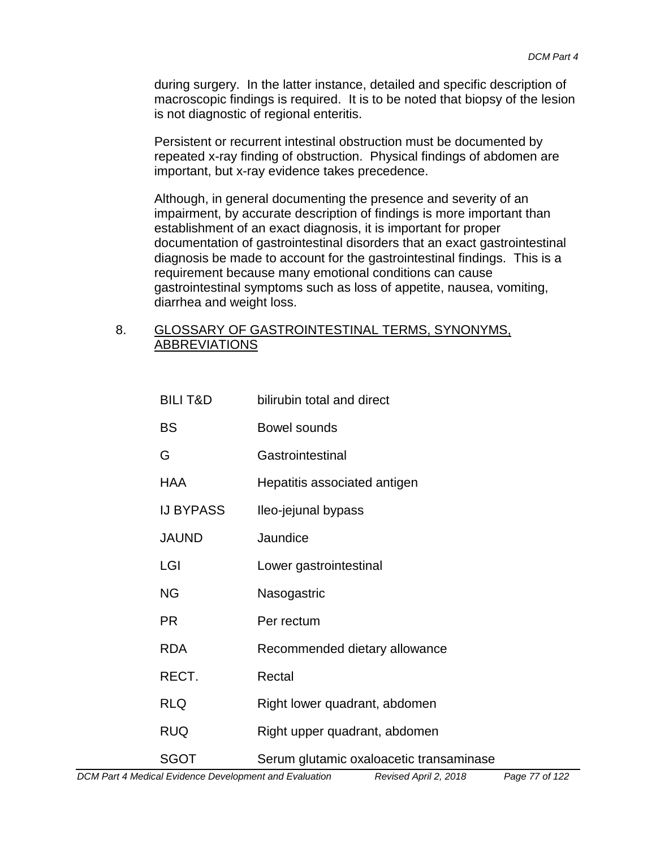during surgery. In the latter instance, detailed and specific description of macroscopic findings is required. It is to be noted that biopsy of the lesion is not diagnostic of regional enteritis.

Persistent or recurrent intestinal obstruction must be documented by repeated x-ray finding of obstruction. Physical findings of abdomen are important, but x-ray evidence takes precedence.

Although, in general documenting the presence and severity of an impairment, by accurate description of findings is more important than establishment of an exact diagnosis, it is important for proper documentation of gastrointestinal disorders that an exact gastrointestinal diagnosis be made to account for the gastrointestinal findings. This is a requirement because many emotional conditions can cause gastrointestinal symptoms such as loss of appetite, nausea, vomiting, diarrhea and weight loss.

#### 8. GLOSSARY OF GASTROINTESTINAL TERMS, SYNONYMS, ABBREVIATIONS

| <b>BILIT&amp;D</b> | bilirubin total and direct              |
|--------------------|-----------------------------------------|
| BS                 | Bowel sounds                            |
| G                  | Gastrointestinal                        |
| <b>HAA</b>         | Hepatitis associated antigen            |
| <b>IJ BYPASS</b>   | Ileo-jejunal bypass                     |
| <b>JAUND</b>       | Jaundice                                |
| LGI                | Lower gastrointestinal                  |
| <b>NG</b>          | Nasogastric                             |
| <b>PR</b>          | Per rectum                              |
| <b>RDA</b>         | Recommended dietary allowance           |
| RECT.              | Rectal                                  |
| <b>RLQ</b>         | Right lower quadrant, abdomen           |
| <b>RUQ</b>         | Right upper quadrant, abdomen           |
| <b>SGOT</b>        | Serum glutamic oxaloacetic transaminase |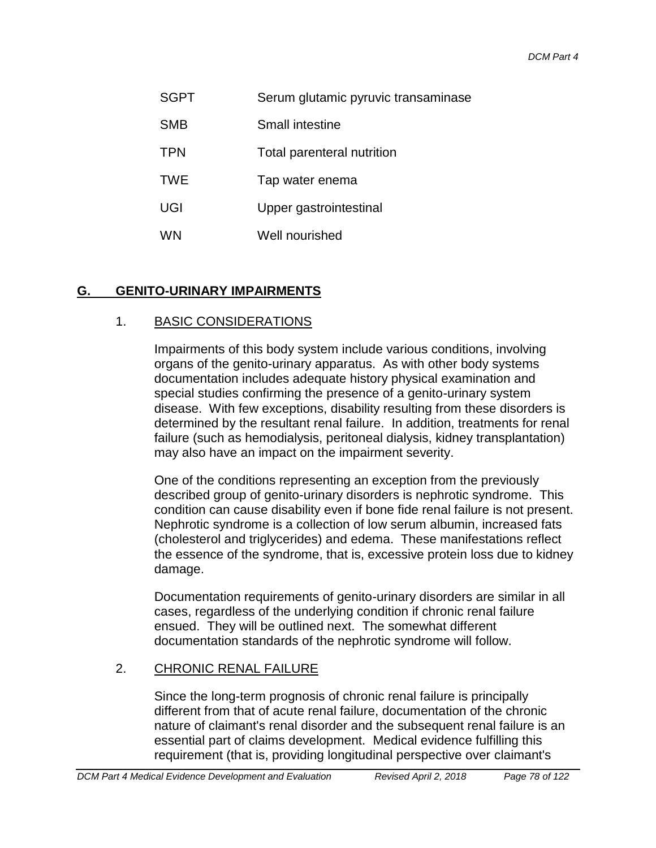- SGPT Serum glutamic pyruvic transaminase
- SMB Small intestine
- TPN Total parenteral nutrition
- TWE Tap water enema
- UGI Upper gastrointestinal
- WN Well nourished

# **G. GENITO-URINARY IMPAIRMENTS**

### 1. BASIC CONSIDERATIONS

Impairments of this body system include various conditions, involving organs of the genito-urinary apparatus. As with other body systems documentation includes adequate history physical examination and special studies confirming the presence of a genito-urinary system disease. With few exceptions, disability resulting from these disorders is determined by the resultant renal failure. In addition, treatments for renal failure (such as hemodialysis, peritoneal dialysis, kidney transplantation) may also have an impact on the impairment severity.

One of the conditions representing an exception from the previously described group of genito-urinary disorders is nephrotic syndrome. This condition can cause disability even if bone fide renal failure is not present. Nephrotic syndrome is a collection of low serum albumin, increased fats (cholesterol and triglycerides) and edema. These manifestations reflect the essence of the syndrome, that is, excessive protein loss due to kidney damage.

Documentation requirements of genito-urinary disorders are similar in all cases, regardless of the underlying condition if chronic renal failure ensued. They will be outlined next. The somewhat different documentation standards of the nephrotic syndrome will follow.

#### 2. CHRONIC RENAL FAILURE

Since the long-term prognosis of chronic renal failure is principally different from that of acute renal failure, documentation of the chronic nature of claimant's renal disorder and the subsequent renal failure is an essential part of claims development. Medical evidence fulfilling this requirement (that is, providing longitudinal perspective over claimant's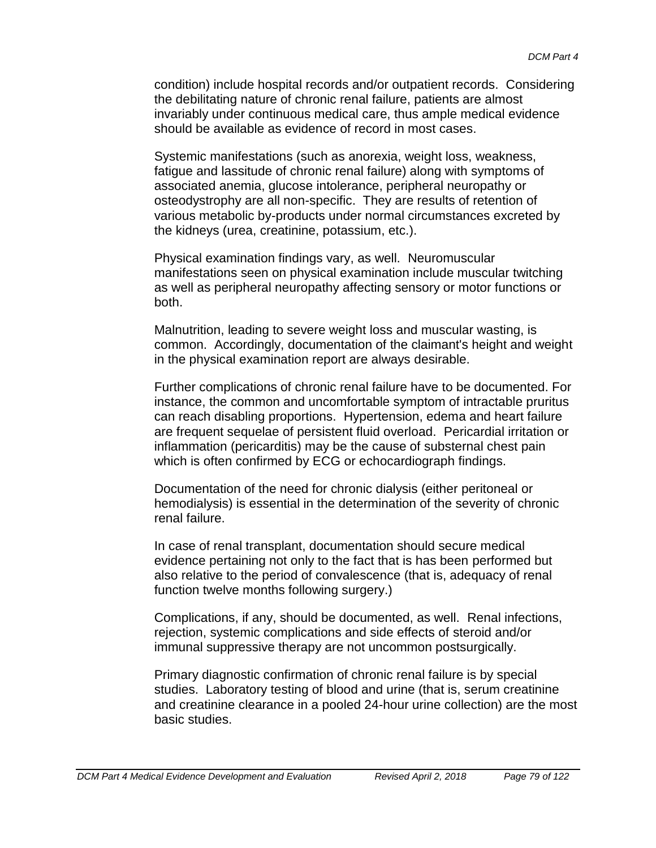condition) include hospital records and/or outpatient records. Considering the debilitating nature of chronic renal failure, patients are almost invariably under continuous medical care, thus ample medical evidence should be available as evidence of record in most cases.

Systemic manifestations (such as anorexia, weight loss, weakness, fatigue and lassitude of chronic renal failure) along with symptoms of associated anemia, glucose intolerance, peripheral neuropathy or osteodystrophy are all non-specific. They are results of retention of various metabolic by-products under normal circumstances excreted by the kidneys (urea, creatinine, potassium, etc.).

Physical examination findings vary, as well. Neuromuscular manifestations seen on physical examination include muscular twitching as well as peripheral neuropathy affecting sensory or motor functions or both.

Malnutrition, leading to severe weight loss and muscular wasting, is common. Accordingly, documentation of the claimant's height and weight in the physical examination report are always desirable.

Further complications of chronic renal failure have to be documented. For instance, the common and uncomfortable symptom of intractable pruritus can reach disabling proportions. Hypertension, edema and heart failure are frequent sequelae of persistent fluid overload. Pericardial irritation or inflammation (pericarditis) may be the cause of substernal chest pain which is often confirmed by ECG or echocardiograph findings.

Documentation of the need for chronic dialysis (either peritoneal or hemodialysis) is essential in the determination of the severity of chronic renal failure.

In case of renal transplant, documentation should secure medical evidence pertaining not only to the fact that is has been performed but also relative to the period of convalescence (that is, adequacy of renal function twelve months following surgery.)

Complications, if any, should be documented, as well. Renal infections, rejection, systemic complications and side effects of steroid and/or immunal suppressive therapy are not uncommon postsurgically.

Primary diagnostic confirmation of chronic renal failure is by special studies. Laboratory testing of blood and urine (that is, serum creatinine and creatinine clearance in a pooled 24-hour urine collection) are the most basic studies.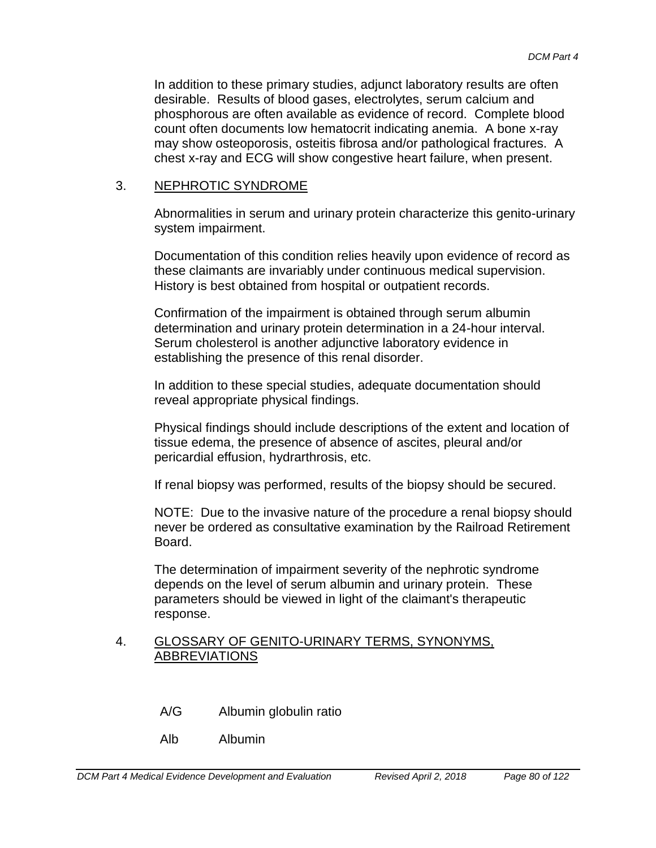In addition to these primary studies, adjunct laboratory results are often desirable. Results of blood gases, electrolytes, serum calcium and phosphorous are often available as evidence of record. Complete blood count often documents low hematocrit indicating anemia. A bone x-ray may show osteoporosis, osteitis fibrosa and/or pathological fractures. A chest x-ray and ECG will show congestive heart failure, when present.

#### 3. NEPHROTIC SYNDROME

Abnormalities in serum and urinary protein characterize this genito-urinary system impairment.

Documentation of this condition relies heavily upon evidence of record as these claimants are invariably under continuous medical supervision. History is best obtained from hospital or outpatient records.

Confirmation of the impairment is obtained through serum albumin determination and urinary protein determination in a 24-hour interval. Serum cholesterol is another adjunctive laboratory evidence in establishing the presence of this renal disorder.

In addition to these special studies, adequate documentation should reveal appropriate physical findings.

Physical findings should include descriptions of the extent and location of tissue edema, the presence of absence of ascites, pleural and/or pericardial effusion, hydrarthrosis, etc.

If renal biopsy was performed, results of the biopsy should be secured.

NOTE: Due to the invasive nature of the procedure a renal biopsy should never be ordered as consultative examination by the Railroad Retirement Board.

The determination of impairment severity of the nephrotic syndrome depends on the level of serum albumin and urinary protein. These parameters should be viewed in light of the claimant's therapeutic response.

#### 4. GLOSSARY OF GENITO-URINARY TERMS, SYNONYMS, ABBREVIATIONS

- A/G Albumin globulin ratio
- Alb Albumin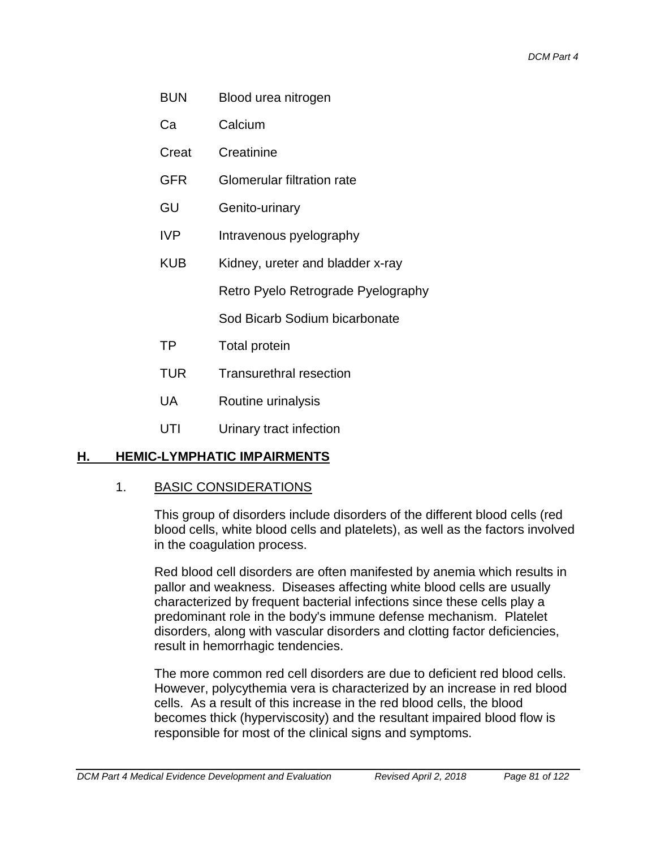- BUN Blood urea nitrogen
- Ca Calcium
- Creat Creatinine
- GFR Glomerular filtration rate
- GU Genito-urinary
- IVP Intravenous pyelography
- KUB Kidney, ureter and bladder x-ray

Retro Pyelo Retrograde Pyelography

Sod Bicarb Sodium bicarbonate

- TP Total protein
- TUR Transurethral resection
- UA Routine urinalysis
- UTI Urinary tract infection

# **H. HEMIC-LYMPHATIC IMPAIRMENTS**

#### 1. BASIC CONSIDERATIONS

This group of disorders include disorders of the different blood cells (red blood cells, white blood cells and platelets), as well as the factors involved in the coagulation process.

Red blood cell disorders are often manifested by anemia which results in pallor and weakness. Diseases affecting white blood cells are usually characterized by frequent bacterial infections since these cells play a predominant role in the body's immune defense mechanism. Platelet disorders, along with vascular disorders and clotting factor deficiencies, result in hemorrhagic tendencies.

The more common red cell disorders are due to deficient red blood cells. However, polycythemia vera is characterized by an increase in red blood cells. As a result of this increase in the red blood cells, the blood becomes thick (hyperviscosity) and the resultant impaired blood flow is responsible for most of the clinical signs and symptoms.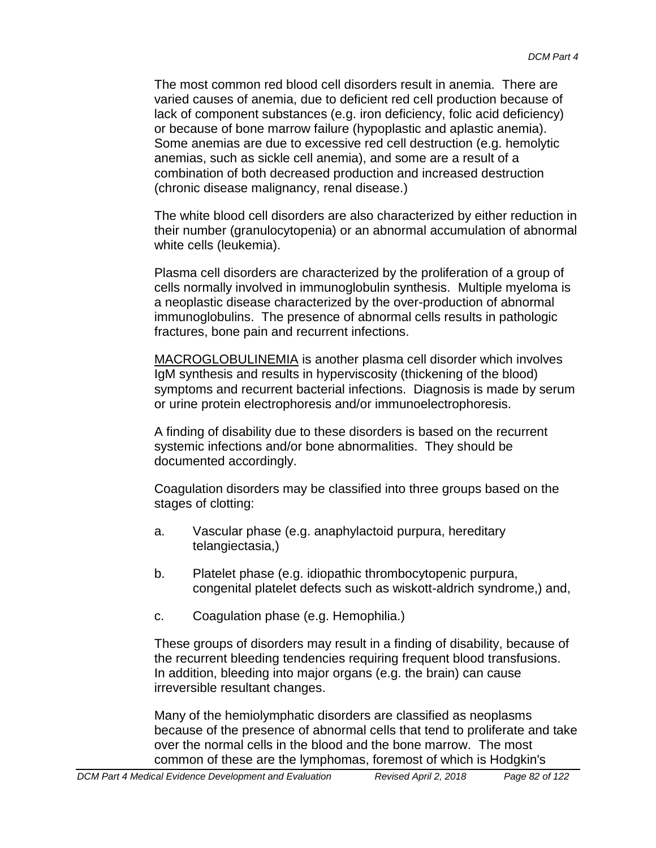The most common red blood cell disorders result in anemia. There are varied causes of anemia, due to deficient red cell production because of lack of component substances (e.g. iron deficiency, folic acid deficiency) or because of bone marrow failure (hypoplastic and aplastic anemia). Some anemias are due to excessive red cell destruction (e.g. hemolytic anemias, such as sickle cell anemia), and some are a result of a combination of both decreased production and increased destruction (chronic disease malignancy, renal disease.)

The white blood cell disorders are also characterized by either reduction in their number (granulocytopenia) or an abnormal accumulation of abnormal white cells (leukemia).

Plasma cell disorders are characterized by the proliferation of a group of cells normally involved in immunoglobulin synthesis. Multiple myeloma is a neoplastic disease characterized by the over-production of abnormal immunoglobulins. The presence of abnormal cells results in pathologic fractures, bone pain and recurrent infections.

MACROGLOBULINEMIA is another plasma cell disorder which involves IgM synthesis and results in hyperviscosity (thickening of the blood) symptoms and recurrent bacterial infections. Diagnosis is made by serum or urine protein electrophoresis and/or immunoelectrophoresis.

A finding of disability due to these disorders is based on the recurrent systemic infections and/or bone abnormalities. They should be documented accordingly.

Coagulation disorders may be classified into three groups based on the stages of clotting:

- a. Vascular phase (e.g. anaphylactoid purpura, hereditary telangiectasia,)
- b. Platelet phase (e.g. idiopathic thrombocytopenic purpura, congenital platelet defects such as wiskott-aldrich syndrome,) and,
- c. Coagulation phase (e.g. Hemophilia.)

These groups of disorders may result in a finding of disability, because of the recurrent bleeding tendencies requiring frequent blood transfusions. In addition, bleeding into major organs (e.g. the brain) can cause irreversible resultant changes.

Many of the hemiolymphatic disorders are classified as neoplasms because of the presence of abnormal cells that tend to proliferate and take over the normal cells in the blood and the bone marrow. The most common of these are the lymphomas, foremost of which is Hodgkin's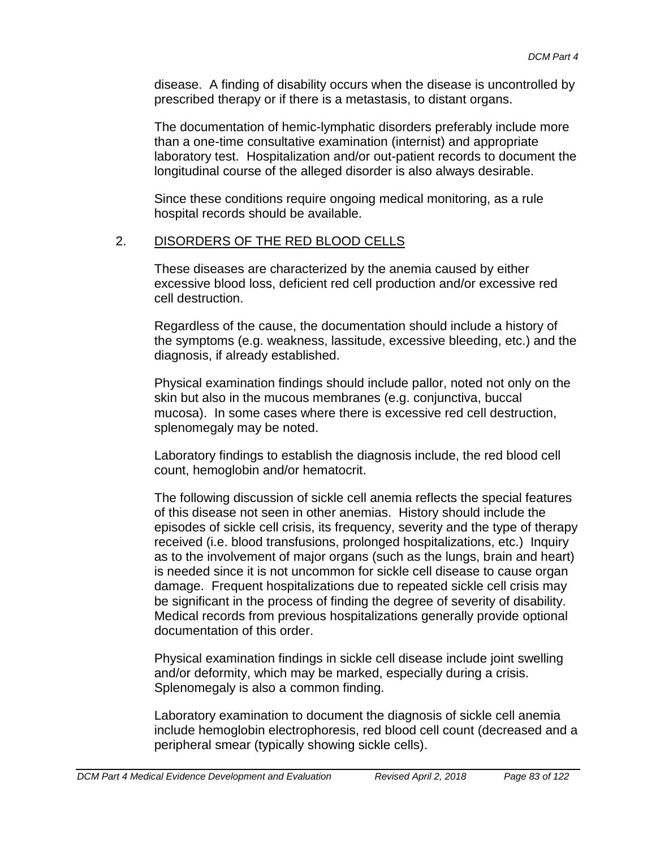disease. A finding of disability occurs when the disease is uncontrolled by prescribed therapy or if there is a metastasis, to distant organs.

The documentation of hemic-lymphatic disorders preferably include more than a one-time consultative examination (internist) and appropriate laboratory test. Hospitalization and/or out-patient records to document the longitudinal course of the alleged disorder is also always desirable.

Since these conditions require ongoing medical monitoring, as a rule hospital records should be available.

### 2. DISORDERS OF THE RED BLOOD CELLS

These diseases are characterized by the anemia caused by either excessive blood loss, deficient red cell production and/or excessive red cell destruction.

Regardless of the cause, the documentation should include a history of the symptoms (e.g. weakness, lassitude, excessive bleeding, etc.) and the diagnosis, if already established.

Physical examination findings should include pallor, noted not only on the skin but also in the mucous membranes (e.g. conjunctiva, buccal mucosa). In some cases where there is excessive red cell destruction, splenomegaly may be noted.

Laboratory findings to establish the diagnosis include, the red blood cell count, hemoglobin and/or hematocrit.

The following discussion of sickle cell anemia reflects the special features of this disease not seen in other anemias. History should include the episodes of sickle cell crisis, its frequency, severity and the type of therapy received (i.e. blood transfusions, prolonged hospitalizations, etc.) Inquiry as to the involvement of major organs (such as the lungs, brain and heart) is needed since it is not uncommon for sickle cell disease to cause organ damage. Frequent hospitalizations due to repeated sickle cell crisis may be significant in the process of finding the degree of severity of disability. Medical records from previous hospitalizations generally provide optional documentation of this order.

Physical examination findings in sickle cell disease include joint swelling and/or deformity, which may be marked, especially during a crisis. Splenomegaly is also a common finding.

Laboratory examination to document the diagnosis of sickle cell anemia include hemoglobin electrophoresis, red blood cell count (decreased and a peripheral smear (typically showing sickle cells).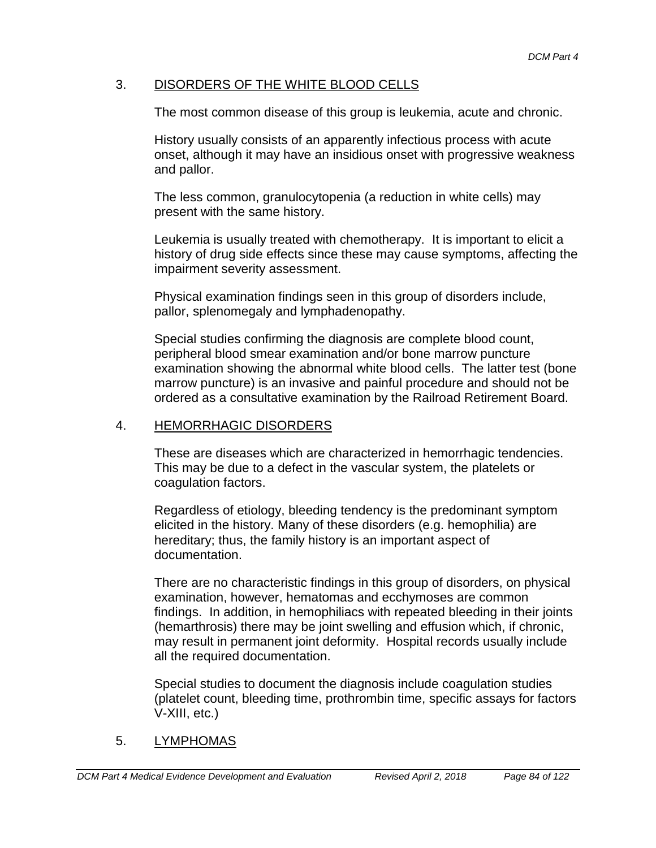# 3. DISORDERS OF THE WHITE BLOOD CELLS

The most common disease of this group is leukemia, acute and chronic.

History usually consists of an apparently infectious process with acute onset, although it may have an insidious onset with progressive weakness and pallor.

The less common, granulocytopenia (a reduction in white cells) may present with the same history.

Leukemia is usually treated with chemotherapy. It is important to elicit a history of drug side effects since these may cause symptoms, affecting the impairment severity assessment.

Physical examination findings seen in this group of disorders include, pallor, splenomegaly and lymphadenopathy.

Special studies confirming the diagnosis are complete blood count, peripheral blood smear examination and/or bone marrow puncture examination showing the abnormal white blood cells. The latter test (bone marrow puncture) is an invasive and painful procedure and should not be ordered as a consultative examination by the Railroad Retirement Board.

### 4. HEMORRHAGIC DISORDERS

These are diseases which are characterized in hemorrhagic tendencies. This may be due to a defect in the vascular system, the platelets or coagulation factors.

Regardless of etiology, bleeding tendency is the predominant symptom elicited in the history. Many of these disorders (e.g. hemophilia) are hereditary; thus, the family history is an important aspect of documentation.

There are no characteristic findings in this group of disorders, on physical examination, however, hematomas and ecchymoses are common findings. In addition, in hemophiliacs with repeated bleeding in their joints (hemarthrosis) there may be joint swelling and effusion which, if chronic, may result in permanent joint deformity. Hospital records usually include all the required documentation.

Special studies to document the diagnosis include coagulation studies (platelet count, bleeding time, prothrombin time, specific assays for factors V-XIII, etc.)

# 5. LYMPHOMAS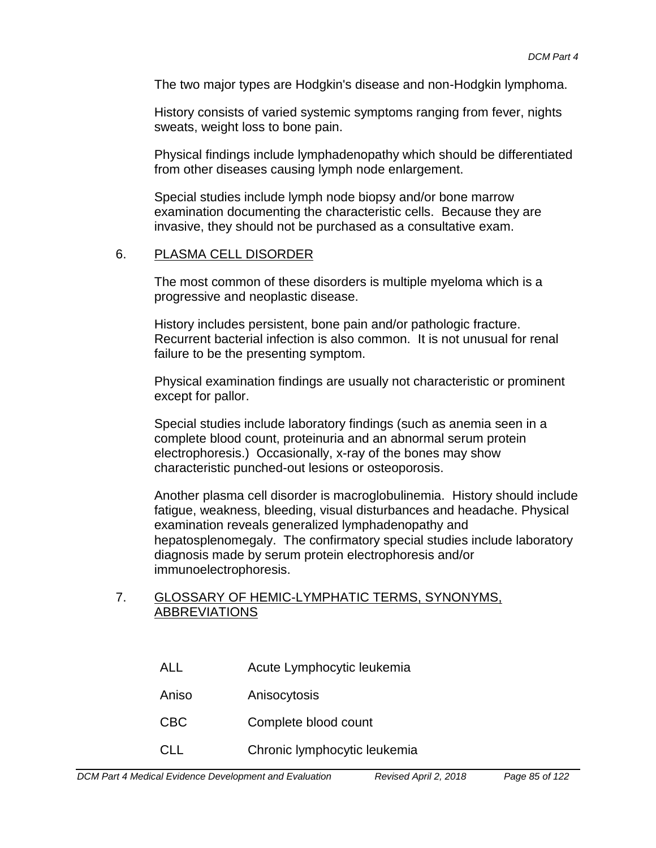The two major types are Hodgkin's disease and non-Hodgkin lymphoma.

History consists of varied systemic symptoms ranging from fever, nights sweats, weight loss to bone pain.

Physical findings include lymphadenopathy which should be differentiated from other diseases causing lymph node enlargement.

Special studies include lymph node biopsy and/or bone marrow examination documenting the characteristic cells. Because they are invasive, they should not be purchased as a consultative exam.

#### 6. PLASMA CELL DISORDER

The most common of these disorders is multiple myeloma which is a progressive and neoplastic disease.

History includes persistent, bone pain and/or pathologic fracture. Recurrent bacterial infection is also common. It is not unusual for renal failure to be the presenting symptom.

Physical examination findings are usually not characteristic or prominent except for pallor.

Special studies include laboratory findings (such as anemia seen in a complete blood count, proteinuria and an abnormal serum protein electrophoresis.) Occasionally, x-ray of the bones may show characteristic punched-out lesions or osteoporosis.

Another plasma cell disorder is macroglobulinemia. History should include fatigue, weakness, bleeding, visual disturbances and headache. Physical examination reveals generalized lymphadenopathy and hepatosplenomegaly. The confirmatory special studies include laboratory diagnosis made by serum protein electrophoresis and/or immunoelectrophoresis.

#### 7. GLOSSARY OF HEMIC-LYMPHATIC TERMS, SYNONYMS, ABBREVIATIONS

| <b>ALL</b> | Acute Lymphocytic leukemia   |
|------------|------------------------------|
| Aniso      | Anisocytosis                 |
| <b>CBC</b> | Complete blood count         |
| <b>CLL</b> | Chronic lymphocytic leukemia |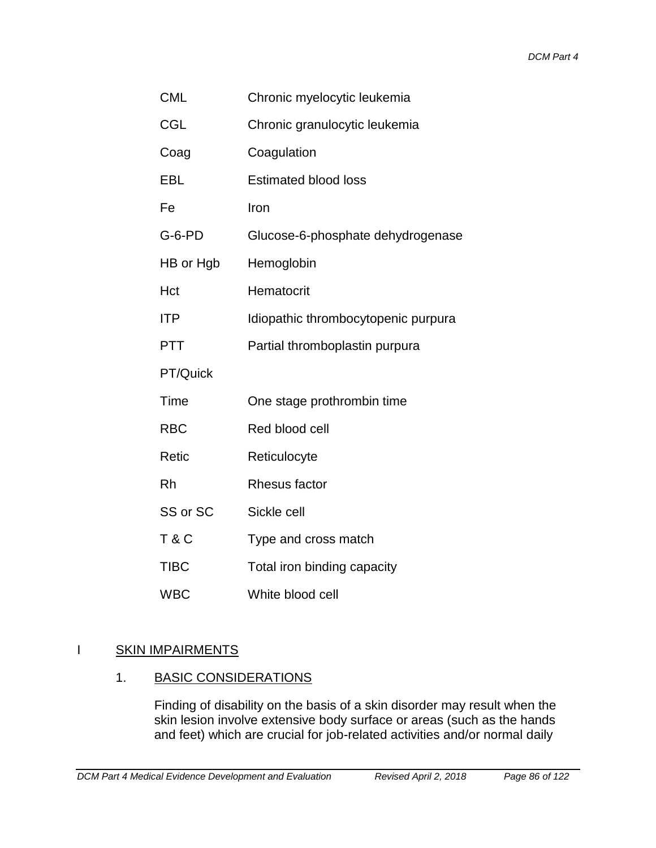| <b>CML</b>     | Chronic myelocytic leukemia         |  |
|----------------|-------------------------------------|--|
| <b>CGL</b>     | Chronic granulocytic leukemia       |  |
| Coag           | Coagulation                         |  |
| EBL            | <b>Estimated blood loss</b>         |  |
| Fe             | Iron                                |  |
| G-6-PD         | Glucose-6-phosphate dehydrogenase   |  |
| HB or Hgb      | Hemoglobin                          |  |
| Hct            | Hematocrit                          |  |
| ITP            | Idiopathic thrombocytopenic purpura |  |
| <b>PTT</b>     | Partial thromboplastin purpura      |  |
| PT/Quick       |                                     |  |
| Time           | One stage prothrombin time          |  |
| <b>RBC</b>     | Red blood cell                      |  |
| Retic          | Reticulocyte                        |  |
| Rh             | Rhesus factor                       |  |
| SS or SC       | Sickle cell                         |  |
| <b>T&amp;C</b> | Type and cross match                |  |
| <b>TIBC</b>    | Total iron binding capacity         |  |
| <b>WBC</b>     | White blood cell                    |  |

### I SKIN IMPAIRMENTS

### 1. BASIC CONSIDERATIONS

Finding of disability on the basis of a skin disorder may result when the skin lesion involve extensive body surface or areas (such as the hands and feet) which are crucial for job-related activities and/or normal daily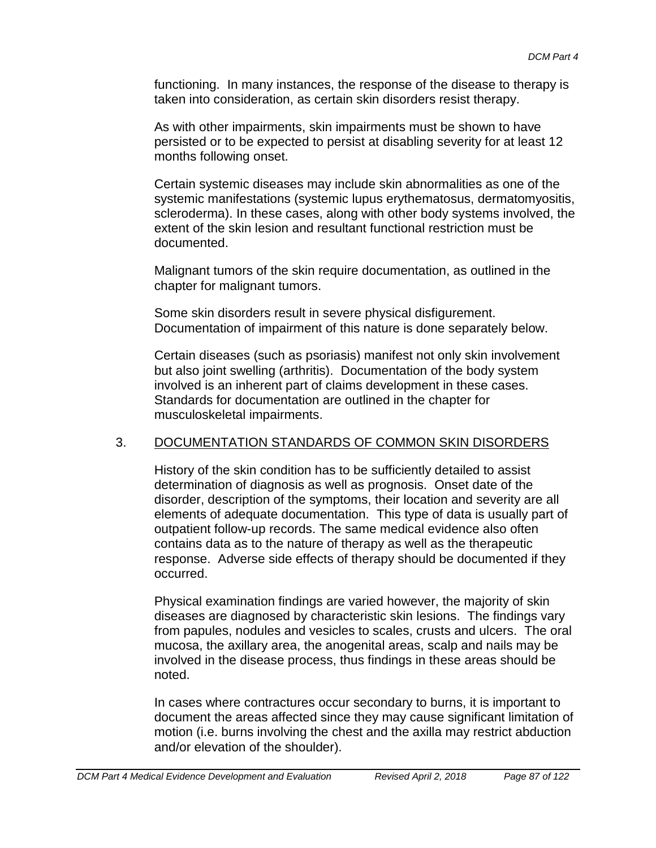functioning. In many instances, the response of the disease to therapy is taken into consideration, as certain skin disorders resist therapy.

As with other impairments, skin impairments must be shown to have persisted or to be expected to persist at disabling severity for at least 12 months following onset.

Certain systemic diseases may include skin abnormalities as one of the systemic manifestations (systemic lupus erythematosus, dermatomyositis, scleroderma). In these cases, along with other body systems involved, the extent of the skin lesion and resultant functional restriction must be documented.

Malignant tumors of the skin require documentation, as outlined in the chapter for malignant tumors.

Some skin disorders result in severe physical disfigurement. Documentation of impairment of this nature is done separately below.

Certain diseases (such as psoriasis) manifest not only skin involvement but also joint swelling (arthritis). Documentation of the body system involved is an inherent part of claims development in these cases. Standards for documentation are outlined in the chapter for musculoskeletal impairments.

#### 3. DOCUMENTATION STANDARDS OF COMMON SKIN DISORDERS

History of the skin condition has to be sufficiently detailed to assist determination of diagnosis as well as prognosis. Onset date of the disorder, description of the symptoms, their location and severity are all elements of adequate documentation. This type of data is usually part of outpatient follow-up records. The same medical evidence also often contains data as to the nature of therapy as well as the therapeutic response. Adverse side effects of therapy should be documented if they occurred.

Physical examination findings are varied however, the majority of skin diseases are diagnosed by characteristic skin lesions. The findings vary from papules, nodules and vesicles to scales, crusts and ulcers. The oral mucosa, the axillary area, the anogenital areas, scalp and nails may be involved in the disease process, thus findings in these areas should be noted.

In cases where contractures occur secondary to burns, it is important to document the areas affected since they may cause significant limitation of motion (i.e. burns involving the chest and the axilla may restrict abduction and/or elevation of the shoulder).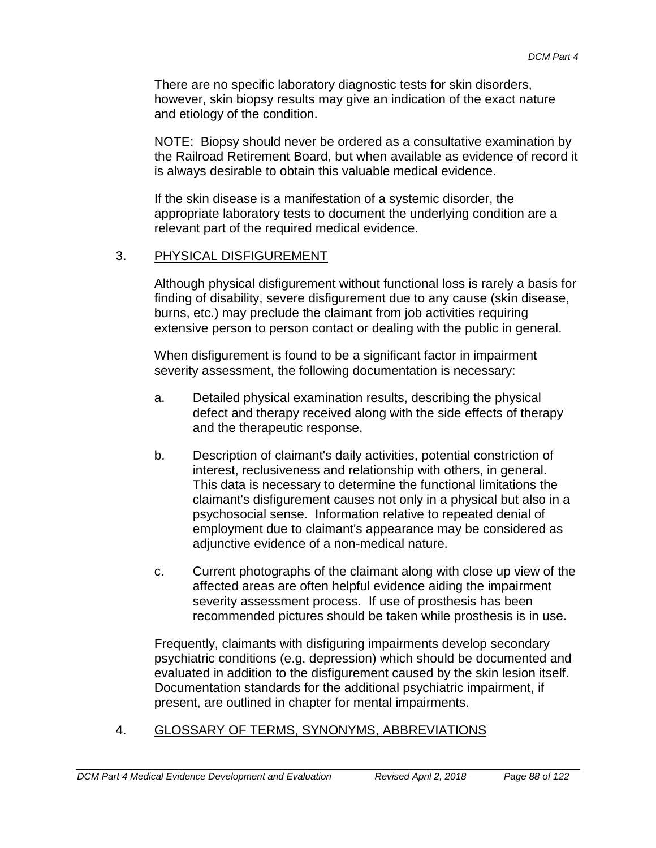There are no specific laboratory diagnostic tests for skin disorders, however, skin biopsy results may give an indication of the exact nature and etiology of the condition.

NOTE: Biopsy should never be ordered as a consultative examination by the Railroad Retirement Board, but when available as evidence of record it is always desirable to obtain this valuable medical evidence.

If the skin disease is a manifestation of a systemic disorder, the appropriate laboratory tests to document the underlying condition are a relevant part of the required medical evidence.

### 3. PHYSICAL DISFIGUREMENT

Although physical disfigurement without functional loss is rarely a basis for finding of disability, severe disfigurement due to any cause (skin disease, burns, etc.) may preclude the claimant from job activities requiring extensive person to person contact or dealing with the public in general.

When disfigurement is found to be a significant factor in impairment severity assessment, the following documentation is necessary:

- a. Detailed physical examination results, describing the physical defect and therapy received along with the side effects of therapy and the therapeutic response.
- b. Description of claimant's daily activities, potential constriction of interest, reclusiveness and relationship with others, in general. This data is necessary to determine the functional limitations the claimant's disfigurement causes not only in a physical but also in a psychosocial sense. Information relative to repeated denial of employment due to claimant's appearance may be considered as adjunctive evidence of a non-medical nature.
- c. Current photographs of the claimant along with close up view of the affected areas are often helpful evidence aiding the impairment severity assessment process. If use of prosthesis has been recommended pictures should be taken while prosthesis is in use.

Frequently, claimants with disfiguring impairments develop secondary psychiatric conditions (e.g. depression) which should be documented and evaluated in addition to the disfigurement caused by the skin lesion itself. Documentation standards for the additional psychiatric impairment, if present, are outlined in chapter for mental impairments.

#### 4. GLOSSARY OF TERMS, SYNONYMS, ABBREVIATIONS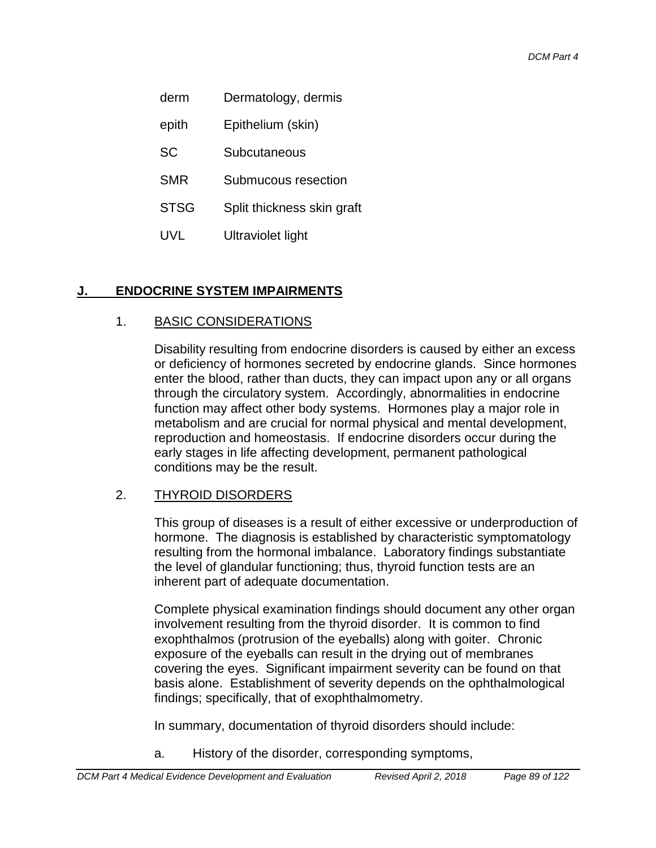- derm Dermatology, dermis
- epith Epithelium (skin)
- SC Subcutaneous
- SMR Submucous resection
- STSG Split thickness skin graft
- UVL Ultraviolet light

# **J. ENDOCRINE SYSTEM IMPAIRMENTS**

# 1. BASIC CONSIDERATIONS

Disability resulting from endocrine disorders is caused by either an excess or deficiency of hormones secreted by endocrine glands. Since hormones enter the blood, rather than ducts, they can impact upon any or all organs through the circulatory system. Accordingly, abnormalities in endocrine function may affect other body systems. Hormones play a major role in metabolism and are crucial for normal physical and mental development, reproduction and homeostasis. If endocrine disorders occur during the early stages in life affecting development, permanent pathological conditions may be the result.

# 2. THYROID DISORDERS

This group of diseases is a result of either excessive or underproduction of hormone. The diagnosis is established by characteristic symptomatology resulting from the hormonal imbalance. Laboratory findings substantiate the level of glandular functioning; thus, thyroid function tests are an inherent part of adequate documentation.

Complete physical examination findings should document any other organ involvement resulting from the thyroid disorder. It is common to find exophthalmos (protrusion of the eyeballs) along with goiter. Chronic exposure of the eyeballs can result in the drying out of membranes covering the eyes. Significant impairment severity can be found on that basis alone. Establishment of severity depends on the ophthalmological findings; specifically, that of exophthalmometry.

In summary, documentation of thyroid disorders should include:

a. History of the disorder, corresponding symptoms,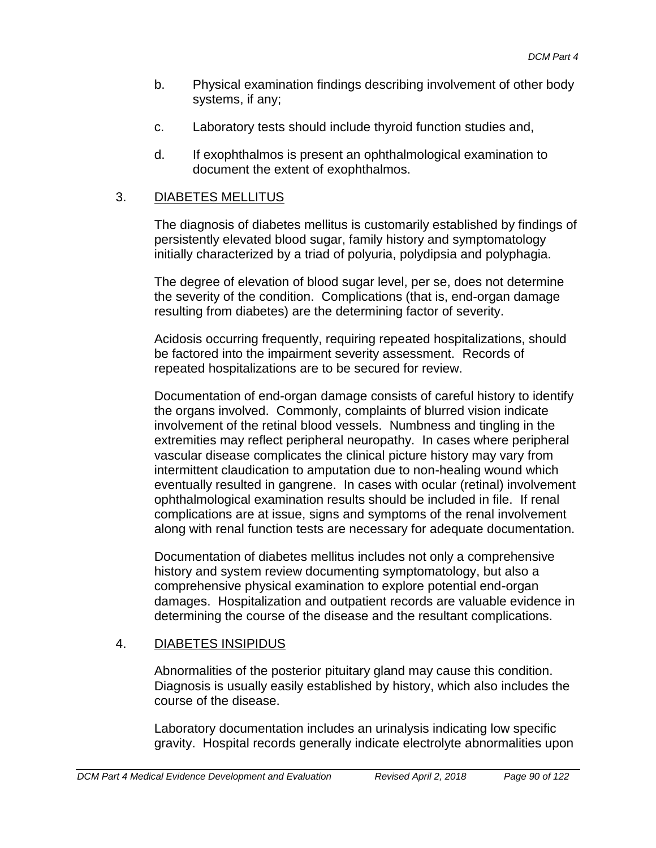- b. Physical examination findings describing involvement of other body systems, if any;
- c. Laboratory tests should include thyroid function studies and,
- d. If exophthalmos is present an ophthalmological examination to document the extent of exophthalmos.

# 3. DIABETES MELLITUS

The diagnosis of diabetes mellitus is customarily established by findings of persistently elevated blood sugar, family history and symptomatology initially characterized by a triad of polyuria, polydipsia and polyphagia.

The degree of elevation of blood sugar level, per se, does not determine the severity of the condition. Complications (that is, end-organ damage resulting from diabetes) are the determining factor of severity.

Acidosis occurring frequently, requiring repeated hospitalizations, should be factored into the impairment severity assessment. Records of repeated hospitalizations are to be secured for review.

Documentation of end-organ damage consists of careful history to identify the organs involved. Commonly, complaints of blurred vision indicate involvement of the retinal blood vessels. Numbness and tingling in the extremities may reflect peripheral neuropathy. In cases where peripheral vascular disease complicates the clinical picture history may vary from intermittent claudication to amputation due to non-healing wound which eventually resulted in gangrene. In cases with ocular (retinal) involvement ophthalmological examination results should be included in file. If renal complications are at issue, signs and symptoms of the renal involvement along with renal function tests are necessary for adequate documentation.

Documentation of diabetes mellitus includes not only a comprehensive history and system review documenting symptomatology, but also a comprehensive physical examination to explore potential end-organ damages. Hospitalization and outpatient records are valuable evidence in determining the course of the disease and the resultant complications.

# 4. DIABETES INSIPIDUS

Abnormalities of the posterior pituitary gland may cause this condition. Diagnosis is usually easily established by history, which also includes the course of the disease.

Laboratory documentation includes an urinalysis indicating low specific gravity. Hospital records generally indicate electrolyte abnormalities upon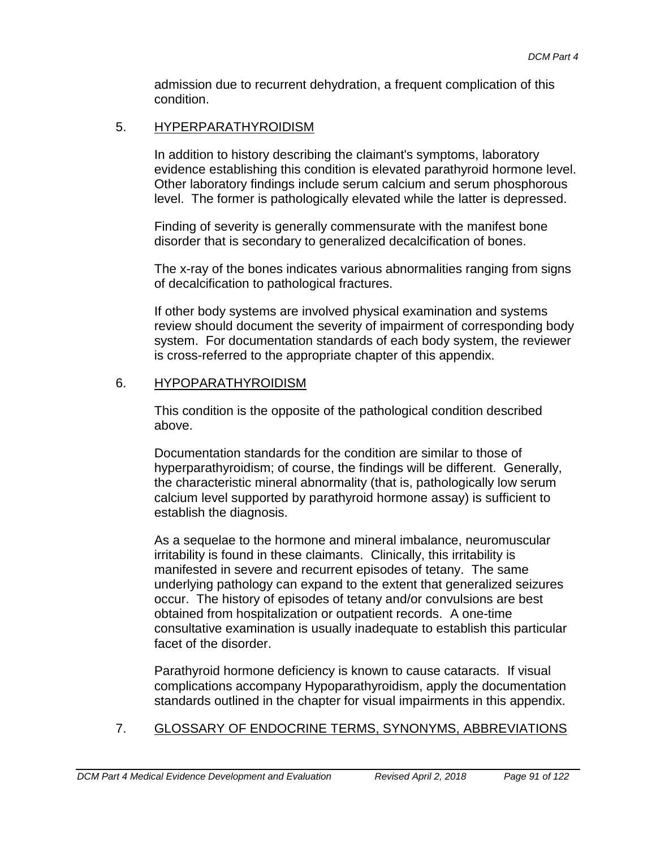admission due to recurrent dehydration, a frequent complication of this condition.

### 5. HYPERPARATHYROIDISM

In addition to history describing the claimant's symptoms, laboratory evidence establishing this condition is elevated parathyroid hormone level. Other laboratory findings include serum calcium and serum phosphorous level. The former is pathologically elevated while the latter is depressed.

Finding of severity is generally commensurate with the manifest bone disorder that is secondary to generalized decalcification of bones.

The x-ray of the bones indicates various abnormalities ranging from signs of decalcification to pathological fractures.

If other body systems are involved physical examination and systems review should document the severity of impairment of corresponding body system. For documentation standards of each body system, the reviewer is cross-referred to the appropriate chapter of this appendix.

# 6. HYPOPARATHYROIDISM

This condition is the opposite of the pathological condition described above.

Documentation standards for the condition are similar to those of hyperparathyroidism; of course, the findings will be different. Generally, the characteristic mineral abnormality (that is, pathologically low serum calcium level supported by parathyroid hormone assay) is sufficient to establish the diagnosis.

As a sequelae to the hormone and mineral imbalance, neuromuscular irritability is found in these claimants. Clinically, this irritability is manifested in severe and recurrent episodes of tetany. The same underlying pathology can expand to the extent that generalized seizures occur. The history of episodes of tetany and/or convulsions are best obtained from hospitalization or outpatient records. A one-time consultative examination is usually inadequate to establish this particular facet of the disorder.

Parathyroid hormone deficiency is known to cause cataracts. If visual complications accompany Hypoparathyroidism, apply the documentation standards outlined in the chapter for visual impairments in this appendix.

# 7. GLOSSARY OF ENDOCRINE TERMS, SYNONYMS, ABBREVIATIONS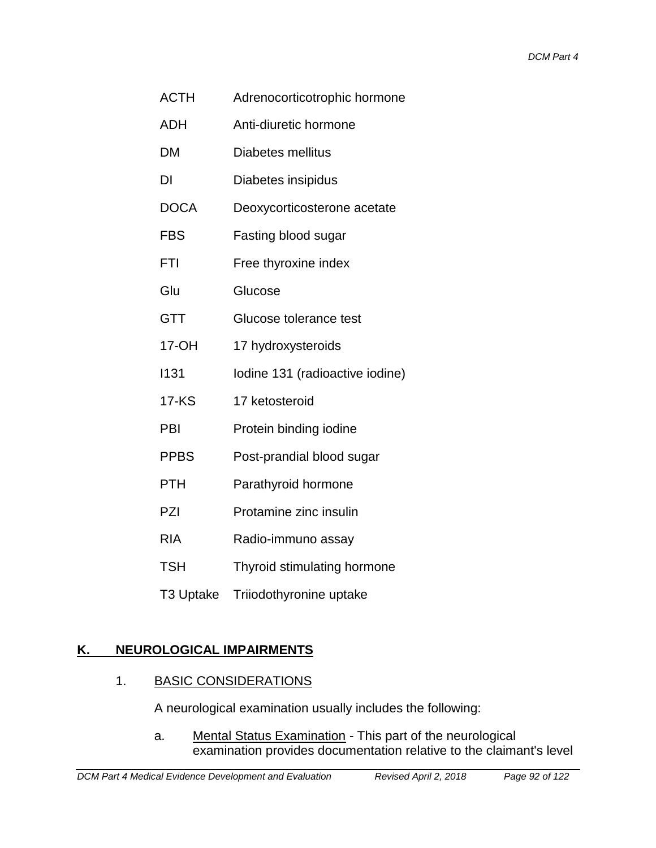- ACTH Adrenocorticotrophic hormone
- ADH Anti-diuretic hormone
- DM Diabetes mellitus
- DI Diabetes insipidus
- DOCA Deoxycorticosterone acetate
- FBS Fasting blood sugar
- FTI Free thyroxine index
- Glu Glucose
- GTT Glucose tolerance test
- 17-OH 17 hydroxysteroids
- I131 Iodine 131 (radioactive iodine)
- 17-KS 17 ketosteroid
- PBI Protein binding iodine
- PPBS Post-prandial blood sugar
- PTH Parathyroid hormone
- PZI Protamine zinc insulin
- RIA Radio-immuno assay
- TSH Thyroid stimulating hormone
- T3 Uptake Triiodothyronine uptake

# **K. NEUROLOGICAL IMPAIRMENTS**

# 1. BASIC CONSIDERATIONS

A neurological examination usually includes the following:

a. Mental Status Examination - This part of the neurological examination provides documentation relative to the claimant's level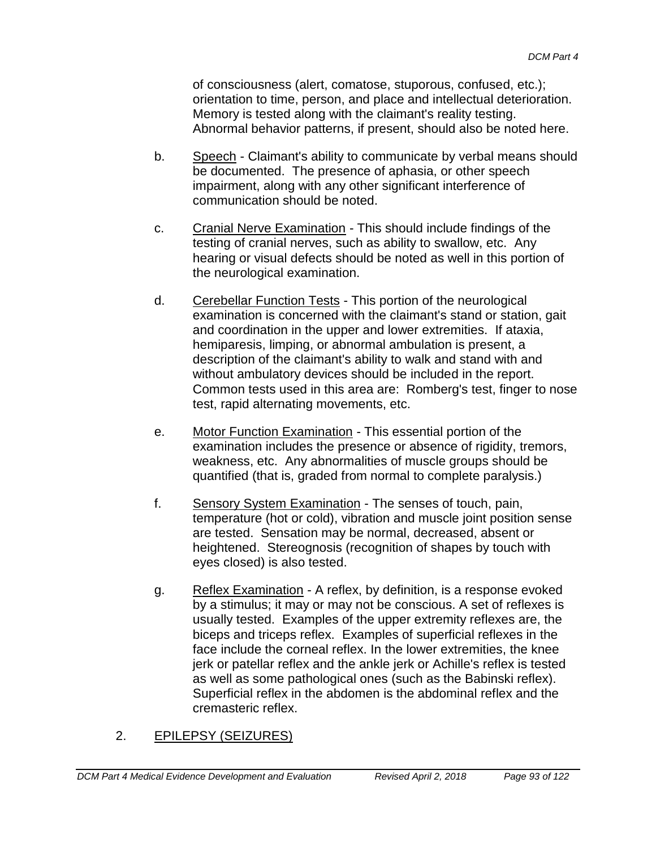of consciousness (alert, comatose, stuporous, confused, etc.); orientation to time, person, and place and intellectual deterioration. Memory is tested along with the claimant's reality testing. Abnormal behavior patterns, if present, should also be noted here.

- b. Speech Claimant's ability to communicate by verbal means should be documented. The presence of aphasia, or other speech impairment, along with any other significant interference of communication should be noted.
- c. Cranial Nerve Examination This should include findings of the testing of cranial nerves, such as ability to swallow, etc. Any hearing or visual defects should be noted as well in this portion of the neurological examination.
- d. Cerebellar Function Tests This portion of the neurological examination is concerned with the claimant's stand or station, gait and coordination in the upper and lower extremities. If ataxia, hemiparesis, limping, or abnormal ambulation is present, a description of the claimant's ability to walk and stand with and without ambulatory devices should be included in the report. Common tests used in this area are: Romberg's test, finger to nose test, rapid alternating movements, etc.
- e. Motor Function Examination This essential portion of the examination includes the presence or absence of rigidity, tremors, weakness, etc. Any abnormalities of muscle groups should be quantified (that is, graded from normal to complete paralysis.)
- f. Sensory System Examination The senses of touch, pain, temperature (hot or cold), vibration and muscle joint position sense are tested. Sensation may be normal, decreased, absent or heightened. Stereognosis (recognition of shapes by touch with eyes closed) is also tested.
- g. Reflex Examination A reflex, by definition, is a response evoked by a stimulus; it may or may not be conscious. A set of reflexes is usually tested. Examples of the upper extremity reflexes are, the biceps and triceps reflex. Examples of superficial reflexes in the face include the corneal reflex. In the lower extremities, the knee jerk or patellar reflex and the ankle jerk or Achille's reflex is tested as well as some pathological ones (such as the Babinski reflex). Superficial reflex in the abdomen is the abdominal reflex and the cremasteric reflex.

# 2. EPILEPSY (SEIZURES)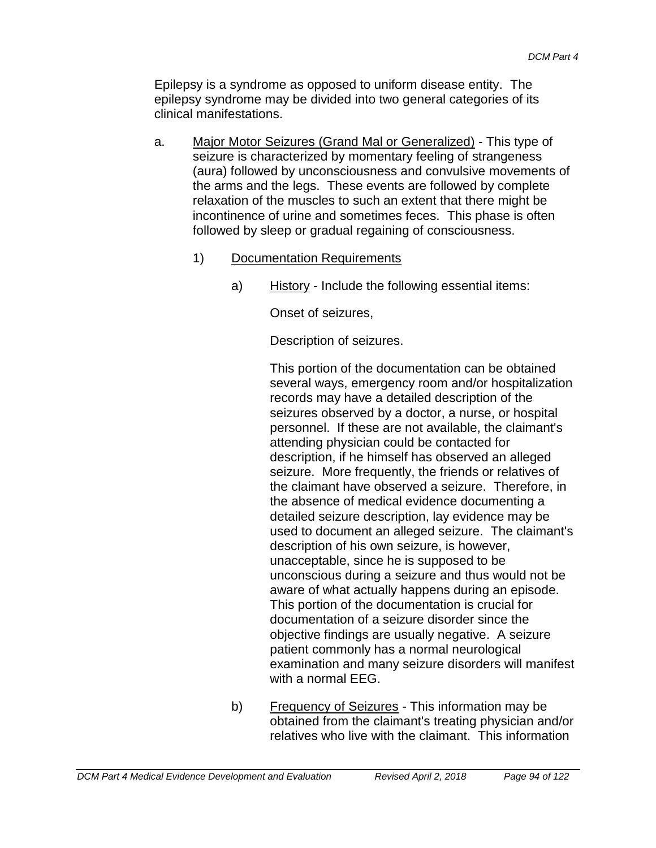Epilepsy is a syndrome as opposed to uniform disease entity. The epilepsy syndrome may be divided into two general categories of its clinical manifestations.

- a. Major Motor Seizures (Grand Mal or Generalized) This type of seizure is characterized by momentary feeling of strangeness (aura) followed by unconsciousness and convulsive movements of the arms and the legs. These events are followed by complete relaxation of the muscles to such an extent that there might be incontinence of urine and sometimes feces. This phase is often followed by sleep or gradual regaining of consciousness.
	- 1) Documentation Requirements
		- a) History Include the following essential items:

Onset of seizures,

Description of seizures.

This portion of the documentation can be obtained several ways, emergency room and/or hospitalization records may have a detailed description of the seizures observed by a doctor, a nurse, or hospital personnel. If these are not available, the claimant's attending physician could be contacted for description, if he himself has observed an alleged seizure. More frequently, the friends or relatives of the claimant have observed a seizure. Therefore, in the absence of medical evidence documenting a detailed seizure description, lay evidence may be used to document an alleged seizure. The claimant's description of his own seizure, is however, unacceptable, since he is supposed to be unconscious during a seizure and thus would not be aware of what actually happens during an episode. This portion of the documentation is crucial for documentation of a seizure disorder since the objective findings are usually negative. A seizure patient commonly has a normal neurological examination and many seizure disorders will manifest with a normal EEG.

b) Frequency of Seizures - This information may be obtained from the claimant's treating physician and/or relatives who live with the claimant. This information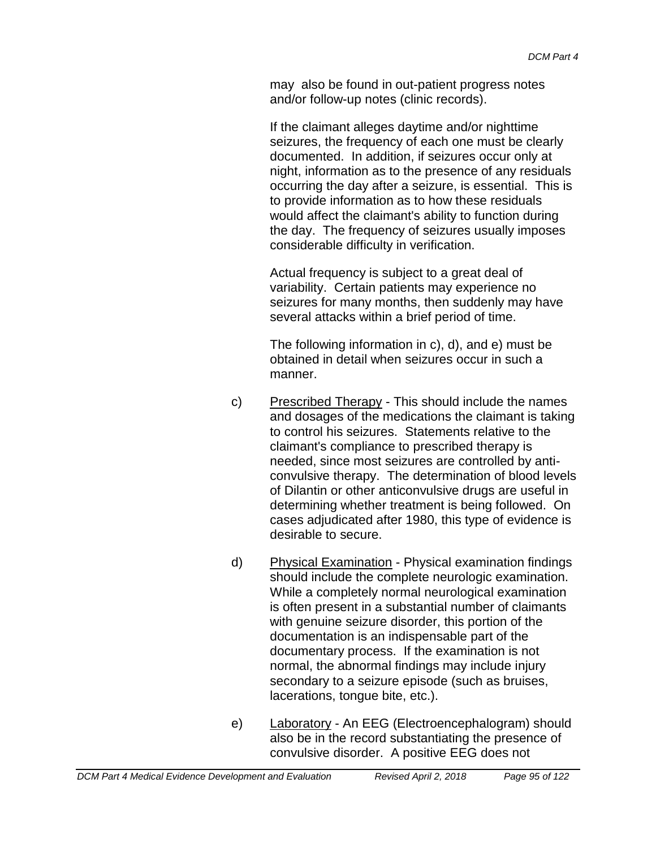may also be found in out-patient progress notes and/or follow-up notes (clinic records).

If the claimant alleges daytime and/or nighttime seizures, the frequency of each one must be clearly documented. In addition, if seizures occur only at night, information as to the presence of any residuals occurring the day after a seizure, is essential. This is to provide information as to how these residuals would affect the claimant's ability to function during the day. The frequency of seizures usually imposes considerable difficulty in verification.

Actual frequency is subject to a great deal of variability. Certain patients may experience no seizures for many months, then suddenly may have several attacks within a brief period of time.

The following information in c), d), and e) must be obtained in detail when seizures occur in such a manner.

- c) Prescribed Therapy This should include the names and dosages of the medications the claimant is taking to control his seizures. Statements relative to the claimant's compliance to prescribed therapy is needed, since most seizures are controlled by anticonvulsive therapy. The determination of blood levels of Dilantin or other anticonvulsive drugs are useful in determining whether treatment is being followed. On cases adjudicated after 1980, this type of evidence is desirable to secure.
- d) Physical Examination Physical examination findings should include the complete neurologic examination. While a completely normal neurological examination is often present in a substantial number of claimants with genuine seizure disorder, this portion of the documentation is an indispensable part of the documentary process. If the examination is not normal, the abnormal findings may include injury secondary to a seizure episode (such as bruises, lacerations, tongue bite, etc.).
- e) Laboratory An EEG (Electroencephalogram) should also be in the record substantiating the presence of convulsive disorder. A positive EEG does not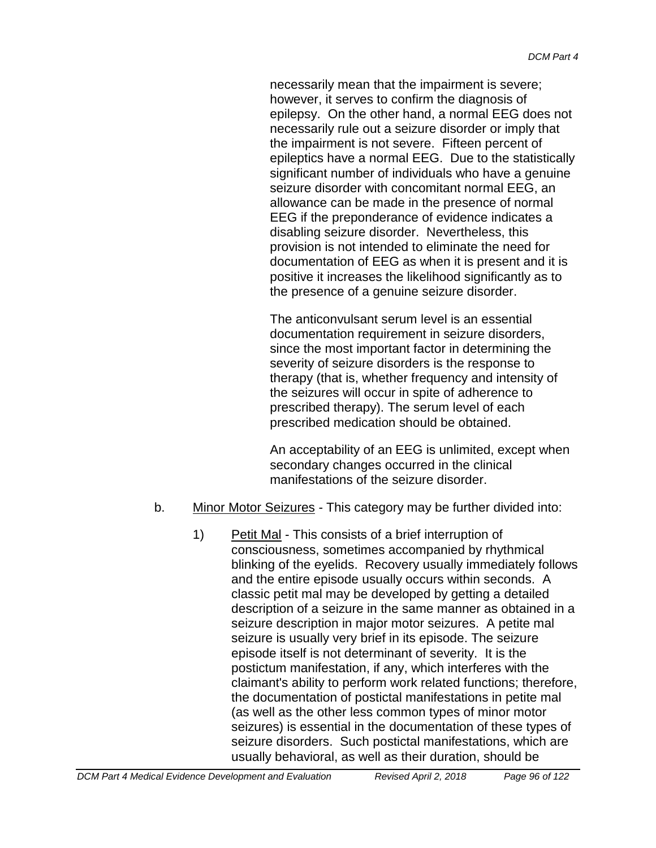necessarily mean that the impairment is severe; however, it serves to confirm the diagnosis of epilepsy. On the other hand, a normal EEG does not necessarily rule out a seizure disorder or imply that the impairment is not severe. Fifteen percent of epileptics have a normal EEG. Due to the statistically significant number of individuals who have a genuine seizure disorder with concomitant normal EEG, an allowance can be made in the presence of normal EEG if the preponderance of evidence indicates a disabling seizure disorder. Nevertheless, this provision is not intended to eliminate the need for documentation of EEG as when it is present and it is positive it increases the likelihood significantly as to the presence of a genuine seizure disorder.

The anticonvulsant serum level is an essential documentation requirement in seizure disorders, since the most important factor in determining the severity of seizure disorders is the response to therapy (that is, whether frequency and intensity of the seizures will occur in spite of adherence to prescribed therapy). The serum level of each prescribed medication should be obtained.

An acceptability of an EEG is unlimited, except when secondary changes occurred in the clinical manifestations of the seizure disorder.

- b. Minor Motor Seizures This category may be further divided into:
	- 1) Petit Mal This consists of a brief interruption of consciousness, sometimes accompanied by rhythmical blinking of the eyelids. Recovery usually immediately follows and the entire episode usually occurs within seconds. A classic petit mal may be developed by getting a detailed description of a seizure in the same manner as obtained in a seizure description in major motor seizures. A petite mal seizure is usually very brief in its episode. The seizure episode itself is not determinant of severity. It is the postictum manifestation, if any, which interferes with the claimant's ability to perform work related functions; therefore, the documentation of postictal manifestations in petite mal (as well as the other less common types of minor motor seizures) is essential in the documentation of these types of seizure disorders. Such postictal manifestations, which are usually behavioral, as well as their duration, should be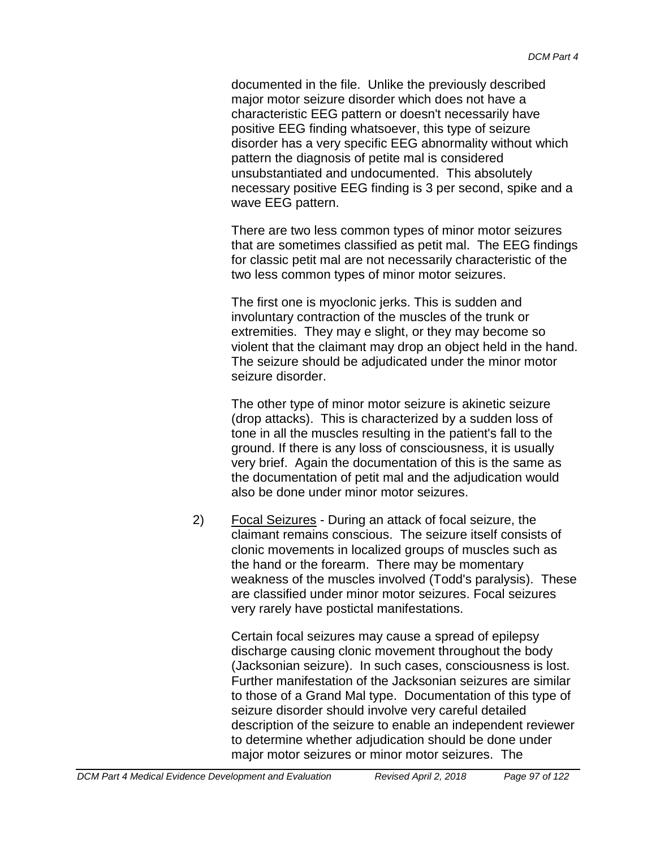documented in the file. Unlike the previously described major motor seizure disorder which does not have a characteristic EEG pattern or doesn't necessarily have positive EEG finding whatsoever, this type of seizure disorder has a very specific EEG abnormality without which pattern the diagnosis of petite mal is considered unsubstantiated and undocumented. This absolutely necessary positive EEG finding is 3 per second, spike and a wave EEG pattern.

There are two less common types of minor motor seizures that are sometimes classified as petit mal. The EEG findings for classic petit mal are not necessarily characteristic of the two less common types of minor motor seizures.

The first one is myoclonic jerks. This is sudden and involuntary contraction of the muscles of the trunk or extremities. They may e slight, or they may become so violent that the claimant may drop an object held in the hand. The seizure should be adjudicated under the minor motor seizure disorder.

The other type of minor motor seizure is akinetic seizure (drop attacks). This is characterized by a sudden loss of tone in all the muscles resulting in the patient's fall to the ground. If there is any loss of consciousness, it is usually very brief. Again the documentation of this is the same as the documentation of petit mal and the adjudication would also be done under minor motor seizures.

2) Focal Seizures - During an attack of focal seizure, the claimant remains conscious. The seizure itself consists of clonic movements in localized groups of muscles such as the hand or the forearm. There may be momentary weakness of the muscles involved (Todd's paralysis). These are classified under minor motor seizures. Focal seizures very rarely have postictal manifestations.

> Certain focal seizures may cause a spread of epilepsy discharge causing clonic movement throughout the body (Jacksonian seizure). In such cases, consciousness is lost. Further manifestation of the Jacksonian seizures are similar to those of a Grand Mal type. Documentation of this type of seizure disorder should involve very careful detailed description of the seizure to enable an independent reviewer to determine whether adjudication should be done under major motor seizures or minor motor seizures. The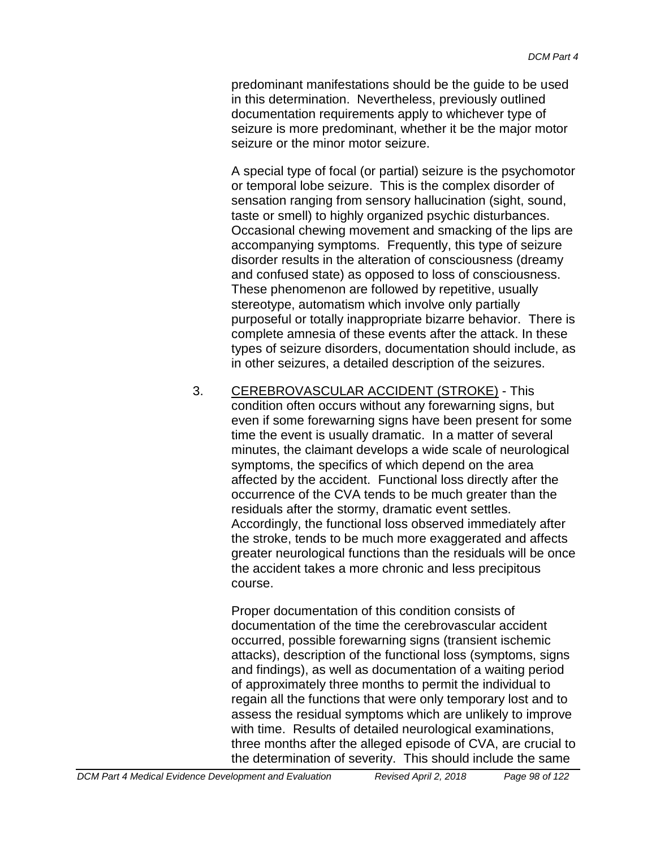predominant manifestations should be the guide to be used in this determination. Nevertheless, previously outlined documentation requirements apply to whichever type of seizure is more predominant, whether it be the major motor seizure or the minor motor seizure.

A special type of focal (or partial) seizure is the psychomotor or temporal lobe seizure. This is the complex disorder of sensation ranging from sensory hallucination (sight, sound, taste or smell) to highly organized psychic disturbances. Occasional chewing movement and smacking of the lips are accompanying symptoms. Frequently, this type of seizure disorder results in the alteration of consciousness (dreamy and confused state) as opposed to loss of consciousness. These phenomenon are followed by repetitive, usually stereotype, automatism which involve only partially purposeful or totally inappropriate bizarre behavior. There is complete amnesia of these events after the attack. In these types of seizure disorders, documentation should include, as in other seizures, a detailed description of the seizures.

3. CEREBROVASCULAR ACCIDENT (STROKE) - This condition often occurs without any forewarning signs, but even if some forewarning signs have been present for some time the event is usually dramatic. In a matter of several minutes, the claimant develops a wide scale of neurological symptoms, the specifics of which depend on the area affected by the accident. Functional loss directly after the occurrence of the CVA tends to be much greater than the residuals after the stormy, dramatic event settles. Accordingly, the functional loss observed immediately after the stroke, tends to be much more exaggerated and affects greater neurological functions than the residuals will be once the accident takes a more chronic and less precipitous course.

Proper documentation of this condition consists of documentation of the time the cerebrovascular accident occurred, possible forewarning signs (transient ischemic attacks), description of the functional loss (symptoms, signs and findings), as well as documentation of a waiting period of approximately three months to permit the individual to regain all the functions that were only temporary lost and to assess the residual symptoms which are unlikely to improve with time. Results of detailed neurological examinations, three months after the alleged episode of CVA, are crucial to the determination of severity. This should include the same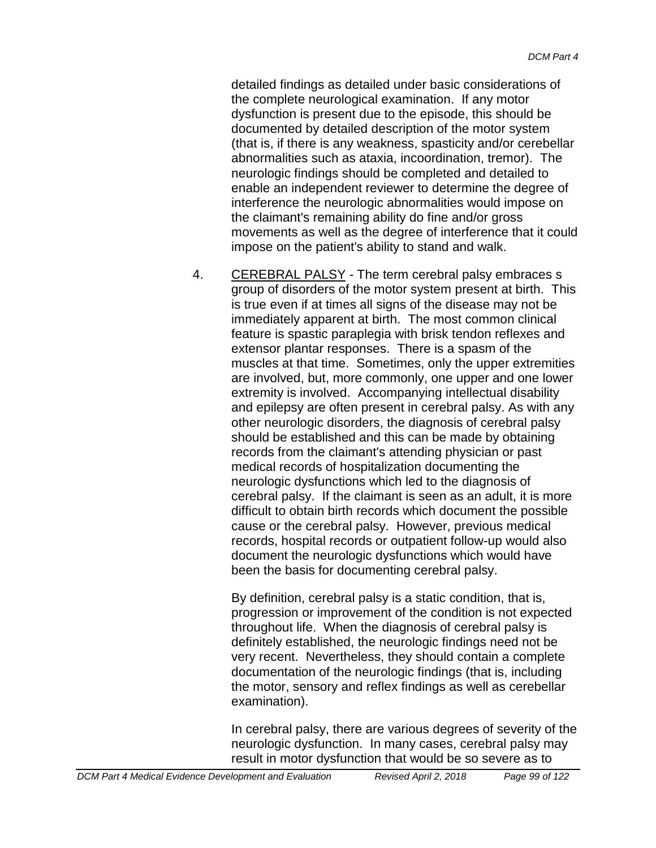detailed findings as detailed under basic considerations of the complete neurological examination. If any motor dysfunction is present due to the episode, this should be documented by detailed description of the motor system (that is, if there is any weakness, spasticity and/or cerebellar abnormalities such as ataxia, incoordination, tremor). The neurologic findings should be completed and detailed to enable an independent reviewer to determine the degree of interference the neurologic abnormalities would impose on the claimant's remaining ability do fine and/or gross movements as well as the degree of interference that it could impose on the patient's ability to stand and walk.

4. CEREBRAL PALSY - The term cerebral palsy embraces s group of disorders of the motor system present at birth. This is true even if at times all signs of the disease may not be immediately apparent at birth. The most common clinical feature is spastic paraplegia with brisk tendon reflexes and extensor plantar responses. There is a spasm of the muscles at that time. Sometimes, only the upper extremities are involved, but, more commonly, one upper and one lower extremity is involved. Accompanying intellectual disability and epilepsy are often present in cerebral palsy. As with any other neurologic disorders, the diagnosis of cerebral palsy should be established and this can be made by obtaining records from the claimant's attending physician or past medical records of hospitalization documenting the neurologic dysfunctions which led to the diagnosis of cerebral palsy. If the claimant is seen as an adult, it is more difficult to obtain birth records which document the possible cause or the cerebral palsy. However, previous medical records, hospital records or outpatient follow-up would also document the neurologic dysfunctions which would have been the basis for documenting cerebral palsy.

By definition, cerebral palsy is a static condition, that is, progression or improvement of the condition is not expected throughout life. When the diagnosis of cerebral palsy is definitely established, the neurologic findings need not be very recent. Nevertheless, they should contain a complete documentation of the neurologic findings (that is, including the motor, sensory and reflex findings as well as cerebellar examination).

In cerebral palsy, there are various degrees of severity of the neurologic dysfunction. In many cases, cerebral palsy may result in motor dysfunction that would be so severe as to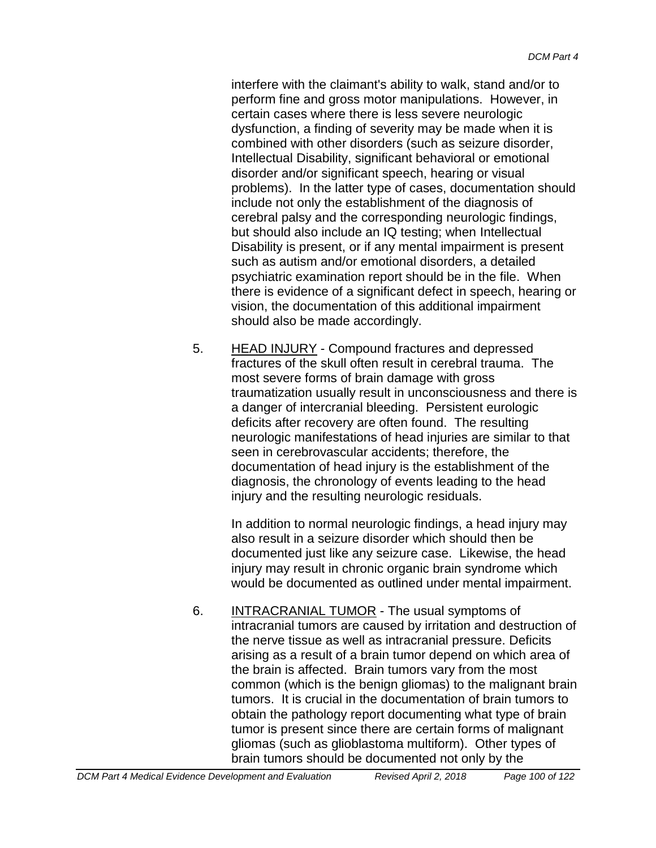interfere with the claimant's ability to walk, stand and/or to perform fine and gross motor manipulations. However, in certain cases where there is less severe neurologic dysfunction, a finding of severity may be made when it is combined with other disorders (such as seizure disorder, Intellectual Disability, significant behavioral or emotional disorder and/or significant speech, hearing or visual problems). In the latter type of cases, documentation should include not only the establishment of the diagnosis of cerebral palsy and the corresponding neurologic findings, but should also include an IQ testing; when Intellectual Disability is present, or if any mental impairment is present such as autism and/or emotional disorders, a detailed psychiatric examination report should be in the file. When there is evidence of a significant defect in speech, hearing or vision, the documentation of this additional impairment should also be made accordingly.

5. HEAD INJURY - Compound fractures and depressed fractures of the skull often result in cerebral trauma. The most severe forms of brain damage with gross traumatization usually result in unconsciousness and there is a danger of intercranial bleeding. Persistent eurologic deficits after recovery are often found. The resulting neurologic manifestations of head injuries are similar to that seen in cerebrovascular accidents; therefore, the documentation of head injury is the establishment of the diagnosis, the chronology of events leading to the head injury and the resulting neurologic residuals.

In addition to normal neurologic findings, a head injury may also result in a seizure disorder which should then be documented just like any seizure case. Likewise, the head injury may result in chronic organic brain syndrome which would be documented as outlined under mental impairment.

6. INTRACRANIAL TUMOR - The usual symptoms of intracranial tumors are caused by irritation and destruction of the nerve tissue as well as intracranial pressure. Deficits arising as a result of a brain tumor depend on which area of the brain is affected. Brain tumors vary from the most common (which is the benign gliomas) to the malignant brain tumors. It is crucial in the documentation of brain tumors to obtain the pathology report documenting what type of brain tumor is present since there are certain forms of malignant gliomas (such as glioblastoma multiform). Other types of brain tumors should be documented not only by the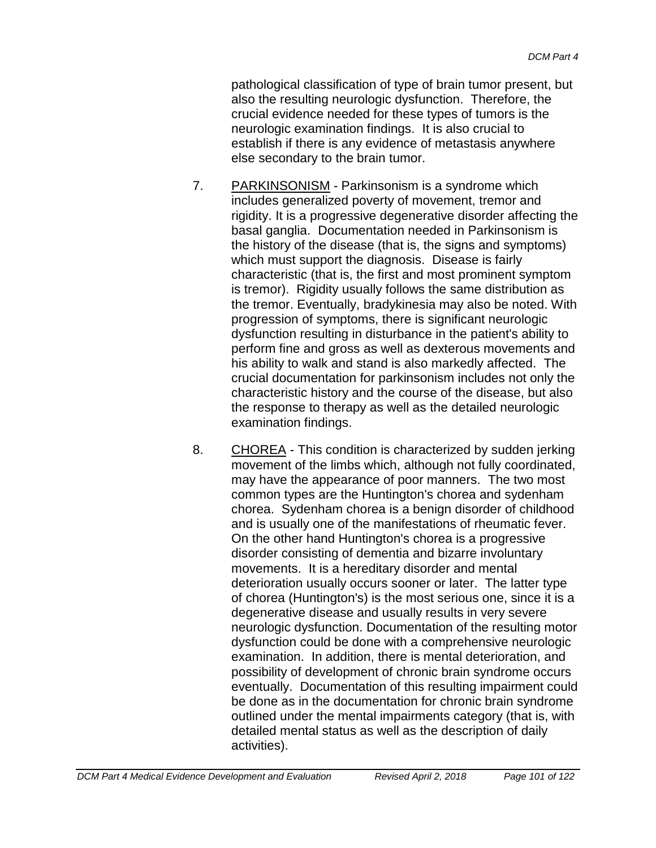pathological classification of type of brain tumor present, but also the resulting neurologic dysfunction. Therefore, the crucial evidence needed for these types of tumors is the neurologic examination findings. It is also crucial to establish if there is any evidence of metastasis anywhere else secondary to the brain tumor.

- 7. PARKINSONISM Parkinsonism is a syndrome which includes generalized poverty of movement, tremor and rigidity. It is a progressive degenerative disorder affecting the basal ganglia. Documentation needed in Parkinsonism is the history of the disease (that is, the signs and symptoms) which must support the diagnosis. Disease is fairly characteristic (that is, the first and most prominent symptom is tremor). Rigidity usually follows the same distribution as the tremor. Eventually, bradykinesia may also be noted. With progression of symptoms, there is significant neurologic dysfunction resulting in disturbance in the patient's ability to perform fine and gross as well as dexterous movements and his ability to walk and stand is also markedly affected. The crucial documentation for parkinsonism includes not only the characteristic history and the course of the disease, but also the response to therapy as well as the detailed neurologic examination findings.
- 8. CHOREA This condition is characterized by sudden jerking movement of the limbs which, although not fully coordinated, may have the appearance of poor manners. The two most common types are the Huntington's chorea and sydenham chorea. Sydenham chorea is a benign disorder of childhood and is usually one of the manifestations of rheumatic fever. On the other hand Huntington's chorea is a progressive disorder consisting of dementia and bizarre involuntary movements. It is a hereditary disorder and mental deterioration usually occurs sooner or later. The latter type of chorea (Huntington's) is the most serious one, since it is a degenerative disease and usually results in very severe neurologic dysfunction. Documentation of the resulting motor dysfunction could be done with a comprehensive neurologic examination. In addition, there is mental deterioration, and possibility of development of chronic brain syndrome occurs eventually. Documentation of this resulting impairment could be done as in the documentation for chronic brain syndrome outlined under the mental impairments category (that is, with detailed mental status as well as the description of daily activities).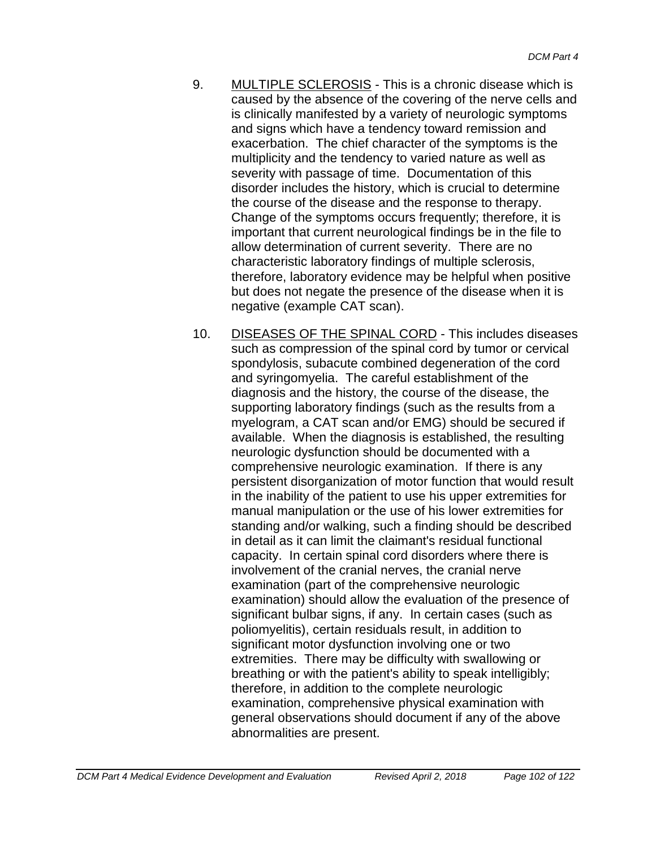- 9. MULTIPLE SCLEROSIS This is a chronic disease which is caused by the absence of the covering of the nerve cells and is clinically manifested by a variety of neurologic symptoms and signs which have a tendency toward remission and exacerbation. The chief character of the symptoms is the multiplicity and the tendency to varied nature as well as severity with passage of time. Documentation of this disorder includes the history, which is crucial to determine the course of the disease and the response to therapy. Change of the symptoms occurs frequently; therefore, it is important that current neurological findings be in the file to allow determination of current severity. There are no characteristic laboratory findings of multiple sclerosis, therefore, laboratory evidence may be helpful when positive but does not negate the presence of the disease when it is negative (example CAT scan).
- 10. DISEASES OF THE SPINAL CORD This includes diseases such as compression of the spinal cord by tumor or cervical spondylosis, subacute combined degeneration of the cord and syringomyelia. The careful establishment of the diagnosis and the history, the course of the disease, the supporting laboratory findings (such as the results from a myelogram, a CAT scan and/or EMG) should be secured if available. When the diagnosis is established, the resulting neurologic dysfunction should be documented with a comprehensive neurologic examination. If there is any persistent disorganization of motor function that would result in the inability of the patient to use his upper extremities for manual manipulation or the use of his lower extremities for standing and/or walking, such a finding should be described in detail as it can limit the claimant's residual functional capacity. In certain spinal cord disorders where there is involvement of the cranial nerves, the cranial nerve examination (part of the comprehensive neurologic examination) should allow the evaluation of the presence of significant bulbar signs, if any. In certain cases (such as poliomyelitis), certain residuals result, in addition to significant motor dysfunction involving one or two extremities. There may be difficulty with swallowing or breathing or with the patient's ability to speak intelligibly; therefore, in addition to the complete neurologic examination, comprehensive physical examination with general observations should document if any of the above abnormalities are present.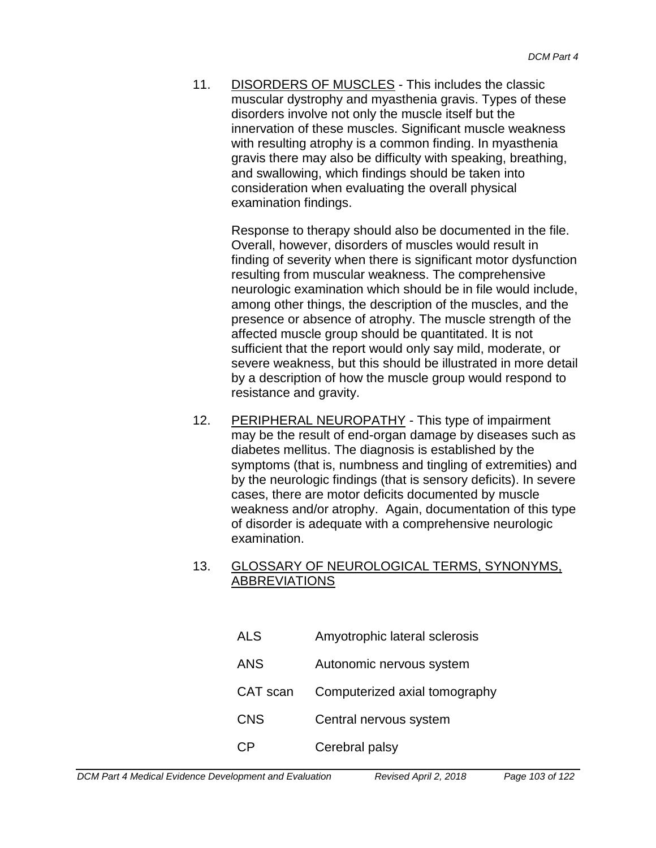11. DISORDERS OF MUSCLES - This includes the classic muscular dystrophy and myasthenia gravis. Types of these disorders involve not only the muscle itself but the innervation of these muscles. Significant muscle weakness with resulting atrophy is a common finding. In myasthenia gravis there may also be difficulty with speaking, breathing, and swallowing, which findings should be taken into consideration when evaluating the overall physical examination findings.

> Response to therapy should also be documented in the file. Overall, however, disorders of muscles would result in finding of severity when there is significant motor dysfunction resulting from muscular weakness. The comprehensive neurologic examination which should be in file would include, among other things, the description of the muscles, and the presence or absence of atrophy. The muscle strength of the affected muscle group should be quantitated. It is not sufficient that the report would only say mild, moderate, or severe weakness, but this should be illustrated in more detail by a description of how the muscle group would respond to resistance and gravity.

12. PERIPHERAL NEUROPATHY - This type of impairment may be the result of end-organ damage by diseases such as diabetes mellitus. The diagnosis is established by the symptoms (that is, numbness and tingling of extremities) and by the neurologic findings (that is sensory deficits). In severe cases, there are motor deficits documented by muscle weakness and/or atrophy. Again, documentation of this type of disorder is adequate with a comprehensive neurologic examination.

#### 13. GLOSSARY OF NEUROLOGICAL TERMS, SYNONYMS, ABBREVIATIONS

- ALS Amyotrophic lateral sclerosis
- ANS Autonomic nervous system
- CAT scan Computerized axial tomography
- CNS Central nervous system
- CP Cerebral palsy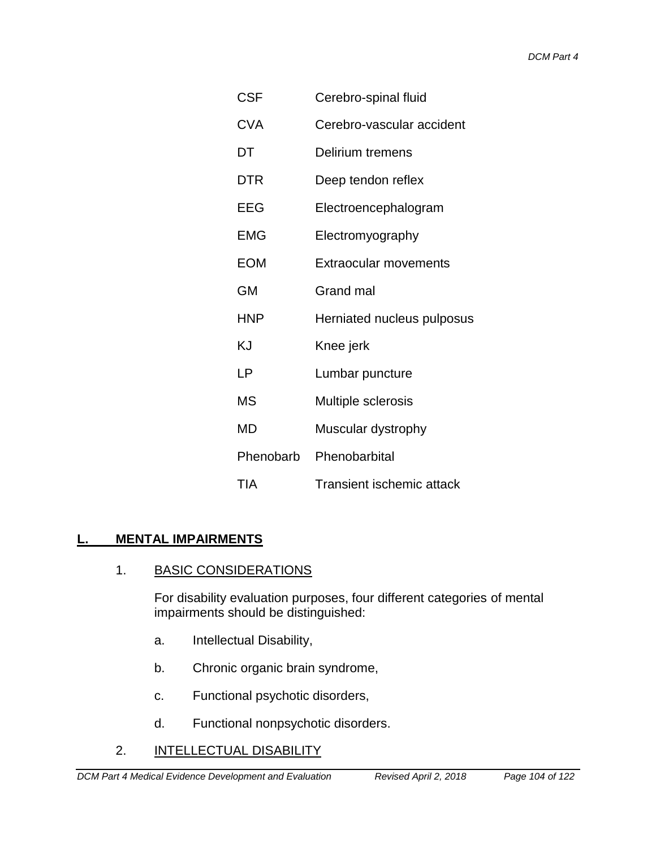| CSF        | Cerebro-spinal fluid             |  |
|------------|----------------------------------|--|
| <b>CVA</b> | Cerebro-vascular accident        |  |
| DT         | Delirium tremens                 |  |
| <b>DTR</b> | Deep tendon reflex               |  |
| EEG        | Electroencephalogram             |  |
| <b>EMG</b> | Electromyography                 |  |
| <b>EOM</b> | <b>Extraocular movements</b>     |  |
| GM         | Grand mal                        |  |
| <b>HNP</b> | Herniated nucleus pulposus       |  |
| ΚJ         | Knee jerk                        |  |
| LP         | Lumbar puncture                  |  |
| MS         | Multiple sclerosis               |  |
| MD         | Muscular dystrophy               |  |
| Phenobarb  | Phenobarbital                    |  |
| <b>TIA</b> | <b>Transient ischemic attack</b> |  |

# **L. MENTAL IMPAIRMENTS**

1. BASIC CONSIDERATIONS

For disability evaluation purposes, four different categories of mental impairments should be distinguished:

- a. Intellectual Disability,
- b. Chronic organic brain syndrome,
- c. Functional psychotic disorders,
- d. Functional nonpsychotic disorders.
- 2. **INTELLECTUAL DISABILITY**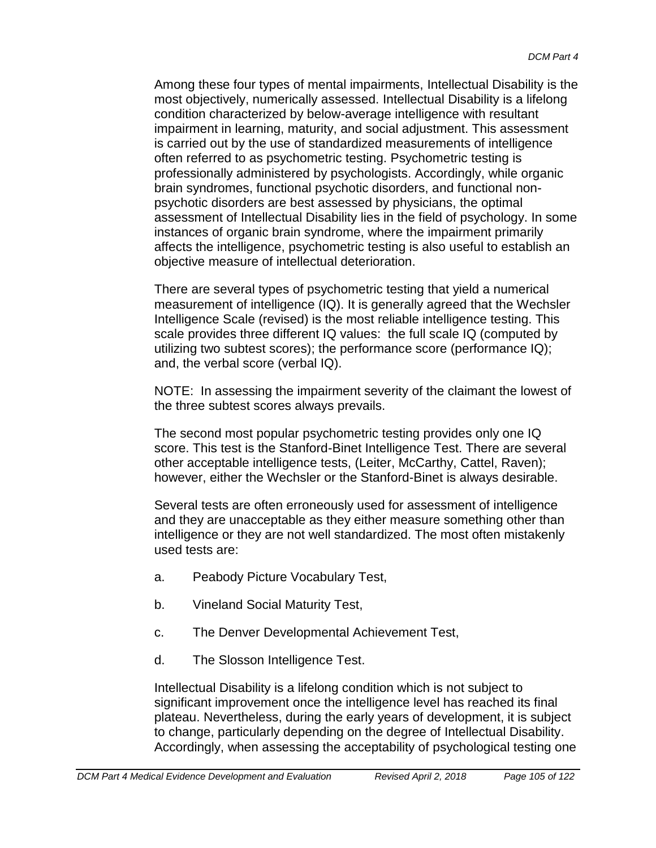Among these four types of mental impairments, Intellectual Disability is the most objectively, numerically assessed. Intellectual Disability is a lifelong condition characterized by below-average intelligence with resultant impairment in learning, maturity, and social adjustment. This assessment is carried out by the use of standardized measurements of intelligence often referred to as psychometric testing. Psychometric testing is professionally administered by psychologists. Accordingly, while organic brain syndromes, functional psychotic disorders, and functional nonpsychotic disorders are best assessed by physicians, the optimal assessment of Intellectual Disability lies in the field of psychology. In some instances of organic brain syndrome, where the impairment primarily affects the intelligence, psychometric testing is also useful to establish an objective measure of intellectual deterioration.

There are several types of psychometric testing that yield a numerical measurement of intelligence (IQ). It is generally agreed that the Wechsler Intelligence Scale (revised) is the most reliable intelligence testing. This scale provides three different IQ values: the full scale IQ (computed by utilizing two subtest scores); the performance score (performance IQ); and, the verbal score (verbal IQ).

NOTE: In assessing the impairment severity of the claimant the lowest of the three subtest scores always prevails.

The second most popular psychometric testing provides only one IQ score. This test is the Stanford-Binet Intelligence Test. There are several other acceptable intelligence tests, (Leiter, McCarthy, Cattel, Raven); however, either the Wechsler or the Stanford-Binet is always desirable.

Several tests are often erroneously used for assessment of intelligence and they are unacceptable as they either measure something other than intelligence or they are not well standardized. The most often mistakenly used tests are:

- a. Peabody Picture Vocabulary Test,
- b. Vineland Social Maturity Test,
- c. The Denver Developmental Achievement Test,
- d. The Slosson Intelligence Test.

Intellectual Disability is a lifelong condition which is not subject to significant improvement once the intelligence level has reached its final plateau. Nevertheless, during the early years of development, it is subject to change, particularly depending on the degree of Intellectual Disability. Accordingly, when assessing the acceptability of psychological testing one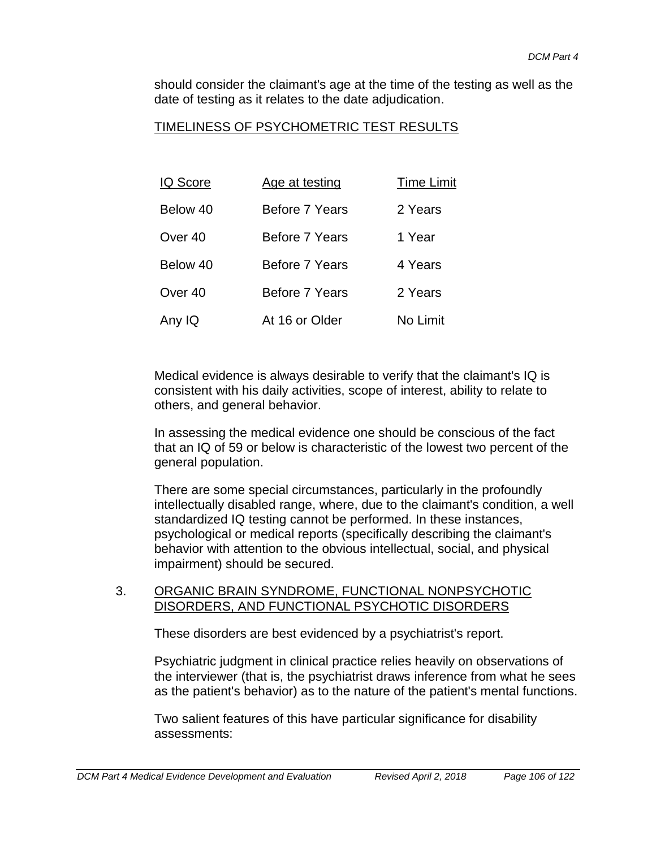should consider the claimant's age at the time of the testing as well as the date of testing as it relates to the date adjudication.

#### TIMELINESS OF PSYCHOMETRIC TEST RESULTS

| <b>IQ Score</b>    | Age at testing        | <b>Time Limit</b> |
|--------------------|-----------------------|-------------------|
| Below 40           | Before 7 Years        | 2 Years           |
| Over 40            | <b>Before 7 Years</b> | 1 Year            |
| Below 40           | Before 7 Years        | 4 Years           |
| Over <sub>40</sub> | Before 7 Years        | 2 Years           |
| Any IQ             | At 16 or Older        | No Limit          |

Medical evidence is always desirable to verify that the claimant's IQ is consistent with his daily activities, scope of interest, ability to relate to others, and general behavior.

In assessing the medical evidence one should be conscious of the fact that an IQ of 59 or below is characteristic of the lowest two percent of the general population.

There are some special circumstances, particularly in the profoundly intellectually disabled range, where, due to the claimant's condition, a well standardized IQ testing cannot be performed. In these instances, psychological or medical reports (specifically describing the claimant's behavior with attention to the obvious intellectual, social, and physical impairment) should be secured.

#### 3. ORGANIC BRAIN SYNDROME, FUNCTIONAL NONPSYCHOTIC DISORDERS, AND FUNCTIONAL PSYCHOTIC DISORDERS

These disorders are best evidenced by a psychiatrist's report.

Psychiatric judgment in clinical practice relies heavily on observations of the interviewer (that is, the psychiatrist draws inference from what he sees as the patient's behavior) as to the nature of the patient's mental functions.

Two salient features of this have particular significance for disability assessments: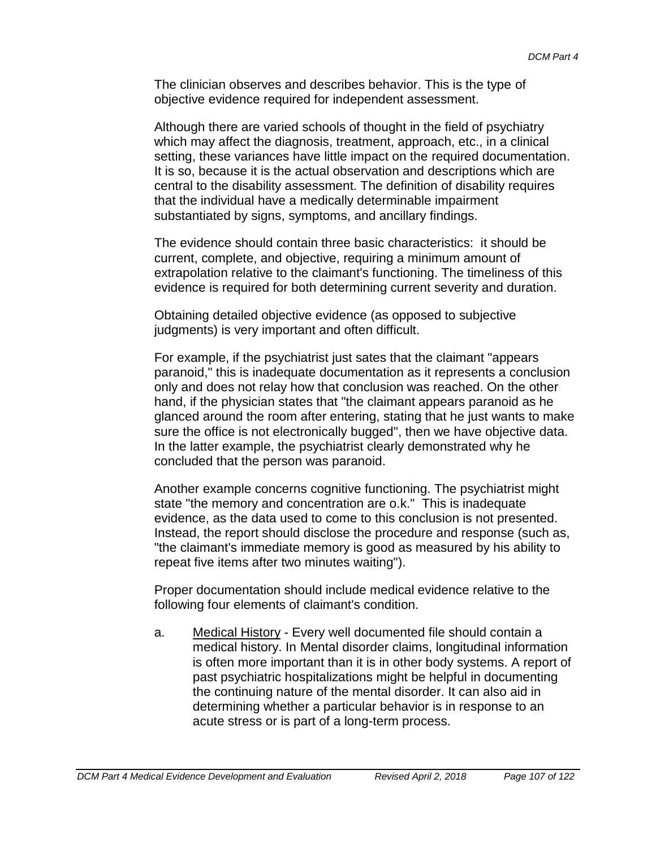The clinician observes and describes behavior. This is the type of objective evidence required for independent assessment.

Although there are varied schools of thought in the field of psychiatry which may affect the diagnosis, treatment, approach, etc., in a clinical setting, these variances have little impact on the required documentation. It is so, because it is the actual observation and descriptions which are central to the disability assessment. The definition of disability requires that the individual have a medically determinable impairment substantiated by signs, symptoms, and ancillary findings.

The evidence should contain three basic characteristics: it should be current, complete, and objective, requiring a minimum amount of extrapolation relative to the claimant's functioning. The timeliness of this evidence is required for both determining current severity and duration.

Obtaining detailed objective evidence (as opposed to subjective judgments) is very important and often difficult.

For example, if the psychiatrist just sates that the claimant "appears paranoid," this is inadequate documentation as it represents a conclusion only and does not relay how that conclusion was reached. On the other hand, if the physician states that "the claimant appears paranoid as he glanced around the room after entering, stating that he just wants to make sure the office is not electronically bugged", then we have objective data. In the latter example, the psychiatrist clearly demonstrated why he concluded that the person was paranoid.

Another example concerns cognitive functioning. The psychiatrist might state "the memory and concentration are o.k." This is inadequate evidence, as the data used to come to this conclusion is not presented. Instead, the report should disclose the procedure and response (such as, "the claimant's immediate memory is good as measured by his ability to repeat five items after two minutes waiting").

Proper documentation should include medical evidence relative to the following four elements of claimant's condition.

a. Medical History - Every well documented file should contain a medical history. In Mental disorder claims, longitudinal information is often more important than it is in other body systems. A report of past psychiatric hospitalizations might be helpful in documenting the continuing nature of the mental disorder. It can also aid in determining whether a particular behavior is in response to an acute stress or is part of a long-term process.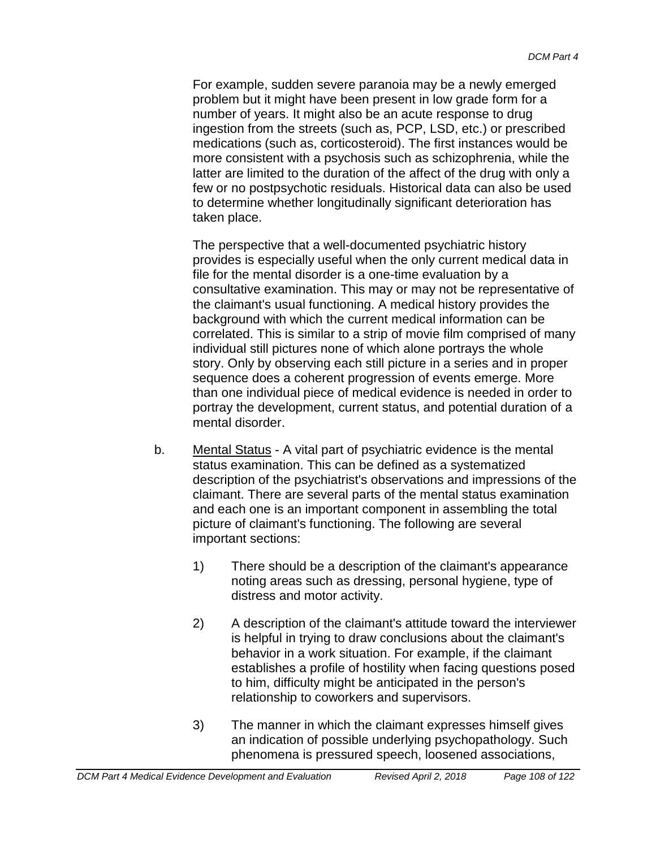For example, sudden severe paranoia may be a newly emerged problem but it might have been present in low grade form for a number of years. It might also be an acute response to drug ingestion from the streets (such as, PCP, LSD, etc.) or prescribed medications (such as, corticosteroid). The first instances would be more consistent with a psychosis such as schizophrenia, while the latter are limited to the duration of the affect of the drug with only a few or no postpsychotic residuals. Historical data can also be used to determine whether longitudinally significant deterioration has taken place.

The perspective that a well-documented psychiatric history provides is especially useful when the only current medical data in file for the mental disorder is a one-time evaluation by a consultative examination. This may or may not be representative of the claimant's usual functioning. A medical history provides the background with which the current medical information can be correlated. This is similar to a strip of movie film comprised of many individual still pictures none of which alone portrays the whole story. Only by observing each still picture in a series and in proper sequence does a coherent progression of events emerge. More than one individual piece of medical evidence is needed in order to portray the development, current status, and potential duration of a mental disorder.

- b. Mental Status A vital part of psychiatric evidence is the mental status examination. This can be defined as a systematized description of the psychiatrist's observations and impressions of the claimant. There are several parts of the mental status examination and each one is an important component in assembling the total picture of claimant's functioning. The following are several important sections:
	- 1) There should be a description of the claimant's appearance noting areas such as dressing, personal hygiene, type of distress and motor activity.
	- 2) A description of the claimant's attitude toward the interviewer is helpful in trying to draw conclusions about the claimant's behavior in a work situation. For example, if the claimant establishes a profile of hostility when facing questions posed to him, difficulty might be anticipated in the person's relationship to coworkers and supervisors.
	- 3) The manner in which the claimant expresses himself gives an indication of possible underlying psychopathology. Such phenomena is pressured speech, loosened associations,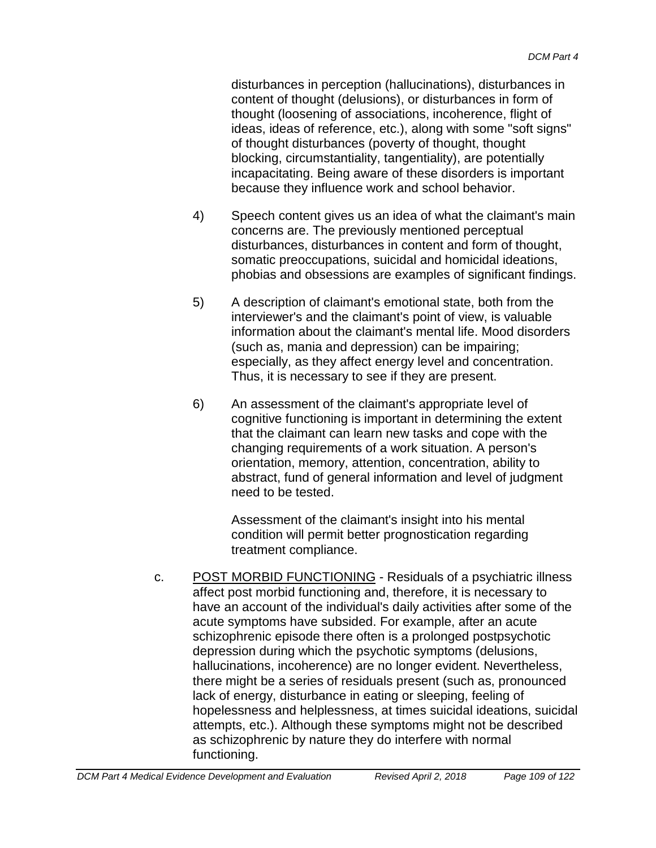disturbances in perception (hallucinations), disturbances in content of thought (delusions), or disturbances in form of thought (loosening of associations, incoherence, flight of ideas, ideas of reference, etc.), along with some "soft signs" of thought disturbances (poverty of thought, thought blocking, circumstantiality, tangentiality), are potentially incapacitating. Being aware of these disorders is important because they influence work and school behavior.

- 4) Speech content gives us an idea of what the claimant's main concerns are. The previously mentioned perceptual disturbances, disturbances in content and form of thought, somatic preoccupations, suicidal and homicidal ideations, phobias and obsessions are examples of significant findings.
- 5) A description of claimant's emotional state, both from the interviewer's and the claimant's point of view, is valuable information about the claimant's mental life. Mood disorders (such as, mania and depression) can be impairing; especially, as they affect energy level and concentration. Thus, it is necessary to see if they are present.
- 6) An assessment of the claimant's appropriate level of cognitive functioning is important in determining the extent that the claimant can learn new tasks and cope with the changing requirements of a work situation. A person's orientation, memory, attention, concentration, ability to abstract, fund of general information and level of judgment need to be tested.

Assessment of the claimant's insight into his mental condition will permit better prognostication regarding treatment compliance.

c. POST MORBID FUNCTIONING - Residuals of a psychiatric illness affect post morbid functioning and, therefore, it is necessary to have an account of the individual's daily activities after some of the acute symptoms have subsided. For example, after an acute schizophrenic episode there often is a prolonged postpsychotic depression during which the psychotic symptoms (delusions, hallucinations, incoherence) are no longer evident. Nevertheless, there might be a series of residuals present (such as, pronounced lack of energy, disturbance in eating or sleeping, feeling of hopelessness and helplessness, at times suicidal ideations, suicidal attempts, etc.). Although these symptoms might not be described as schizophrenic by nature they do interfere with normal functioning.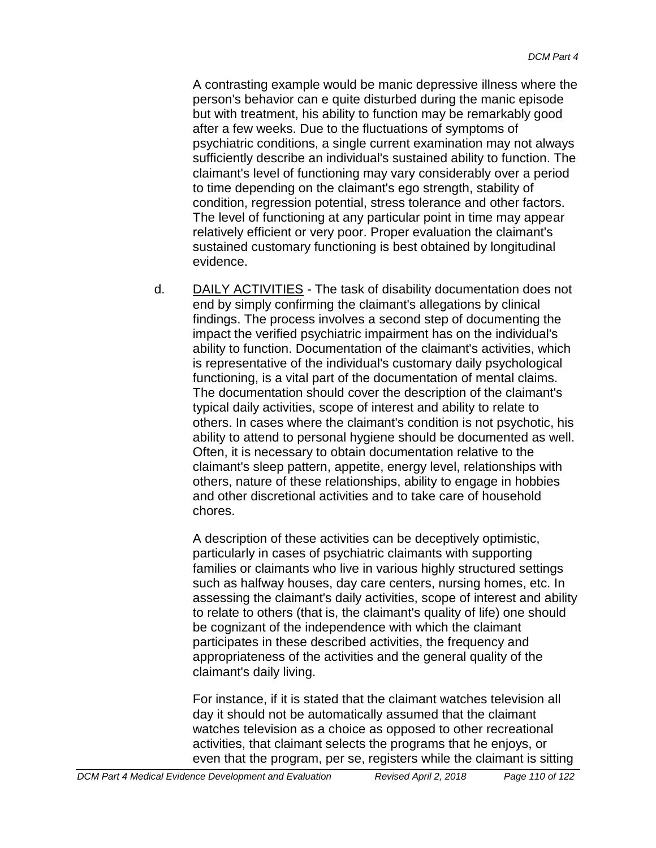A contrasting example would be manic depressive illness where the person's behavior can e quite disturbed during the manic episode but with treatment, his ability to function may be remarkably good after a few weeks. Due to the fluctuations of symptoms of psychiatric conditions, a single current examination may not always sufficiently describe an individual's sustained ability to function. The claimant's level of functioning may vary considerably over a period to time depending on the claimant's ego strength, stability of condition, regression potential, stress tolerance and other factors. The level of functioning at any particular point in time may appear relatively efficient or very poor. Proper evaluation the claimant's sustained customary functioning is best obtained by longitudinal evidence.

d. DAILY ACTIVITIES - The task of disability documentation does not end by simply confirming the claimant's allegations by clinical findings. The process involves a second step of documenting the impact the verified psychiatric impairment has on the individual's ability to function. Documentation of the claimant's activities, which is representative of the individual's customary daily psychological functioning, is a vital part of the documentation of mental claims. The documentation should cover the description of the claimant's typical daily activities, scope of interest and ability to relate to others. In cases where the claimant's condition is not psychotic, his ability to attend to personal hygiene should be documented as well. Often, it is necessary to obtain documentation relative to the claimant's sleep pattern, appetite, energy level, relationships with others, nature of these relationships, ability to engage in hobbies and other discretional activities and to take care of household chores.

A description of these activities can be deceptively optimistic, particularly in cases of psychiatric claimants with supporting families or claimants who live in various highly structured settings such as halfway houses, day care centers, nursing homes, etc. In assessing the claimant's daily activities, scope of interest and ability to relate to others (that is, the claimant's quality of life) one should be cognizant of the independence with which the claimant participates in these described activities, the frequency and appropriateness of the activities and the general quality of the claimant's daily living.

For instance, if it is stated that the claimant watches television all day it should not be automatically assumed that the claimant watches television as a choice as opposed to other recreational activities, that claimant selects the programs that he enjoys, or even that the program, per se, registers while the claimant is sitting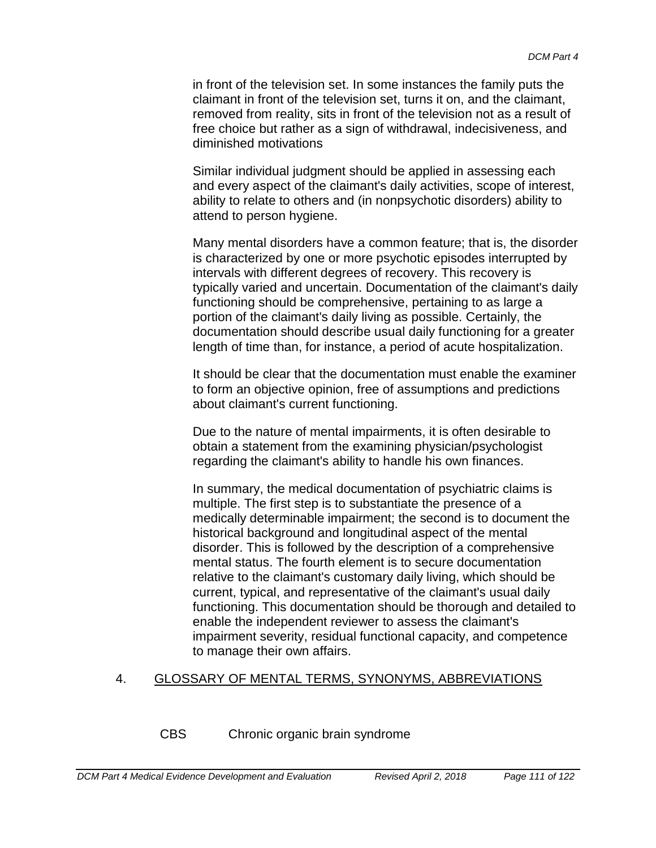in front of the television set. In some instances the family puts the claimant in front of the television set, turns it on, and the claimant, removed from reality, sits in front of the television not as a result of free choice but rather as a sign of withdrawal, indecisiveness, and diminished motivations

Similar individual judgment should be applied in assessing each and every aspect of the claimant's daily activities, scope of interest, ability to relate to others and (in nonpsychotic disorders) ability to attend to person hygiene.

Many mental disorders have a common feature; that is, the disorder is characterized by one or more psychotic episodes interrupted by intervals with different degrees of recovery. This recovery is typically varied and uncertain. Documentation of the claimant's daily functioning should be comprehensive, pertaining to as large a portion of the claimant's daily living as possible. Certainly, the documentation should describe usual daily functioning for a greater length of time than, for instance, a period of acute hospitalization.

It should be clear that the documentation must enable the examiner to form an objective opinion, free of assumptions and predictions about claimant's current functioning.

Due to the nature of mental impairments, it is often desirable to obtain a statement from the examining physician/psychologist regarding the claimant's ability to handle his own finances.

In summary, the medical documentation of psychiatric claims is multiple. The first step is to substantiate the presence of a medically determinable impairment; the second is to document the historical background and longitudinal aspect of the mental disorder. This is followed by the description of a comprehensive mental status. The fourth element is to secure documentation relative to the claimant's customary daily living, which should be current, typical, and representative of the claimant's usual daily functioning. This documentation should be thorough and detailed to enable the independent reviewer to assess the claimant's impairment severity, residual functional capacity, and competence to manage their own affairs.

## 4. GLOSSARY OF MENTAL TERMS, SYNONYMS, ABBREVIATIONS

CBS Chronic organic brain syndrome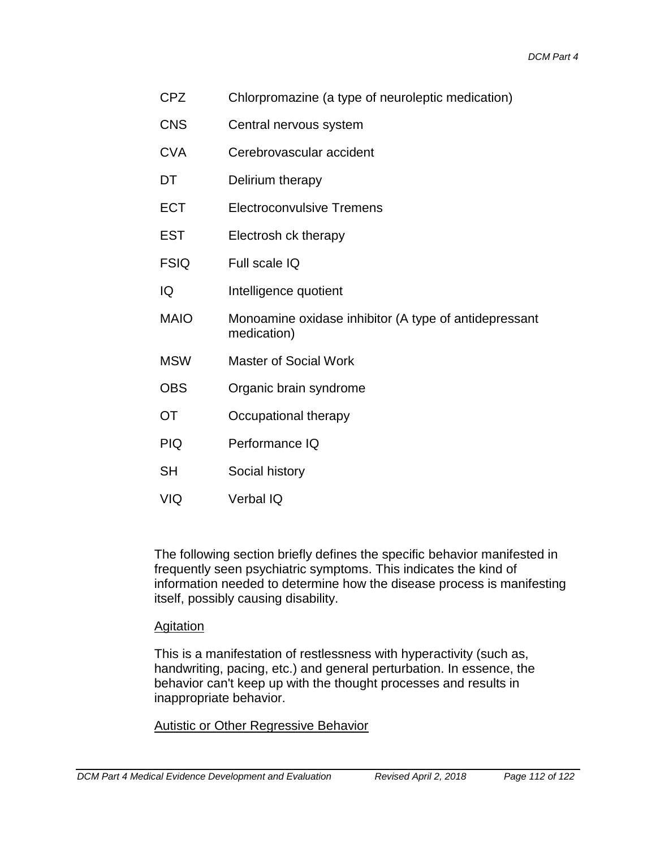- CPZ Chlorpromazine (a type of neuroleptic medication)
- CNS Central nervous system
- CVA Cerebrovascular accident
- DT Delirium therapy
- ECT Electroconvulsive Tremens
- EST Electrosh ck therapy
- FSIQ Full scale IQ
- IQ Intelligence quotient
- MAIO Monoamine oxidase inhibitor (A type of antidepressant medication)
- MSW Master of Social Work
- OBS Organic brain syndrome
- OT Occupational therapy
- PIQ Performance IQ
- SH Social history
- VIQ Verbal IQ

The following section briefly defines the specific behavior manifested in frequently seen psychiatric symptoms. This indicates the kind of information needed to determine how the disease process is manifesting itself, possibly causing disability.

### Agitation

This is a manifestation of restlessness with hyperactivity (such as, handwriting, pacing, etc.) and general perturbation. In essence, the behavior can't keep up with the thought processes and results in inappropriate behavior.

#### Autistic or Other Regressive Behavior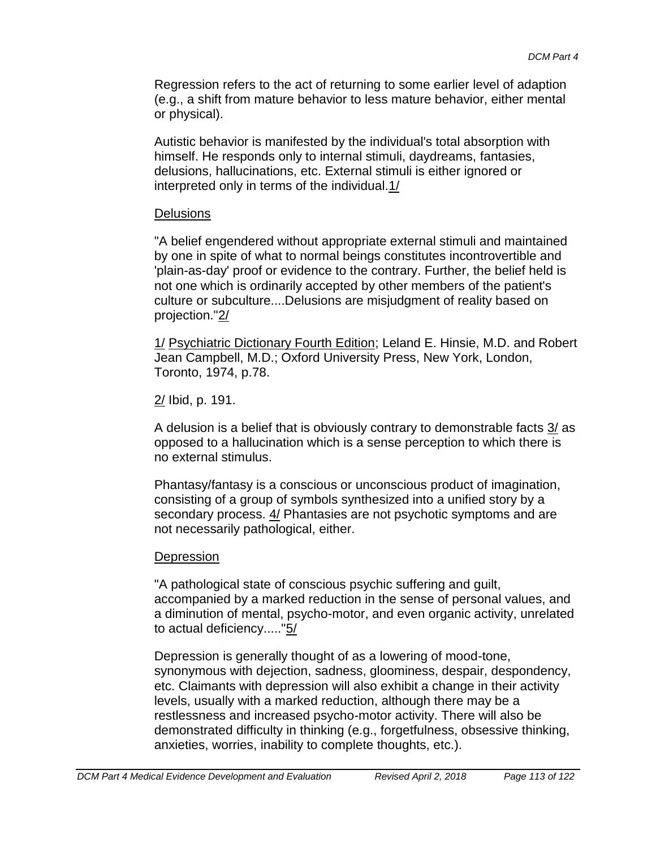Regression refers to the act of returning to some earlier level of adaption (e.g., a shift from mature behavior to less mature behavior, either mental or physical).

Autistic behavior is manifested by the individual's total absorption with himself. He responds only to internal stimuli, daydreams, fantasies, delusions, hallucinations, etc. External stimuli is either ignored or interpreted only in terms of the individual.1/

#### **Delusions**

"A belief engendered without appropriate external stimuli and maintained by one in spite of what to normal beings constitutes incontrovertible and 'plain-as-day' proof or evidence to the contrary. Further, the belief held is not one which is ordinarily accepted by other members of the patient's culture or subculture....Delusions are misjudgment of reality based on projection."2/

1/ Psychiatric Dictionary Fourth Edition; Leland E. Hinsie, M.D. and Robert Jean Campbell, M.D.; Oxford University Press, New York, London, Toronto, 1974, p.78.

2/ Ibid, p. 191.

A delusion is a belief that is obviously contrary to demonstrable facts  $3/$  as opposed to a hallucination which is a sense perception to which there is no external stimulus.

Phantasy/fantasy is a conscious or unconscious product of imagination, consisting of a group of symbols synthesized into a unified story by a secondary process. 4/ Phantasies are not psychotic symptoms and are not necessarily pathological, either.

### **Depression**

"A pathological state of conscious psychic suffering and guilt, accompanied by a marked reduction in the sense of personal values, and a diminution of mental, psycho-motor, and even organic activity, unrelated to actual deficiency....."5/

Depression is generally thought of as a lowering of mood-tone, synonymous with dejection, sadness, gloominess, despair, despondency, etc. Claimants with depression will also exhibit a change in their activity levels, usually with a marked reduction, although there may be a restlessness and increased psycho-motor activity. There will also be demonstrated difficulty in thinking (e.g., forgetfulness, obsessive thinking, anxieties, worries, inability to complete thoughts, etc.).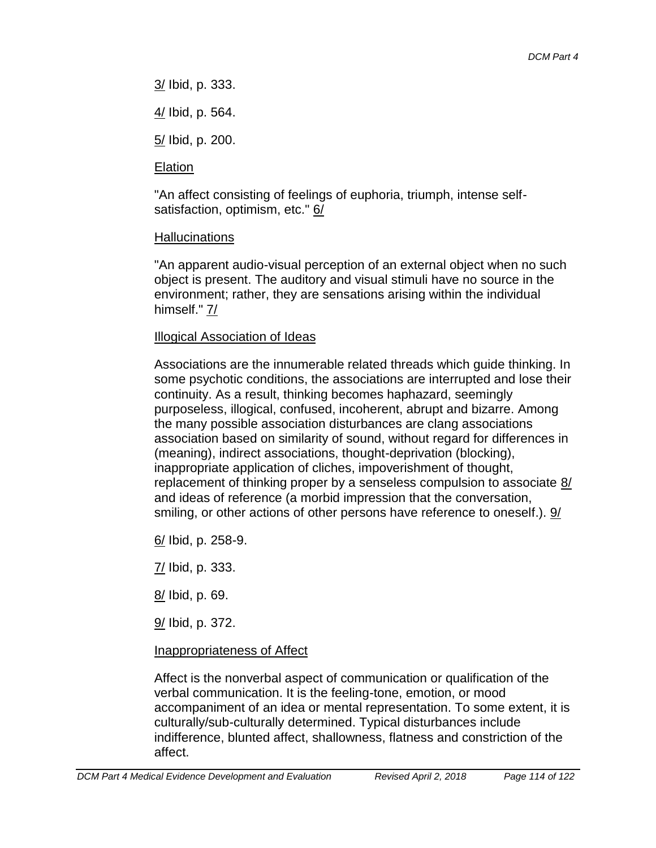3/ Ibid, p. 333.

4/ Ibid, p. 564.

5/ Ibid, p. 200.

# Elation

"An affect consisting of feelings of euphoria, triumph, intense selfsatisfaction, optimism, etc." 6/

# Hallucinations

"An apparent audio-visual perception of an external object when no such object is present. The auditory and visual stimuli have no source in the environment; rather, they are sensations arising within the individual himself." 7/

# Illogical Association of Ideas

Associations are the innumerable related threads which guide thinking. In some psychotic conditions, the associations are interrupted and lose their continuity. As a result, thinking becomes haphazard, seemingly purposeless, illogical, confused, incoherent, abrupt and bizarre. Among the many possible association disturbances are clang associations association based on similarity of sound, without regard for differences in (meaning), indirect associations, thought-deprivation (blocking), inappropriate application of cliches, impoverishment of thought, replacement of thinking proper by a senseless compulsion to associate 8/ and ideas of reference (a morbid impression that the conversation, smiling, or other actions of other persons have reference to oneself.). 9/

6/ Ibid, p. 258-9.

7/ Ibid, p. 333.

8/ Ibid, p. 69.

9/ Ibid, p. 372.

# Inappropriateness of Affect

Affect is the nonverbal aspect of communication or qualification of the verbal communication. It is the feeling-tone, emotion, or mood accompaniment of an idea or mental representation. To some extent, it is culturally/sub-culturally determined. Typical disturbances include indifference, blunted affect, shallowness, flatness and constriction of the affect.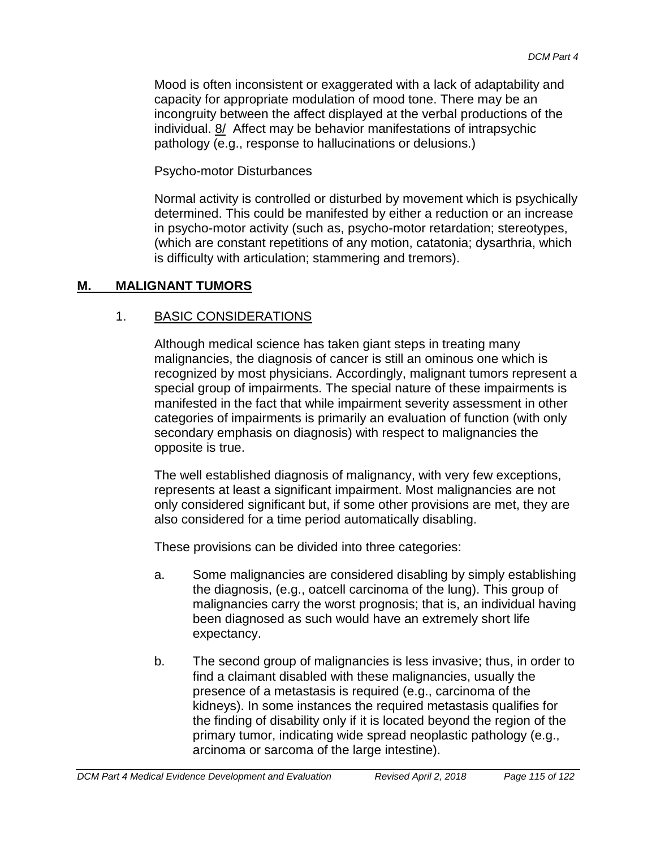Mood is often inconsistent or exaggerated with a lack of adaptability and capacity for appropriate modulation of mood tone. There may be an incongruity between the affect displayed at the verbal productions of the individual. 8/ Affect may be behavior manifestations of intrapsychic pathology (e.g., response to hallucinations or delusions.)

Psycho-motor Disturbances

Normal activity is controlled or disturbed by movement which is psychically determined. This could be manifested by either a reduction or an increase in psycho-motor activity (such as, psycho-motor retardation; stereotypes, (which are constant repetitions of any motion, catatonia; dysarthria, which is difficulty with articulation; stammering and tremors).

## **M. MALIGNANT TUMORS**

## 1. BASIC CONSIDERATIONS

Although medical science has taken giant steps in treating many malignancies, the diagnosis of cancer is still an ominous one which is recognized by most physicians. Accordingly, malignant tumors represent a special group of impairments. The special nature of these impairments is manifested in the fact that while impairment severity assessment in other categories of impairments is primarily an evaluation of function (with only secondary emphasis on diagnosis) with respect to malignancies the opposite is true.

The well established diagnosis of malignancy, with very few exceptions, represents at least a significant impairment. Most malignancies are not only considered significant but, if some other provisions are met, they are also considered for a time period automatically disabling.

These provisions can be divided into three categories:

- a. Some malignancies are considered disabling by simply establishing the diagnosis, (e.g., oatcell carcinoma of the lung). This group of malignancies carry the worst prognosis; that is, an individual having been diagnosed as such would have an extremely short life expectancy.
- b. The second group of malignancies is less invasive; thus, in order to find a claimant disabled with these malignancies, usually the presence of a metastasis is required (e.g., carcinoma of the kidneys). In some instances the required metastasis qualifies for the finding of disability only if it is located beyond the region of the primary tumor, indicating wide spread neoplastic pathology (e.g., arcinoma or sarcoma of the large intestine).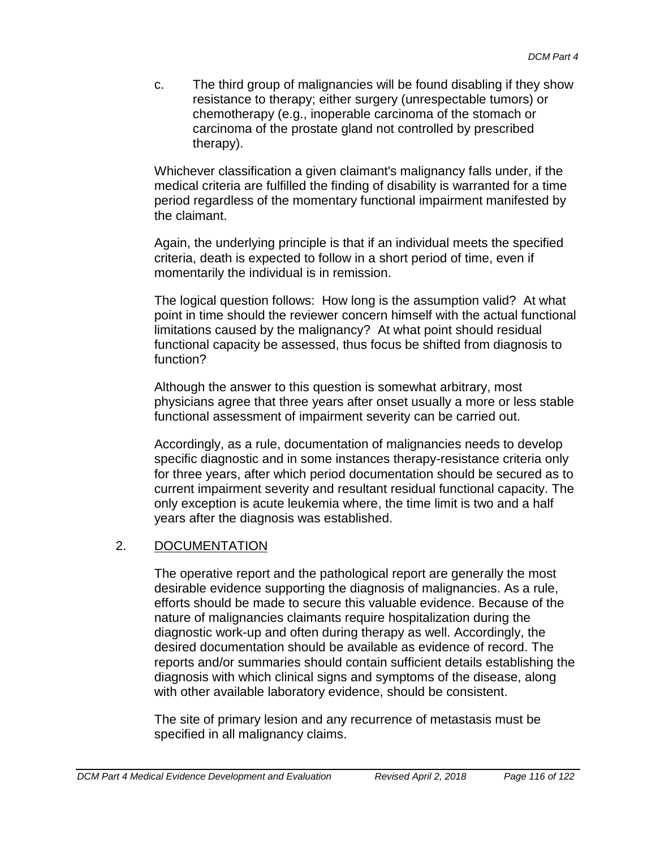c. The third group of malignancies will be found disabling if they show resistance to therapy; either surgery (unrespectable tumors) or chemotherapy (e.g., inoperable carcinoma of the stomach or carcinoma of the prostate gland not controlled by prescribed therapy).

Whichever classification a given claimant's malignancy falls under, if the medical criteria are fulfilled the finding of disability is warranted for a time period regardless of the momentary functional impairment manifested by the claimant.

Again, the underlying principle is that if an individual meets the specified criteria, death is expected to follow in a short period of time, even if momentarily the individual is in remission.

The logical question follows: How long is the assumption valid? At what point in time should the reviewer concern himself with the actual functional limitations caused by the malignancy? At what point should residual functional capacity be assessed, thus focus be shifted from diagnosis to function?

Although the answer to this question is somewhat arbitrary, most physicians agree that three years after onset usually a more or less stable functional assessment of impairment severity can be carried out.

Accordingly, as a rule, documentation of malignancies needs to develop specific diagnostic and in some instances therapy-resistance criteria only for three years, after which period documentation should be secured as to current impairment severity and resultant residual functional capacity. The only exception is acute leukemia where, the time limit is two and a half years after the diagnosis was established.

## 2. DOCUMENTATION

The operative report and the pathological report are generally the most desirable evidence supporting the diagnosis of malignancies. As a rule, efforts should be made to secure this valuable evidence. Because of the nature of malignancies claimants require hospitalization during the diagnostic work-up and often during therapy as well. Accordingly, the desired documentation should be available as evidence of record. The reports and/or summaries should contain sufficient details establishing the diagnosis with which clinical signs and symptoms of the disease, along with other available laboratory evidence, should be consistent.

The site of primary lesion and any recurrence of metastasis must be specified in all malignancy claims.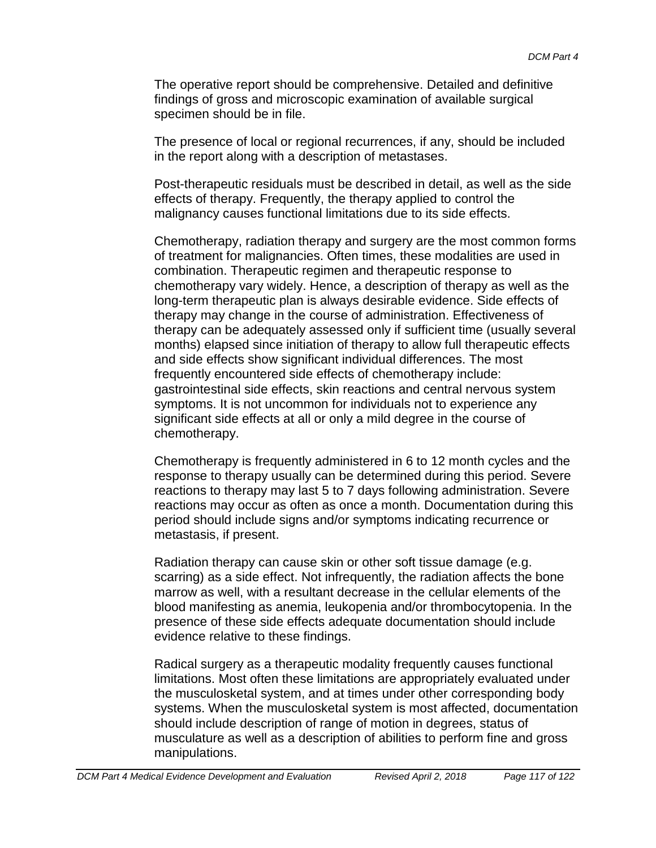The operative report should be comprehensive. Detailed and definitive findings of gross and microscopic examination of available surgical specimen should be in file.

The presence of local or regional recurrences, if any, should be included in the report along with a description of metastases.

Post-therapeutic residuals must be described in detail, as well as the side effects of therapy. Frequently, the therapy applied to control the malignancy causes functional limitations due to its side effects.

Chemotherapy, radiation therapy and surgery are the most common forms of treatment for malignancies. Often times, these modalities are used in combination. Therapeutic regimen and therapeutic response to chemotherapy vary widely. Hence, a description of therapy as well as the long-term therapeutic plan is always desirable evidence. Side effects of therapy may change in the course of administration. Effectiveness of therapy can be adequately assessed only if sufficient time (usually several months) elapsed since initiation of therapy to allow full therapeutic effects and side effects show significant individual differences. The most frequently encountered side effects of chemotherapy include: gastrointestinal side effects, skin reactions and central nervous system symptoms. It is not uncommon for individuals not to experience any significant side effects at all or only a mild degree in the course of chemotherapy.

Chemotherapy is frequently administered in 6 to 12 month cycles and the response to therapy usually can be determined during this period. Severe reactions to therapy may last 5 to 7 days following administration. Severe reactions may occur as often as once a month. Documentation during this period should include signs and/or symptoms indicating recurrence or metastasis, if present.

Radiation therapy can cause skin or other soft tissue damage (e.g. scarring) as a side effect. Not infrequently, the radiation affects the bone marrow as well, with a resultant decrease in the cellular elements of the blood manifesting as anemia, leukopenia and/or thrombocytopenia. In the presence of these side effects adequate documentation should include evidence relative to these findings.

Radical surgery as a therapeutic modality frequently causes functional limitations. Most often these limitations are appropriately evaluated under the musculosketal system, and at times under other corresponding body systems. When the musculosketal system is most affected, documentation should include description of range of motion in degrees, status of musculature as well as a description of abilities to perform fine and gross manipulations.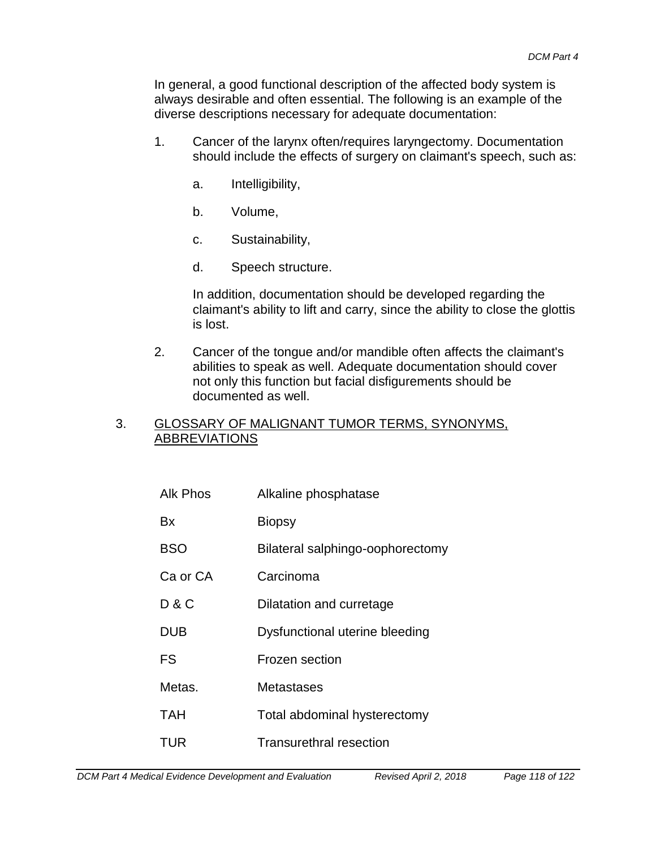In general, a good functional description of the affected body system is always desirable and often essential. The following is an example of the diverse descriptions necessary for adequate documentation:

- 1. Cancer of the larynx often/requires laryngectomy. Documentation should include the effects of surgery on claimant's speech, such as:
	- a. Intelligibility,
	- b. Volume,
	- c. Sustainability,
	- d. Speech structure.

In addition, documentation should be developed regarding the claimant's ability to lift and carry, since the ability to close the glottis is lost.

2. Cancer of the tongue and/or mandible often affects the claimant's abilities to speak as well. Adequate documentation should cover not only this function but facial disfigurements should be documented as well.

### 3. GLOSSARY OF MALIGNANT TUMOR TERMS, SYNONYMS, ABBREVIATIONS

| Alk Phos   | Alkaline phosphatase             |
|------------|----------------------------------|
| Bx         | <b>Biopsy</b>                    |
| <b>BSO</b> | Bilateral salphingo-oophorectomy |
| Ca or CA   | Carcinoma                        |
| D & C      | Dilatation and curretage         |
| <b>DUB</b> | Dysfunctional uterine bleeding   |
| FS         | Frozen section                   |
| Metas.     | Metastases                       |
| TAH        | Total abdominal hysterectomy     |
| TUR        | <b>Transurethral resection</b>   |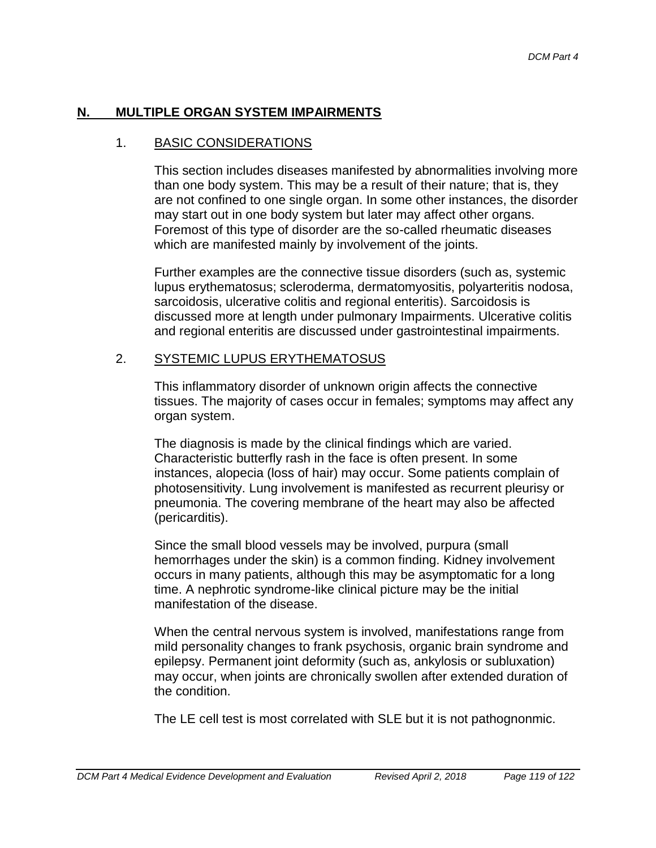### **N. MULTIPLE ORGAN SYSTEM IMPAIRMENTS**

#### 1. BASIC CONSIDERATIONS

This section includes diseases manifested by abnormalities involving more than one body system. This may be a result of their nature; that is, they are not confined to one single organ. In some other instances, the disorder may start out in one body system but later may affect other organs. Foremost of this type of disorder are the so-called rheumatic diseases which are manifested mainly by involvement of the joints.

Further examples are the connective tissue disorders (such as, systemic lupus erythematosus; scleroderma, dermatomyositis, polyarteritis nodosa, sarcoidosis, ulcerative colitis and regional enteritis). Sarcoidosis is discussed more at length under pulmonary Impairments. Ulcerative colitis and regional enteritis are discussed under gastrointestinal impairments.

### 2. SYSTEMIC LUPUS ERYTHEMATOSUS

This inflammatory disorder of unknown origin affects the connective tissues. The majority of cases occur in females; symptoms may affect any organ system.

The diagnosis is made by the clinical findings which are varied. Characteristic butterfly rash in the face is often present. In some instances, alopecia (loss of hair) may occur. Some patients complain of photosensitivity. Lung involvement is manifested as recurrent pleurisy or pneumonia. The covering membrane of the heart may also be affected (pericarditis).

Since the small blood vessels may be involved, purpura (small hemorrhages under the skin) is a common finding. Kidney involvement occurs in many patients, although this may be asymptomatic for a long time. A nephrotic syndrome-like clinical picture may be the initial manifestation of the disease.

When the central nervous system is involved, manifestations range from mild personality changes to frank psychosis, organic brain syndrome and epilepsy. Permanent joint deformity (such as, ankylosis or subluxation) may occur, when joints are chronically swollen after extended duration of the condition.

The LE cell test is most correlated with SLE but it is not pathognonmic.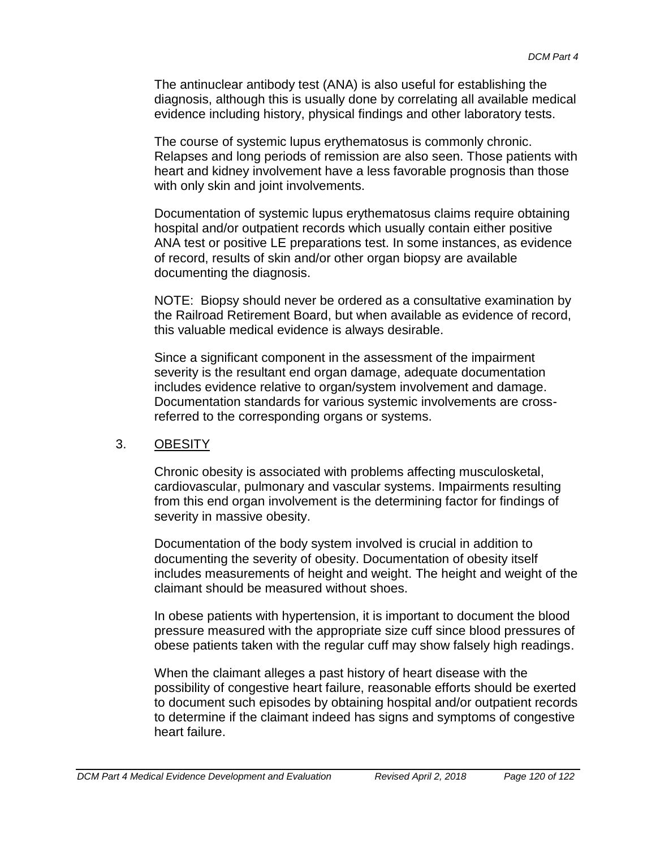The antinuclear antibody test (ANA) is also useful for establishing the diagnosis, although this is usually done by correlating all available medical evidence including history, physical findings and other laboratory tests.

The course of systemic lupus erythematosus is commonly chronic. Relapses and long periods of remission are also seen. Those patients with heart and kidney involvement have a less favorable prognosis than those with only skin and joint involvements.

Documentation of systemic lupus erythematosus claims require obtaining hospital and/or outpatient records which usually contain either positive ANA test or positive LE preparations test. In some instances, as evidence of record, results of skin and/or other organ biopsy are available documenting the diagnosis.

NOTE: Biopsy should never be ordered as a consultative examination by the Railroad Retirement Board, but when available as evidence of record, this valuable medical evidence is always desirable.

Since a significant component in the assessment of the impairment severity is the resultant end organ damage, adequate documentation includes evidence relative to organ/system involvement and damage. Documentation standards for various systemic involvements are crossreferred to the corresponding organs or systems.

### 3. OBESITY

Chronic obesity is associated with problems affecting musculosketal, cardiovascular, pulmonary and vascular systems. Impairments resulting from this end organ involvement is the determining factor for findings of severity in massive obesity.

Documentation of the body system involved is crucial in addition to documenting the severity of obesity. Documentation of obesity itself includes measurements of height and weight. The height and weight of the claimant should be measured without shoes.

In obese patients with hypertension, it is important to document the blood pressure measured with the appropriate size cuff since blood pressures of obese patients taken with the regular cuff may show falsely high readings.

When the claimant alleges a past history of heart disease with the possibility of congestive heart failure, reasonable efforts should be exerted to document such episodes by obtaining hospital and/or outpatient records to determine if the claimant indeed has signs and symptoms of congestive heart failure.